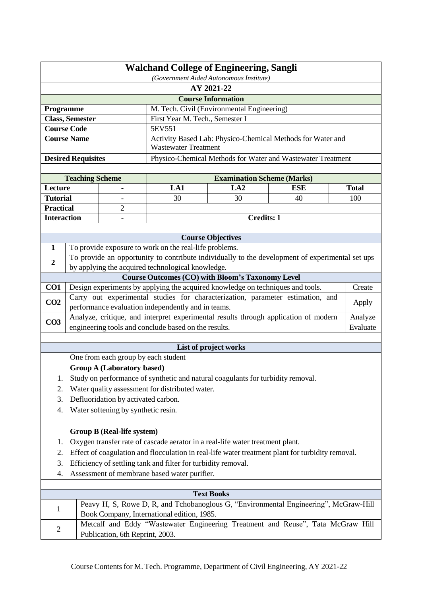|                    | <b>Walchand College of Engineering, Sangli</b><br>(Government Aided Autonomous Institute) |                                     |                                                                                     |                                                                                 |                                                                                                  |              |  |
|--------------------|-------------------------------------------------------------------------------------------|-------------------------------------|-------------------------------------------------------------------------------------|---------------------------------------------------------------------------------|--------------------------------------------------------------------------------------------------|--------------|--|
|                    | AY 2021-22                                                                                |                                     |                                                                                     |                                                                                 |                                                                                                  |              |  |
|                    | <b>Course Information</b>                                                                 |                                     |                                                                                     |                                                                                 |                                                                                                  |              |  |
| Programme          |                                                                                           |                                     |                                                                                     | M. Tech. Civil (Environmental Engineering)                                      |                                                                                                  |              |  |
|                    | <b>Class, Semester</b>                                                                    |                                     | First Year M. Tech., Semester I                                                     |                                                                                 |                                                                                                  |              |  |
| <b>Course Code</b> |                                                                                           |                                     | 5EV551                                                                              |                                                                                 |                                                                                                  |              |  |
|                    | <b>Course Name</b>                                                                        |                                     | <b>Wastewater Treatment</b>                                                         |                                                                                 | Activity Based Lab: Physico-Chemical Methods for Water and                                       |              |  |
|                    | <b>Desired Requisites</b>                                                                 |                                     |                                                                                     |                                                                                 | Physico-Chemical Methods for Water and Wastewater Treatment                                      |              |  |
|                    |                                                                                           |                                     |                                                                                     |                                                                                 |                                                                                                  |              |  |
|                    | <b>Teaching Scheme</b>                                                                    |                                     |                                                                                     | <b>Examination Scheme (Marks)</b>                                               |                                                                                                  |              |  |
| Lecture            |                                                                                           |                                     | LA1                                                                                 | LA2                                                                             | <b>ESE</b>                                                                                       | <b>Total</b> |  |
| <b>Tutorial</b>    |                                                                                           |                                     | 30                                                                                  | 30                                                                              | 40                                                                                               | 100          |  |
| <b>Practical</b>   |                                                                                           | $\overline{2}$                      |                                                                                     |                                                                                 |                                                                                                  |              |  |
| <b>Interaction</b> |                                                                                           |                                     |                                                                                     | <b>Credits: 1</b>                                                               |                                                                                                  |              |  |
|                    |                                                                                           |                                     |                                                                                     |                                                                                 |                                                                                                  |              |  |
| $\mathbf{1}$       |                                                                                           |                                     | To provide exposure to work on the real-life problems.                              | <b>Course Objectives</b>                                                        |                                                                                                  |              |  |
|                    |                                                                                           |                                     |                                                                                     |                                                                                 | To provide an opportunity to contribute individually to the development of experimental set ups  |              |  |
| $\boldsymbol{2}$   |                                                                                           |                                     | by applying the acquired technological knowledge.                                   |                                                                                 |                                                                                                  |              |  |
|                    |                                                                                           |                                     |                                                                                     | <b>Course Outcomes (CO) with Bloom's Taxonomy Level</b>                         |                                                                                                  |              |  |
| CO1                |                                                                                           |                                     |                                                                                     | Design experiments by applying the acquired knowledge on techniques and tools.  |                                                                                                  | Create       |  |
|                    |                                                                                           |                                     |                                                                                     |                                                                                 | Carry out experimental studies for characterization, parameter estimation, and                   |              |  |
| CO <sub>2</sub>    |                                                                                           |                                     | performance evaluation independently and in teams.                                  |                                                                                 |                                                                                                  | Apply        |  |
|                    |                                                                                           |                                     | Analyze, critique, and interpret experimental results through application of modern |                                                                                 |                                                                                                  | Analyze      |  |
| CO <sub>3</sub>    |                                                                                           |                                     | engineering tools and conclude based on the results.                                |                                                                                 |                                                                                                  | Evaluate     |  |
|                    |                                                                                           |                                     |                                                                                     |                                                                                 |                                                                                                  |              |  |
|                    |                                                                                           |                                     |                                                                                     | List of project works                                                           |                                                                                                  |              |  |
|                    |                                                                                           | One from each group by each student |                                                                                     |                                                                                 |                                                                                                  |              |  |
|                    |                                                                                           | <b>Group A (Laboratory based)</b>   |                                                                                     |                                                                                 |                                                                                                  |              |  |
| 1.                 |                                                                                           |                                     |                                                                                     | Study on performance of synthetic and natural coagulants for turbidity removal. |                                                                                                  |              |  |
| 2.                 |                                                                                           |                                     | Water quality assessment for distributed water.                                     |                                                                                 |                                                                                                  |              |  |
| 3.                 |                                                                                           | Defluoridation by activated carbon. |                                                                                     |                                                                                 |                                                                                                  |              |  |
| 4.                 |                                                                                           | Water softening by synthetic resin. |                                                                                     |                                                                                 |                                                                                                  |              |  |
|                    |                                                                                           |                                     |                                                                                     |                                                                                 |                                                                                                  |              |  |
|                    |                                                                                           | <b>Group B (Real-life system)</b>   |                                                                                     |                                                                                 |                                                                                                  |              |  |
| 1.                 |                                                                                           |                                     |                                                                                     | Oxygen transfer rate of cascade aerator in a real-life water treatment plant.   |                                                                                                  |              |  |
| 2.                 |                                                                                           |                                     |                                                                                     |                                                                                 | Effect of coagulation and flocculation in real-life water treatment plant for turbidity removal. |              |  |
| 3.                 | Efficiency of settling tank and filter for turbidity removal.                             |                                     |                                                                                     |                                                                                 |                                                                                                  |              |  |
| 4.                 | Assessment of membrane based water purifier.                                              |                                     |                                                                                     |                                                                                 |                                                                                                  |              |  |
|                    |                                                                                           |                                     |                                                                                     |                                                                                 |                                                                                                  |              |  |
|                    |                                                                                           |                                     |                                                                                     | <b>Text Books</b>                                                               |                                                                                                  |              |  |
| 1                  |                                                                                           |                                     |                                                                                     |                                                                                 | Peavy H, S, Rowe D, R, and Tchobanoglous G, "Environmental Engineering", McGraw-Hill             |              |  |
|                    |                                                                                           |                                     | Book Company, International edition, 1985.                                          |                                                                                 |                                                                                                  |              |  |
| $\overline{c}$     |                                                                                           |                                     |                                                                                     |                                                                                 | Metcalf and Eddy "Wastewater Engineering Treatment and Reuse", Tata McGraw Hill                  |              |  |
|                    |                                                                                           | Publication, 6th Reprint, 2003.     |                                                                                     |                                                                                 |                                                                                                  |              |  |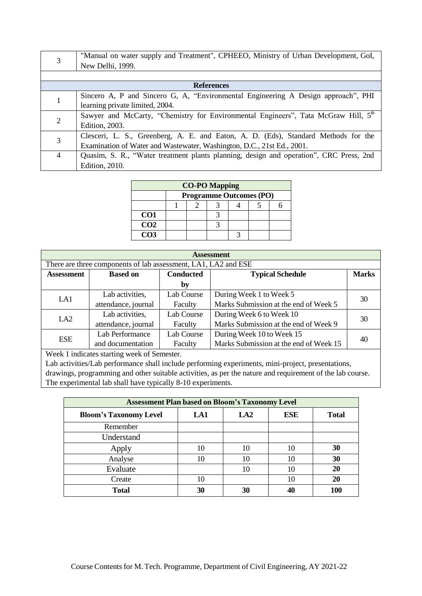|                | "Manual on water supply and Treatment", CPHEEO, Ministry of Urban Development, GoI,    |
|----------------|----------------------------------------------------------------------------------------|
|                | New Delhi, 1999.                                                                       |
|                |                                                                                        |
|                | <b>References</b>                                                                      |
|                | Sincero A, P and Sincero G, A, "Environmental Engineering A Design approach", PHI      |
|                | learning private limited, 2004.                                                        |
|                | Sawyer and McCarty, "Chemistry for Environmental Engineers", Tata McGraw Hill, 5th     |
|                | Edition, 2003.                                                                         |
| 3              | Clesceri, L. S., Greenberg, A. E. and Eaton, A. D. (Eds), Standard Methods for the     |
|                | Examination of Water and Wastewater, Washington, D.C., 21st Ed., 2001.                 |
| $\overline{4}$ | Quasim, S. R., "Water treatment plants planning, design and operation", CRC Press, 2nd |
|                | Edition, 2010.                                                                         |

|                 | <b>CO-PO Mapping</b> |                                |  |  |  |  |
|-----------------|----------------------|--------------------------------|--|--|--|--|
|                 |                      | <b>Programme Outcomes (PO)</b> |  |  |  |  |
|                 |                      |                                |  |  |  |  |
| CO <sub>1</sub> |                      |                                |  |  |  |  |
| CO <sub>2</sub> |                      |                                |  |  |  |  |
| CO <sub>3</sub> |                      |                                |  |  |  |  |

| <b>Assessment</b> |                                                                                |            |                                        |    |  |  |  |  |
|-------------------|--------------------------------------------------------------------------------|------------|----------------------------------------|----|--|--|--|--|
|                   | There are three components of lab assessment, LA1, LA2 and ESE                 |            |                                        |    |  |  |  |  |
| <b>Assessment</b> | <b>Conducted</b><br><b>Marks</b><br><b>Typical Schedule</b><br><b>Based on</b> |            |                                        |    |  |  |  |  |
|                   |                                                                                | by         |                                        |    |  |  |  |  |
| LA1               | Lab activities,                                                                | Lab Course | During Week 1 to Week 5                | 30 |  |  |  |  |
|                   | attendance, journal                                                            | Faculty    | Marks Submission at the end of Week 5  |    |  |  |  |  |
| LA <sub>2</sub>   | Lab activities,<br>Lab Course<br>During Week 6 to Week 10                      |            |                                        | 30 |  |  |  |  |
|                   | attendance, journal<br>Faculty                                                 |            | Marks Submission at the end of Week 9  |    |  |  |  |  |
|                   | Lab Performance                                                                | Lab Course | During Week 10 to Week 15              |    |  |  |  |  |
| <b>ESE</b>        | and documentation                                                              | Faculty    | Marks Submission at the end of Week 15 | 40 |  |  |  |  |
|                   |                                                                                |            |                                        |    |  |  |  |  |

| <b>Assessment Plan based on Bloom's Taxonomy Level</b> |     |                 |            |              |  |  |
|--------------------------------------------------------|-----|-----------------|------------|--------------|--|--|
| <b>Bloom's Taxonomy Level</b>                          | LA1 | LA <sub>2</sub> | <b>ESE</b> | <b>Total</b> |  |  |
| Remember                                               |     |                 |            |              |  |  |
| Understand                                             |     |                 |            |              |  |  |
| Apply                                                  | 10  | 10              | 10         | 30           |  |  |
| Analyse                                                | 10  | 10              | 10         | 30           |  |  |
| Evaluate                                               |     | 10              | 10         | 20           |  |  |
| Create                                                 | 10  |                 | 10         | 20           |  |  |
| <b>Total</b>                                           | 30  | 30              |            |              |  |  |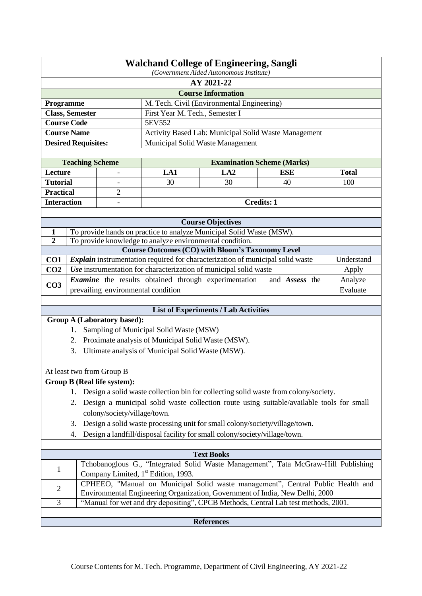|                    | <b>Walchand College of Engineering, Sangli</b><br>(Government Aided Autonomous Institute)                                                                       |                                     |                                                                                |                                             |                                                                                             |              |
|--------------------|-----------------------------------------------------------------------------------------------------------------------------------------------------------------|-------------------------------------|--------------------------------------------------------------------------------|---------------------------------------------|---------------------------------------------------------------------------------------------|--------------|
|                    | AY 2021-22                                                                                                                                                      |                                     |                                                                                |                                             |                                                                                             |              |
|                    |                                                                                                                                                                 |                                     |                                                                                | <b>Course Information</b>                   |                                                                                             |              |
| Programme          |                                                                                                                                                                 |                                     |                                                                                | M. Tech. Civil (Environmental Engineering)  |                                                                                             |              |
|                    | <b>Class, Semester</b>                                                                                                                                          |                                     | First Year M. Tech., Semester I                                                |                                             |                                                                                             |              |
|                    | <b>Course Code</b>                                                                                                                                              |                                     | 5EV552                                                                         |                                             |                                                                                             |              |
|                    | <b>Course Name</b>                                                                                                                                              |                                     |                                                                                |                                             | Activity Based Lab: Municipal Solid Waste Management                                        |              |
|                    | <b>Desired Requisites:</b>                                                                                                                                      |                                     |                                                                                | Municipal Solid Waste Management            |                                                                                             |              |
|                    |                                                                                                                                                                 |                                     |                                                                                |                                             |                                                                                             |              |
| Lecture            | <b>Teaching Scheme</b>                                                                                                                                          |                                     | LA1                                                                            | LA2                                         | <b>Examination Scheme (Marks)</b><br><b>ESE</b>                                             | <b>Total</b> |
| <b>Tutorial</b>    |                                                                                                                                                                 |                                     | 30                                                                             | 30                                          | 40                                                                                          | 100          |
| <b>Practical</b>   |                                                                                                                                                                 | $\qquad \qquad -$<br>$\overline{2}$ |                                                                                |                                             |                                                                                             |              |
| <b>Interaction</b> |                                                                                                                                                                 | $\overline{\phantom{0}}$            |                                                                                |                                             | <b>Credits: 1</b>                                                                           |              |
|                    |                                                                                                                                                                 |                                     |                                                                                |                                             |                                                                                             |              |
|                    |                                                                                                                                                                 |                                     |                                                                                | <b>Course Objectives</b>                    |                                                                                             |              |
| $\mathbf{1}$       |                                                                                                                                                                 |                                     | To provide hands on practice to analyze Municipal Solid Waste (MSW).           |                                             |                                                                                             |              |
| $\overline{2}$     |                                                                                                                                                                 |                                     | To provide knowledge to analyze environmental condition.                       |                                             |                                                                                             |              |
|                    |                                                                                                                                                                 |                                     | <b>Course Outcomes (CO) with Bloom's Taxonomy Level</b>                        |                                             |                                                                                             |              |
| CO <sub>1</sub>    |                                                                                                                                                                 |                                     | Explain instrumentation required for characterization of municipal solid waste |                                             |                                                                                             | Understand   |
| CO <sub>2</sub>    |                                                                                                                                                                 |                                     | Use instrumentation for characterization of municipal solid waste              |                                             |                                                                                             | Apply        |
| CO <sub>3</sub>    |                                                                                                                                                                 |                                     | <b>Examine</b> the results obtained through experimentation                    |                                             | and Assess the                                                                              | Analyze      |
|                    |                                                                                                                                                                 | prevailing environmental condition  |                                                                                |                                             |                                                                                             | Evaluate     |
|                    |                                                                                                                                                                 |                                     |                                                                                | <b>List of Experiments / Lab Activities</b> |                                                                                             |              |
|                    |                                                                                                                                                                 | <b>Group A (Laboratory based):</b>  |                                                                                |                                             |                                                                                             |              |
|                    | 1.                                                                                                                                                              |                                     | Sampling of Municipal Solid Waste (MSW)                                        |                                             |                                                                                             |              |
|                    | 2.                                                                                                                                                              |                                     | Proximate analysis of Municipal Solid Waste (MSW).                             |                                             |                                                                                             |              |
|                    | 3.                                                                                                                                                              |                                     | Ultimate analysis of Municipal Solid Waste (MSW).                              |                                             |                                                                                             |              |
|                    |                                                                                                                                                                 |                                     |                                                                                |                                             |                                                                                             |              |
|                    |                                                                                                                                                                 | At least two from Group B           |                                                                                |                                             |                                                                                             |              |
|                    |                                                                                                                                                                 | <b>Group B (Real life system):</b>  |                                                                                |                                             |                                                                                             |              |
|                    |                                                                                                                                                                 |                                     |                                                                                |                                             | 1. Design a solid waste collection bin for collecting solid waste from colony/society.      |              |
|                    |                                                                                                                                                                 |                                     |                                                                                |                                             | 2. Design a municipal solid waste collection route using suitable/available tools for small |              |
|                    |                                                                                                                                                                 | colony/society/village/town.        |                                                                                |                                             |                                                                                             |              |
|                    | 3.                                                                                                                                                              |                                     | Design a solid waste processing unit for small colony/society/village/town.    |                                             |                                                                                             |              |
|                    | 4.                                                                                                                                                              |                                     | Design a landfill/disposal facility for small colony/society/village/town.     |                                             |                                                                                             |              |
|                    |                                                                                                                                                                 |                                     |                                                                                |                                             |                                                                                             |              |
| <b>Text Books</b>  |                                                                                                                                                                 |                                     |                                                                                |                                             |                                                                                             |              |
| $\mathbf{1}$       | Tchobanoglous G., "Integrated Solid Waste Management", Tata McGraw-Hill Publishing<br>Company Limited, 1 <sup>st</sup> Edition, 1993.                           |                                     |                                                                                |                                             |                                                                                             |              |
| $\overline{c}$     | CPHEEO, "Manual on Municipal Solid waste management", Central Public Health and<br>Environmental Engineering Organization, Government of India, New Delhi, 2000 |                                     |                                                                                |                                             |                                                                                             |              |
| 3                  |                                                                                                                                                                 |                                     |                                                                                |                                             | "Manual for wet and dry depositing", CPCB Methods, Central Lab test methods, 2001.          |              |
|                    |                                                                                                                                                                 |                                     |                                                                                |                                             |                                                                                             |              |
|                    |                                                                                                                                                                 |                                     |                                                                                | <b>References</b>                           |                                                                                             |              |
|                    |                                                                                                                                                                 |                                     |                                                                                |                                             |                                                                                             |              |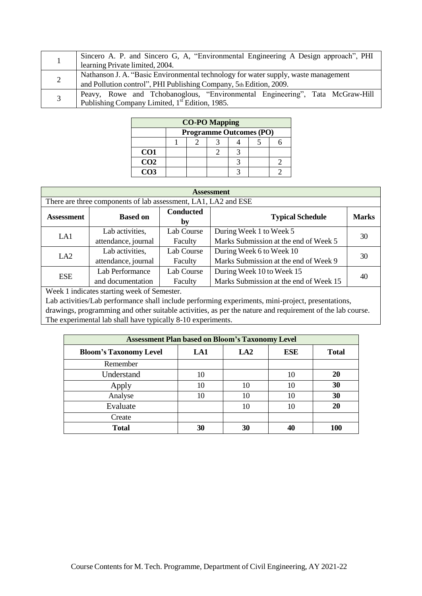| Sincero A. P. and Sincero G. A. "Environmental Engineering A Design approach", PHI<br>learning Private limited, 2004.                                    |
|----------------------------------------------------------------------------------------------------------------------------------------------------------|
| Nathanson J. A. "Basic Environmental technology for water supply, waste management<br>and Pollution control", PHI Publishing Company, 5th Edition, 2009. |
| Peavy, Rowe and Tchobanoglous, "Environmental Engineering", Tata McGraw-Hill<br>Publishing Company Limited, 1 <sup>st</sup> Edition, 1985.               |

| <b>CO-PO Mapping</b> |  |                                |  |  |  |  |
|----------------------|--|--------------------------------|--|--|--|--|
|                      |  | <b>Programme Outcomes (PO)</b> |  |  |  |  |
|                      |  |                                |  |  |  |  |
| CO <sub>1</sub>      |  |                                |  |  |  |  |
| CO <sub>2</sub>      |  |                                |  |  |  |  |
| CO <sub>3</sub>      |  |                                |  |  |  |  |

| <b>Assessment</b> |                                                                |                        |                                        |              |  |  |  |  |
|-------------------|----------------------------------------------------------------|------------------------|----------------------------------------|--------------|--|--|--|--|
|                   | There are three components of lab assessment, LA1, LA2 and ESE |                        |                                        |              |  |  |  |  |
| <b>Assessment</b> | <b>Based on</b>                                                | <b>Conducted</b><br>by | <b>Typical Schedule</b>                | <b>Marks</b> |  |  |  |  |
| LA1               | Lab activities,                                                | Lab Course             | During Week 1 to Week 5                | 30           |  |  |  |  |
|                   | attendance, journal                                            | Faculty                | Marks Submission at the end of Week 5  |              |  |  |  |  |
|                   | Lab activities,                                                | Lab Course             | During Week 6 to Week 10               | 30           |  |  |  |  |
| LA <sub>2</sub>   | attendance, journal<br>Faculty                                 |                        | Marks Submission at the end of Week 9  |              |  |  |  |  |
| <b>ESE</b>        | Lab Performance                                                | Lab Course             | During Week 10 to Week 15              | 40           |  |  |  |  |
|                   | and documentation                                              | Faculty                | Marks Submission at the end of Week 15 |              |  |  |  |  |

| <b>Assessment Plan based on Bloom's Taxonomy Level</b> |     |                 |            |              |  |  |
|--------------------------------------------------------|-----|-----------------|------------|--------------|--|--|
| <b>Bloom's Taxonomy Level</b>                          | LA1 | LA <sub>2</sub> | <b>ESE</b> | <b>Total</b> |  |  |
| Remember                                               |     |                 |            |              |  |  |
| Understand                                             | 10  |                 | 10         | 20           |  |  |
| Apply                                                  | 10  | 10              | 10         | 30           |  |  |
| Analyse                                                | 10  | 10              | 10         | 30           |  |  |
| Evaluate                                               |     | 10              | 10         | 20           |  |  |
| Create                                                 |     |                 |            |              |  |  |
| <b>Total</b>                                           | 30  | 30              |            |              |  |  |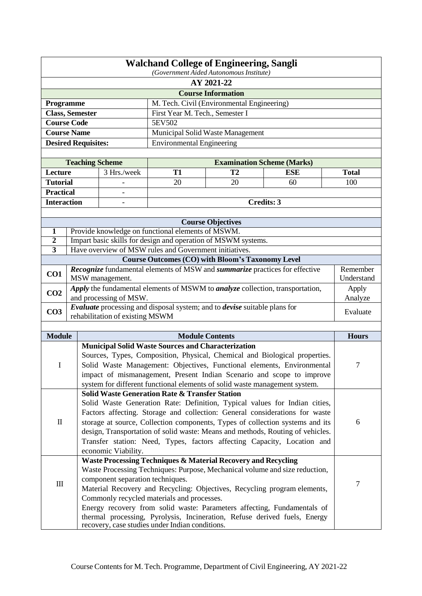| <b>Walchand College of Engineering, Sangli</b><br>(Government Aided Autonomous Institute)             |                                                                                                                |                                                                                                                              |                                                                                                                                                           |                                                         |                                                                                                                                                           |                     |  |
|-------------------------------------------------------------------------------------------------------|----------------------------------------------------------------------------------------------------------------|------------------------------------------------------------------------------------------------------------------------------|-----------------------------------------------------------------------------------------------------------------------------------------------------------|---------------------------------------------------------|-----------------------------------------------------------------------------------------------------------------------------------------------------------|---------------------|--|
|                                                                                                       | AY 2021-22                                                                                                     |                                                                                                                              |                                                                                                                                                           |                                                         |                                                                                                                                                           |                     |  |
|                                                                                                       |                                                                                                                |                                                                                                                              |                                                                                                                                                           | <b>Course Information</b>                               |                                                                                                                                                           |                     |  |
| Programme                                                                                             |                                                                                                                |                                                                                                                              |                                                                                                                                                           | M. Tech. Civil (Environmental Engineering)              |                                                                                                                                                           |                     |  |
| <b>Class, Semester</b>                                                                                |                                                                                                                |                                                                                                                              | First Year M. Tech., Semester I                                                                                                                           |                                                         |                                                                                                                                                           |                     |  |
| <b>Course Code</b>                                                                                    |                                                                                                                |                                                                                                                              | 5EV502                                                                                                                                                    |                                                         |                                                                                                                                                           |                     |  |
| <b>Course Name</b>                                                                                    |                                                                                                                |                                                                                                                              |                                                                                                                                                           | Municipal Solid Waste Management                        |                                                                                                                                                           |                     |  |
|                                                                                                       |                                                                                                                | <b>Desired Requisites:</b>                                                                                                   | <b>Environmental Engineering</b>                                                                                                                          |                                                         |                                                                                                                                                           |                     |  |
|                                                                                                       |                                                                                                                |                                                                                                                              |                                                                                                                                                           |                                                         |                                                                                                                                                           |                     |  |
|                                                                                                       |                                                                                                                | <b>Teaching Scheme</b>                                                                                                       |                                                                                                                                                           | <b>Examination Scheme (Marks)</b>                       |                                                                                                                                                           |                     |  |
| Lecture<br><b>Tutorial</b>                                                                            |                                                                                                                | 3 Hrs./week                                                                                                                  | <b>T1</b><br>20                                                                                                                                           | T <sub>2</sub><br>20                                    | <b>ESE</b><br>60                                                                                                                                          | <b>Total</b><br>100 |  |
| <b>Practical</b>                                                                                      |                                                                                                                |                                                                                                                              |                                                                                                                                                           |                                                         |                                                                                                                                                           |                     |  |
| <b>Interaction</b>                                                                                    |                                                                                                                |                                                                                                                              |                                                                                                                                                           |                                                         | <b>Credits: 3</b>                                                                                                                                         |                     |  |
|                                                                                                       |                                                                                                                |                                                                                                                              |                                                                                                                                                           |                                                         |                                                                                                                                                           |                     |  |
|                                                                                                       |                                                                                                                |                                                                                                                              |                                                                                                                                                           | <b>Course Objectives</b>                                |                                                                                                                                                           |                     |  |
| $\mathbf{1}$                                                                                          |                                                                                                                | Provide knowledge on functional elements of MSWM.                                                                            |                                                                                                                                                           |                                                         |                                                                                                                                                           |                     |  |
| $\boldsymbol{2}$                                                                                      |                                                                                                                | Impart basic skills for design and operation of MSWM systems.                                                                |                                                                                                                                                           |                                                         |                                                                                                                                                           |                     |  |
| 3                                                                                                     |                                                                                                                | Have overview of MSW rules and Government initiatives.                                                                       |                                                                                                                                                           |                                                         |                                                                                                                                                           |                     |  |
|                                                                                                       |                                                                                                                |                                                                                                                              |                                                                                                                                                           | <b>Course Outcomes (CO) with Bloom's Taxonomy Level</b> |                                                                                                                                                           |                     |  |
| Recognize fundamental elements of MSW and summarize practices for effective<br>CO1<br>MSW management. |                                                                                                                |                                                                                                                              |                                                                                                                                                           |                                                         | Remember<br>Understand                                                                                                                                    |                     |  |
| CO <sub>2</sub>                                                                                       | Apply the fundamental elements of MSWM to <i>analyze</i> collection, transportation,<br>and processing of MSW. |                                                                                                                              |                                                                                                                                                           |                                                         | Apply<br>Analyze                                                                                                                                          |                     |  |
| CO <sub>3</sub>                                                                                       |                                                                                                                | Evaluate processing and disposal system; and to devise suitable plans for<br>rehabilitation of existing MSWM                 |                                                                                                                                                           |                                                         |                                                                                                                                                           | Evaluate            |  |
|                                                                                                       |                                                                                                                |                                                                                                                              |                                                                                                                                                           |                                                         |                                                                                                                                                           |                     |  |
| <b>Module</b>                                                                                         |                                                                                                                |                                                                                                                              |                                                                                                                                                           | <b>Module Contents</b>                                  |                                                                                                                                                           | <b>Hours</b>        |  |
|                                                                                                       |                                                                                                                | <b>Municipal Solid Waste Sources and Characterization</b>                                                                    |                                                                                                                                                           |                                                         |                                                                                                                                                           |                     |  |
|                                                                                                       |                                                                                                                |                                                                                                                              |                                                                                                                                                           |                                                         | Sources, Types, Composition, Physical, Chemical and Biological properties.                                                                                |                     |  |
| I                                                                                                     |                                                                                                                |                                                                                                                              |                                                                                                                                                           |                                                         | Solid Waste Management: Objectives, Functional elements, Environmental                                                                                    | $\tau$              |  |
|                                                                                                       |                                                                                                                | impact of mismanagement, Present Indian Scenario and scope to improve                                                        |                                                                                                                                                           |                                                         |                                                                                                                                                           |                     |  |
|                                                                                                       |                                                                                                                | system for different functional elements of solid waste management system.                                                   |                                                                                                                                                           |                                                         |                                                                                                                                                           |                     |  |
|                                                                                                       |                                                                                                                | <b>Solid Waste Generation Rate &amp; Transfer Station</b>                                                                    |                                                                                                                                                           |                                                         |                                                                                                                                                           |                     |  |
|                                                                                                       |                                                                                                                |                                                                                                                              |                                                                                                                                                           |                                                         | Solid Waste Generation Rate: Definition, Typical values for Indian cities,<br>Factors affecting. Storage and collection: General considerations for waste |                     |  |
| $\mathop{\mathrm{II}}$                                                                                |                                                                                                                |                                                                                                                              |                                                                                                                                                           |                                                         | storage at source, Collection components, Types of collection systems and its                                                                             | 6                   |  |
|                                                                                                       |                                                                                                                |                                                                                                                              |                                                                                                                                                           |                                                         |                                                                                                                                                           |                     |  |
|                                                                                                       |                                                                                                                |                                                                                                                              | design, Transportation of solid waste: Means and methods, Routing of vehicles.<br>Transfer station: Need, Types, factors affecting Capacity, Location and |                                                         |                                                                                                                                                           |                     |  |
| economic Viability.                                                                                   |                                                                                                                |                                                                                                                              |                                                                                                                                                           |                                                         |                                                                                                                                                           |                     |  |
|                                                                                                       |                                                                                                                | Waste Processing Techniques & Material Recovery and Recycling                                                                |                                                                                                                                                           |                                                         |                                                                                                                                                           |                     |  |
|                                                                                                       |                                                                                                                |                                                                                                                              |                                                                                                                                                           |                                                         | Waste Processing Techniques: Purpose, Mechanical volume and size reduction,                                                                               |                     |  |
|                                                                                                       |                                                                                                                | component separation techniques.                                                                                             |                                                                                                                                                           |                                                         |                                                                                                                                                           |                     |  |
| $\rm III$                                                                                             |                                                                                                                | Material Recovery and Recycling: Objectives, Recycling program elements,                                                     |                                                                                                                                                           |                                                         |                                                                                                                                                           | $\tau$              |  |
|                                                                                                       |                                                                                                                | Commonly recycled materials and processes.                                                                                   |                                                                                                                                                           |                                                         |                                                                                                                                                           |                     |  |
|                                                                                                       |                                                                                                                | Energy recovery from solid waste: Parameters affecting, Fundamentals of                                                      |                                                                                                                                                           |                                                         |                                                                                                                                                           |                     |  |
|                                                                                                       |                                                                                                                | thermal processing, Pyrolysis, Incineration, Refuse derived fuels, Energy<br>recovery, case studies under Indian conditions. |                                                                                                                                                           |                                                         |                                                                                                                                                           |                     |  |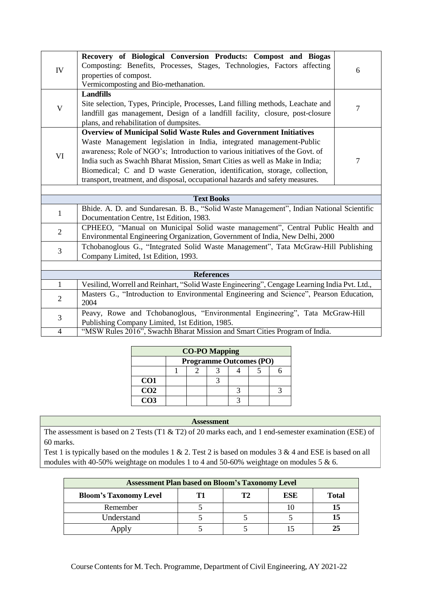| IV                                                                                                           | Recovery of Biological Conversion Products: Compost and Biogas<br>Composting: Benefits, Processes, Stages, Technologies, Factors affecting<br>properties of compost.<br>Vermicomposting and Bio-methanation. | 6              |  |  |  |
|--------------------------------------------------------------------------------------------------------------|--------------------------------------------------------------------------------------------------------------------------------------------------------------------------------------------------------------|----------------|--|--|--|
|                                                                                                              | <b>Landfills</b>                                                                                                                                                                                             |                |  |  |  |
| V                                                                                                            | Site selection, Types, Principle, Processes, Land filling methods, Leachate and<br>landfill gas management, Design of a landfill facility, closure, post-closure<br>plans, and rehabilitation of dumpsites.  | 7              |  |  |  |
|                                                                                                              | <b>Overview of Municipal Solid Waste Rules and Government Initiatives</b>                                                                                                                                    |                |  |  |  |
|                                                                                                              | Waste Management legislation in India, integrated management-Public                                                                                                                                          |                |  |  |  |
|                                                                                                              | awareness; Role of NGO's; Introduction to various initiatives of the Govt. of                                                                                                                                |                |  |  |  |
| VI                                                                                                           | India such as Swachh Bharat Mission, Smart Cities as well as Make in India;                                                                                                                                  | $\overline{7}$ |  |  |  |
|                                                                                                              | Biomedical; C and D waste Generation, identification, storage, collection,                                                                                                                                   |                |  |  |  |
|                                                                                                              | transport, treatment, and disposal, occupational hazards and safety measures.                                                                                                                                |                |  |  |  |
|                                                                                                              |                                                                                                                                                                                                              |                |  |  |  |
|                                                                                                              | <b>Text Books</b>                                                                                                                                                                                            |                |  |  |  |
|                                                                                                              | Bhide. A. D. and Sundaresan. B. B., "Solid Waste Management", Indian National Scientific                                                                                                                     |                |  |  |  |
| $\mathbf{1}$                                                                                                 | Documentation Centre, 1st Edition, 1983.                                                                                                                                                                     |                |  |  |  |
|                                                                                                              | CPHEEO, "Manual on Municipal Solid waste management", Central Public Health and                                                                                                                              |                |  |  |  |
| $\overline{2}$                                                                                               | Environmental Engineering Organization, Government of India, New Delhi, 2000                                                                                                                                 |                |  |  |  |
|                                                                                                              | Tchobanoglous G., "Integrated Solid Waste Management", Tata McGraw-Hill Publishing                                                                                                                           |                |  |  |  |
| 3                                                                                                            | Company Limited, 1st Edition, 1993.                                                                                                                                                                          |                |  |  |  |
|                                                                                                              |                                                                                                                                                                                                              |                |  |  |  |
|                                                                                                              | <b>References</b>                                                                                                                                                                                            |                |  |  |  |
| Vesilind, Worrell and Reinhart, "Solid Waste Engineering", Cengage Learning India Pvt. Ltd.,<br>$\mathbf{1}$ |                                                                                                                                                                                                              |                |  |  |  |
| $\overline{2}$                                                                                               | Masters G., "Introduction to Environmental Engineering and Science", Pearson Education,<br>2004                                                                                                              |                |  |  |  |
| 3                                                                                                            | Peavy, Rowe and Tchobanoglous, "Environmental Engineering", Tata McGraw-Hill                                                                                                                                 |                |  |  |  |
|                                                                                                              | Publishing Company Limited, 1st Edition, 1985.                                                                                                                                                               |                |  |  |  |
| 4                                                                                                            | "MSW Rules 2016", Swachh Bharat Mission and Smart Cities Program of India.                                                                                                                                   |                |  |  |  |

| <b>CO-PO Mapping</b> |  |                                |  |  |  |  |  |  |
|----------------------|--|--------------------------------|--|--|--|--|--|--|
|                      |  | <b>Programme Outcomes (PO)</b> |  |  |  |  |  |  |
|                      |  |                                |  |  |  |  |  |  |
| CO <sub>1</sub>      |  |                                |  |  |  |  |  |  |
| CO <sub>2</sub>      |  |                                |  |  |  |  |  |  |
| CO <sub>3</sub>      |  |                                |  |  |  |  |  |  |

The assessment is based on 2 Tests (T1 & T2) of 20 marks each, and 1 end-semester examination (ESE) of 60 marks.

| <b>Assessment Plan based on Bloom's Taxonomy Level</b>     |  |  |  |  |  |  |  |
|------------------------------------------------------------|--|--|--|--|--|--|--|
| T?<br>ESE<br><b>Bloom's Taxonomy Level</b><br><b>Total</b> |  |  |  |  |  |  |  |
| Remember                                                   |  |  |  |  |  |  |  |
| Understand                                                 |  |  |  |  |  |  |  |
| Apply                                                      |  |  |  |  |  |  |  |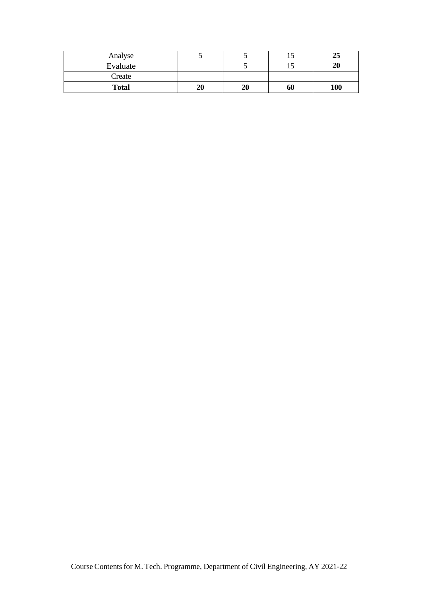| Analyse      |    |    | ⊥୰ | 25  |
|--------------|----|----|----|-----|
| Evaluate     |    |    | ⊥୰ | 20  |
| Create       |    |    |    |     |
| <b>Total</b> | 20 | 20 | 60 | 100 |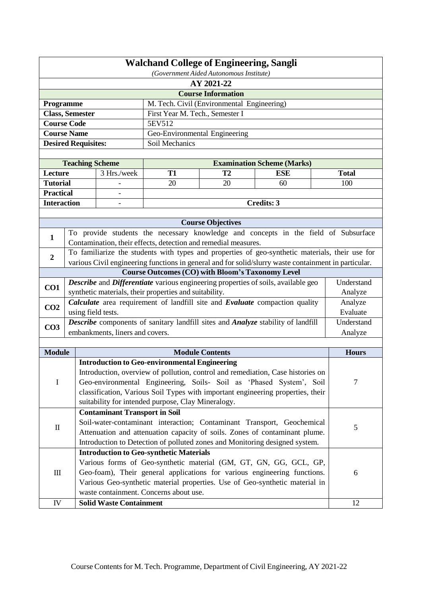| <b>Walchand College of Engineering, Sangli</b><br>(Government Aided Autonomous Institute)                                                                 |                            |                                                                                                                                                             |                                                                                  |                                                                |                                                                                                      |                                                                                                 |  |
|-----------------------------------------------------------------------------------------------------------------------------------------------------------|----------------------------|-------------------------------------------------------------------------------------------------------------------------------------------------------------|----------------------------------------------------------------------------------|----------------------------------------------------------------|------------------------------------------------------------------------------------------------------|-------------------------------------------------------------------------------------------------|--|
| AY 2021-22                                                                                                                                                |                            |                                                                                                                                                             |                                                                                  |                                                                |                                                                                                      |                                                                                                 |  |
|                                                                                                                                                           |                            |                                                                                                                                                             |                                                                                  | <b>Course Information</b>                                      |                                                                                                      |                                                                                                 |  |
| Programme                                                                                                                                                 |                            |                                                                                                                                                             |                                                                                  | M. Tech. Civil (Environmental Engineering)                     |                                                                                                      |                                                                                                 |  |
|                                                                                                                                                           | <b>Class, Semester</b>     |                                                                                                                                                             | First Year M. Tech., Semester I                                                  |                                                                |                                                                                                      |                                                                                                 |  |
|                                                                                                                                                           | <b>Course Code</b>         |                                                                                                                                                             | 5EV512                                                                           |                                                                |                                                                                                      |                                                                                                 |  |
|                                                                                                                                                           | Course Name                |                                                                                                                                                             | Geo-Environmental Engineering                                                    |                                                                |                                                                                                      |                                                                                                 |  |
|                                                                                                                                                           | <b>Desired Requisites:</b> |                                                                                                                                                             | Soil Mechanics                                                                   |                                                                |                                                                                                      |                                                                                                 |  |
|                                                                                                                                                           |                            |                                                                                                                                                             |                                                                                  |                                                                |                                                                                                      |                                                                                                 |  |
|                                                                                                                                                           | <b>Teaching Scheme</b>     |                                                                                                                                                             |                                                                                  |                                                                | <b>Examination Scheme (Marks)</b>                                                                    |                                                                                                 |  |
| Lecture                                                                                                                                                   |                            | 3 Hrs./week                                                                                                                                                 | <b>T1</b>                                                                        | T <sub>2</sub>                                                 | <b>ESE</b>                                                                                           | <b>Total</b>                                                                                    |  |
| <b>Tutorial</b>                                                                                                                                           |                            |                                                                                                                                                             | 20                                                                               | 20                                                             | 60                                                                                                   | 100                                                                                             |  |
| <b>Practical</b>                                                                                                                                          |                            |                                                                                                                                                             |                                                                                  |                                                                |                                                                                                      |                                                                                                 |  |
| <b>Interaction</b>                                                                                                                                        |                            |                                                                                                                                                             |                                                                                  |                                                                | Credits: 3                                                                                           |                                                                                                 |  |
|                                                                                                                                                           |                            |                                                                                                                                                             |                                                                                  |                                                                |                                                                                                      |                                                                                                 |  |
|                                                                                                                                                           |                            |                                                                                                                                                             |                                                                                  | <b>Course Objectives</b>                                       |                                                                                                      |                                                                                                 |  |
| 1                                                                                                                                                         |                            |                                                                                                                                                             |                                                                                  | Contamination, their effects, detection and remedial measures. |                                                                                                      | To provide students the necessary knowledge and concepts in the field of Subsurface             |  |
|                                                                                                                                                           |                            |                                                                                                                                                             |                                                                                  |                                                                |                                                                                                      | To familiarize the students with types and properties of geo-synthetic materials, their use for |  |
| $\overline{2}$                                                                                                                                            |                            |                                                                                                                                                             |                                                                                  |                                                                | various Civil engineering functions in general and for solid/slurry waste containment in particular. |                                                                                                 |  |
|                                                                                                                                                           |                            |                                                                                                                                                             |                                                                                  | <b>Course Outcomes (CO) with Bloom's Taxonomy Level</b>        |                                                                                                      |                                                                                                 |  |
| CO1                                                                                                                                                       |                            |                                                                                                                                                             |                                                                                  |                                                                | Describe and Differentiate various engineering properties of soils, available geo                    | Understand                                                                                      |  |
|                                                                                                                                                           |                            |                                                                                                                                                             | synthetic materials, their properties and suitability.                           |                                                                |                                                                                                      | Analyze                                                                                         |  |
| CO <sub>2</sub>                                                                                                                                           |                            |                                                                                                                                                             |                                                                                  |                                                                | Calculate area requirement of landfill site and Evaluate compaction quality                          | Analyze                                                                                         |  |
|                                                                                                                                                           | using field tests.         |                                                                                                                                                             |                                                                                  |                                                                |                                                                                                      | Evaluate                                                                                        |  |
| CO <sub>3</sub>                                                                                                                                           |                            |                                                                                                                                                             | Describe components of sanitary landfill sites and Analyze stability of landfill |                                                                |                                                                                                      | Understand                                                                                      |  |
|                                                                                                                                                           |                            | embankments, liners and covers.                                                                                                                             |                                                                                  |                                                                |                                                                                                      | Analyze                                                                                         |  |
|                                                                                                                                                           |                            |                                                                                                                                                             |                                                                                  |                                                                |                                                                                                      |                                                                                                 |  |
| <b>Module</b>                                                                                                                                             |                            |                                                                                                                                                             |                                                                                  | <b>Module Contents</b>                                         |                                                                                                      | <b>Hours</b>                                                                                    |  |
|                                                                                                                                                           |                            |                                                                                                                                                             | <b>Introduction to Geo-environmental Engineering</b>                             |                                                                |                                                                                                      |                                                                                                 |  |
|                                                                                                                                                           |                            |                                                                                                                                                             |                                                                                  |                                                                | Introduction, overview of pollution, control and remediation, Case histories on                      |                                                                                                 |  |
| I                                                                                                                                                         |                            | Geo-environmental Engineering, Soils- Soil as 'Phased System', Soil<br>7<br>classification, Various Soil Types with important engineering properties, their |                                                                                  |                                                                |                                                                                                      |                                                                                                 |  |
|                                                                                                                                                           |                            |                                                                                                                                                             | suitability for intended purpose, Clay Mineralogy.                               |                                                                |                                                                                                      |                                                                                                 |  |
|                                                                                                                                                           |                            | <b>Contaminant Transport in Soil</b>                                                                                                                        |                                                                                  |                                                                |                                                                                                      |                                                                                                 |  |
|                                                                                                                                                           |                            |                                                                                                                                                             |                                                                                  |                                                                | Soil-water-contaminant interaction; Contaminant Transport, Geochemical                               |                                                                                                 |  |
| $\mathop{\mathrm{II}}\nolimits$                                                                                                                           |                            |                                                                                                                                                             |                                                                                  |                                                                |                                                                                                      | 5                                                                                               |  |
| Attenuation and attenuation capacity of soils. Zones of contaminant plume.<br>Introduction to Detection of polluted zones and Monitoring designed system. |                            |                                                                                                                                                             |                                                                                  |                                                                |                                                                                                      |                                                                                                 |  |
|                                                                                                                                                           |                            |                                                                                                                                                             | <b>Introduction to Geo-synthetic Materials</b>                                   |                                                                |                                                                                                      |                                                                                                 |  |
|                                                                                                                                                           |                            |                                                                                                                                                             |                                                                                  |                                                                | Various forms of Geo-synthetic material (GM, GT, GN, GG, GCL, GP,                                    |                                                                                                 |  |
| $\mathop{\mathrm{III}}\nolimits$                                                                                                                          |                            |                                                                                                                                                             |                                                                                  |                                                                | Geo-foam), Their general applications for various engineering functions.                             | 6                                                                                               |  |
|                                                                                                                                                           |                            |                                                                                                                                                             |                                                                                  |                                                                | Various Geo-synthetic material properties. Use of Geo-synthetic material in                          |                                                                                                 |  |
|                                                                                                                                                           |                            |                                                                                                                                                             | waste containment. Concerns about use.                                           |                                                                |                                                                                                      |                                                                                                 |  |
| IV                                                                                                                                                        |                            | <b>Solid Waste Containment</b>                                                                                                                              |                                                                                  |                                                                |                                                                                                      | 12                                                                                              |  |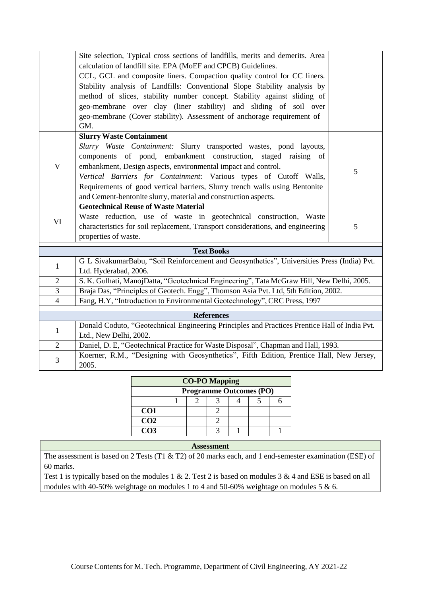|                | Site selection, Typical cross sections of landfills, merits and demerits. Area                    |   |  |  |  |  |
|----------------|---------------------------------------------------------------------------------------------------|---|--|--|--|--|
|                | calculation of landfill site. EPA (MoEF and CPCB) Guidelines.                                     |   |  |  |  |  |
|                | CCL, GCL and composite liners. Compaction quality control for CC liners.                          |   |  |  |  |  |
|                | Stability analysis of Landfills: Conventional Slope Stability analysis by                         |   |  |  |  |  |
|                | method of slices, stability number concept. Stability against sliding of                          |   |  |  |  |  |
|                | geo-membrane over clay (liner stability) and sliding of soil over                                 |   |  |  |  |  |
|                | geo-membrane (Cover stability). Assessment of anchorage requirement of                            |   |  |  |  |  |
|                | GM.                                                                                               |   |  |  |  |  |
|                | <b>Slurry Waste Containment</b>                                                                   |   |  |  |  |  |
|                | Slurry Waste Containment: Slurry transported wastes, pond layouts,                                |   |  |  |  |  |
|                | components of pond, embankment construction, staged raising of                                    |   |  |  |  |  |
| $\mathbf V$    | embankment, Design aspects, environmental impact and control.                                     | 5 |  |  |  |  |
|                | Vertical Barriers for Containment: Various types of Cutoff Walls,                                 |   |  |  |  |  |
|                | Requirements of good vertical barriers, Slurry trench walls using Bentonite                       |   |  |  |  |  |
|                | and Cement-bentonite slurry, material and construction aspects.                                   |   |  |  |  |  |
|                | <b>Geotechnical Reuse of Waste Material</b>                                                       |   |  |  |  |  |
|                | Waste reduction, use of waste in geotechnical construction, Waste                                 |   |  |  |  |  |
| VI             | characteristics for soil replacement, Transport considerations, and engineering                   | 5 |  |  |  |  |
|                | properties of waste.                                                                              |   |  |  |  |  |
|                | <b>Text Books</b>                                                                                 |   |  |  |  |  |
|                | G L SivakumarBabu, "Soil Reinforcement and Geosynthetics", Universities Press (India) Pvt.        |   |  |  |  |  |
| $\mathbf{1}$   | Ltd. Hyderabad, 2006.                                                                             |   |  |  |  |  |
| $\overline{2}$ | S. K. Gulhati, ManojDatta, "Geotechnical Engineering", Tata McGraw Hill, New Delhi, 2005.         |   |  |  |  |  |
| $\overline{3}$ | Braja Das, "Principles of Geotech. Engg", Thomson Asia Pvt. Ltd, 5th Edition, 2002.               |   |  |  |  |  |
| $\overline{4}$ | Fang, H.Y, "Introduction to Environmental Geotechnology", CRC Press, 1997                         |   |  |  |  |  |
|                |                                                                                                   |   |  |  |  |  |
|                | <b>References</b>                                                                                 |   |  |  |  |  |
| $\mathbf{1}$   | Donald Coduto, "Geotechnical Engineering Principles and Practices Prentice Hall of India Pvt.     |   |  |  |  |  |
|                | Ltd., New Delhi, 2002.                                                                            |   |  |  |  |  |
| $\overline{2}$ | Daniel, D. E, "Geotechnical Practice for Waste Disposal", Chapman and Hall, 1993.                 |   |  |  |  |  |
| 3              | Koerner, R.M., "Designing with Geosynthetics", Fifth Edition, Prentice Hall, New Jersey,<br>2005. |   |  |  |  |  |

| <b>CO-PO Mapping</b> |  |                                |  |  |  |  |  |  |
|----------------------|--|--------------------------------|--|--|--|--|--|--|
|                      |  | <b>Programme Outcomes (PO)</b> |  |  |  |  |  |  |
|                      |  |                                |  |  |  |  |  |  |
| CO <sub>1</sub>      |  |                                |  |  |  |  |  |  |
| CO <sub>2</sub>      |  |                                |  |  |  |  |  |  |
| CO3                  |  |                                |  |  |  |  |  |  |

The assessment is based on 2 Tests (T1 & T2) of 20 marks each, and 1 end-semester examination (ESE) of 60 marks.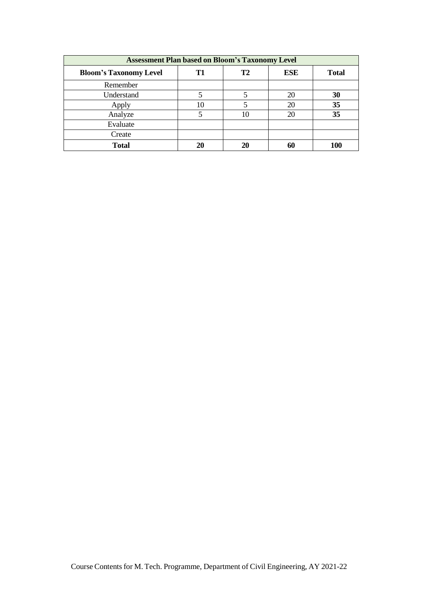| <b>Assessment Plan based on Bloom's Taxonomy Level</b> |    |    |            |              |  |  |  |  |
|--------------------------------------------------------|----|----|------------|--------------|--|--|--|--|
| <b>Bloom's Taxonomy Level</b>                          | T1 | T2 | <b>ESE</b> | <b>Total</b> |  |  |  |  |
| Remember                                               |    |    |            |              |  |  |  |  |
| Understand                                             | 5  |    | 20         | 30           |  |  |  |  |
| Apply                                                  | 10 |    | 20         | 35           |  |  |  |  |
| Analyze                                                |    | 10 | 20         | 35           |  |  |  |  |
| Evaluate                                               |    |    |            |              |  |  |  |  |
| Create                                                 |    |    |            |              |  |  |  |  |
| <b>Total</b>                                           | 20 | 20 |            | 100          |  |  |  |  |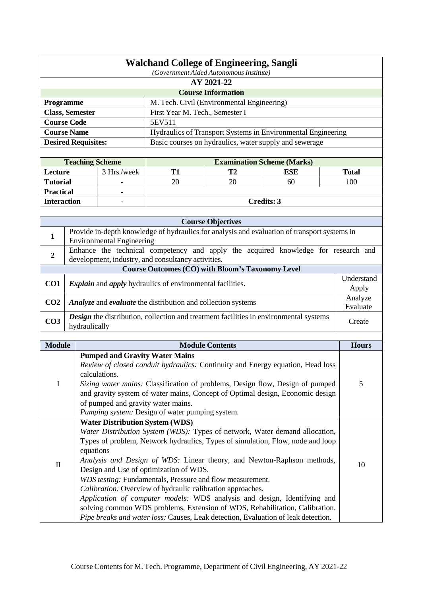|                    |                            |                                        |                                                                         | <b>Walchand College of Engineering, Sangli</b><br>(Government Aided Autonomous Institute) |                                                                                              |                     |  |  |
|--------------------|----------------------------|----------------------------------------|-------------------------------------------------------------------------|-------------------------------------------------------------------------------------------|----------------------------------------------------------------------------------------------|---------------------|--|--|
|                    | AY 2021-22                 |                                        |                                                                         |                                                                                           |                                                                                              |                     |  |  |
|                    |                            |                                        |                                                                         | <b>Course Information</b>                                                                 |                                                                                              |                     |  |  |
| Programme          |                            |                                        |                                                                         | M. Tech. Civil (Environmental Engineering)                                                |                                                                                              |                     |  |  |
|                    | <b>Class, Semester</b>     |                                        | First Year M. Tech., Semester I                                         |                                                                                           |                                                                                              |                     |  |  |
|                    | <b>Course Code</b>         |                                        | 5EV511                                                                  |                                                                                           |                                                                                              |                     |  |  |
|                    | <b>Course Name</b>         |                                        |                                                                         |                                                                                           | Hydraulics of Transport Systems in Environmental Engineering                                 |                     |  |  |
|                    | <b>Desired Requisites:</b> |                                        |                                                                         |                                                                                           | Basic courses on hydraulics, water supply and sewerage                                       |                     |  |  |
|                    |                            |                                        |                                                                         |                                                                                           |                                                                                              |                     |  |  |
|                    |                            | <b>Teaching Scheme</b>                 |                                                                         |                                                                                           | <b>Examination Scheme (Marks)</b>                                                            |                     |  |  |
| Lecture            |                            | 3 Hrs./week                            | <b>T1</b>                                                               | T <sub>2</sub>                                                                            | <b>ESE</b>                                                                                   | <b>Total</b>        |  |  |
| <b>Tutorial</b>    |                            |                                        | 20                                                                      | 20                                                                                        | 60                                                                                           | 100                 |  |  |
| <b>Practical</b>   |                            |                                        |                                                                         |                                                                                           |                                                                                              |                     |  |  |
| <b>Interaction</b> |                            |                                        |                                                                         |                                                                                           | <b>Credits: 3</b>                                                                            |                     |  |  |
|                    |                            |                                        |                                                                         |                                                                                           |                                                                                              |                     |  |  |
|                    |                            |                                        |                                                                         | <b>Course Objectives</b>                                                                  |                                                                                              |                     |  |  |
| 1                  |                            | <b>Environmental Engineering</b>       |                                                                         |                                                                                           | Provide in-depth knowledge of hydraulics for analysis and evaluation of transport systems in |                     |  |  |
| $\boldsymbol{2}$   |                            |                                        | development, industry, and consultancy activities.                      |                                                                                           | Enhance the technical competency and apply the acquired knowledge for research and           |                     |  |  |
|                    |                            |                                        |                                                                         | <b>Course Outcomes (CO) with Bloom's Taxonomy Level</b>                                   |                                                                                              |                     |  |  |
| CO <sub>1</sub>    |                            |                                        | <i>Explain</i> and <i>apply</i> hydraulics of environmental facilities. |                                                                                           |                                                                                              | Understand<br>Apply |  |  |
| CO <sub>2</sub>    |                            |                                        | Analyze and evaluate the distribution and collection systems            |                                                                                           |                                                                                              | Analyze<br>Evaluate |  |  |
|                    |                            |                                        |                                                                         |                                                                                           | Design the distribution, collection and treatment facilities in environmental systems        |                     |  |  |
| CO <sub>3</sub>    | hydraulically              |                                        |                                                                         |                                                                                           |                                                                                              | Create              |  |  |
| <b>Module</b>      |                            |                                        |                                                                         | <b>Module Contents</b>                                                                    |                                                                                              | <b>Hours</b>        |  |  |
|                    |                            | <b>Pumped and Gravity Water Mains</b>  |                                                                         |                                                                                           |                                                                                              |                     |  |  |
|                    |                            | calculations.                          |                                                                         |                                                                                           | Review of closed conduit hydraulics: Continuity and Energy equation, Head loss               |                     |  |  |
| I                  |                            |                                        |                                                                         |                                                                                           | Sizing water mains: Classification of problems, Design flow, Design of pumped                | 5                   |  |  |
|                    |                            |                                        |                                                                         |                                                                                           | and gravity system of water mains, Concept of Optimal design, Economic design                |                     |  |  |
|                    |                            | of pumped and gravity water mains.     | Pumping system: Design of water pumping system.                         |                                                                                           |                                                                                              |                     |  |  |
|                    |                            | <b>Water Distribution System (WDS)</b> |                                                                         |                                                                                           |                                                                                              |                     |  |  |
|                    |                            |                                        |                                                                         |                                                                                           | Water Distribution System (WDS): Types of network, Water demand allocation,                  |                     |  |  |
|                    |                            |                                        |                                                                         |                                                                                           | Types of problem, Network hydraulics, Types of simulation, Flow, node and loop               |                     |  |  |
|                    |                            | equations                              |                                                                         |                                                                                           |                                                                                              |                     |  |  |
|                    |                            |                                        |                                                                         |                                                                                           | Analysis and Design of WDS: Linear theory, and Newton-Raphson methods,                       |                     |  |  |
| $\mathbf H$        |                            |                                        | Design and Use of optimization of WDS.                                  |                                                                                           |                                                                                              | 10                  |  |  |
|                    |                            |                                        |                                                                         | WDS testing: Fundamentals, Pressure and flow measurement.                                 |                                                                                              |                     |  |  |
|                    |                            |                                        |                                                                         | Calibration: Overview of hydraulic calibration approaches.                                |                                                                                              |                     |  |  |
|                    |                            |                                        |                                                                         |                                                                                           | Application of computer models: WDS analysis and design, Identifying and                     |                     |  |  |
|                    |                            |                                        |                                                                         |                                                                                           | solving common WDS problems, Extension of WDS, Rehabilitation, Calibration.                  |                     |  |  |
|                    |                            |                                        |                                                                         |                                                                                           | Pipe breaks and water loss: Causes, Leak detection, Evaluation of leak detection.            |                     |  |  |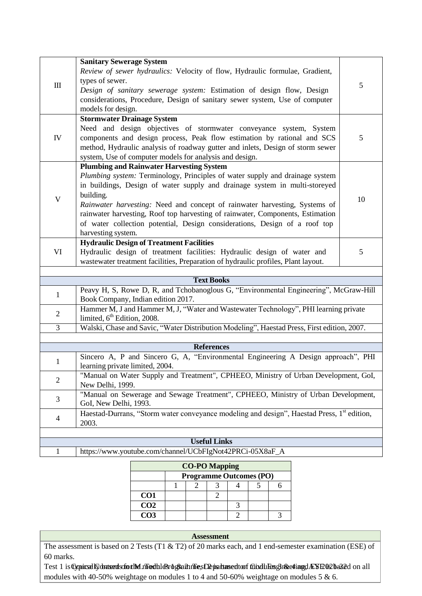| Ш              | <b>Sanitary Sewerage System</b><br>Review of sewer hydraulics: Velocity of flow, Hydraulic formulae, Gradient,<br>types of sewer.<br>Design of sanitary sewerage system: Estimation of design flow, Design<br>considerations, Procedure, Design of sanitary sewer system, Use of computer<br>models for design.                                                                                                                                                                                | 5  |
|----------------|------------------------------------------------------------------------------------------------------------------------------------------------------------------------------------------------------------------------------------------------------------------------------------------------------------------------------------------------------------------------------------------------------------------------------------------------------------------------------------------------|----|
| ${\rm IV}$     | <b>Stormwater Drainage System</b><br>Need and design objectives of stormwater conveyance system, System<br>components and design process, Peak flow estimation by rational and SCS<br>method, Hydraulic analysis of roadway gutter and inlets, Design of storm sewer<br>system, Use of computer models for analysis and design.                                                                                                                                                                | 5  |
| $\mathbf V$    | <b>Plumbing and Rainwater Harvesting System</b><br>Plumbing system: Terminology, Principles of water supply and drainage system<br>in buildings, Design of water supply and drainage system in multi-storeyed<br>building.<br>Rainwater harvesting: Need and concept of rainwater harvesting, Systems of<br>rainwater harvesting, Roof top harvesting of rainwater, Components, Estimation<br>of water collection potential, Design considerations, Design of a roof top<br>harvesting system. | 10 |
| VI             | <b>Hydraulic Design of Treatment Facilities</b><br>Hydraulic design of treatment facilities: Hydraulic design of water and<br>wastewater treatment facilities, Preparation of hydraulic profiles, Plant layout.                                                                                                                                                                                                                                                                                | 5  |
|                | <b>Text Books</b>                                                                                                                                                                                                                                                                                                                                                                                                                                                                              |    |
| $\mathbf{1}$   | Peavy H, S, Rowe D, R, and Tchobanoglous G, "Environmental Engineering", McGraw-Hill<br>Book Company, Indian edition 2017.                                                                                                                                                                                                                                                                                                                                                                     |    |
| $\overline{2}$ | Hammer M, J and Hammer M, J, "Water and Wastewater Technology", PHI learning private<br>limited, 6 <sup>th</sup> Edition, 2008.                                                                                                                                                                                                                                                                                                                                                                |    |
| $\overline{3}$ | Walski, Chase and Savic, "Water Distribution Modeling", Haestad Press, First edition, 2007.                                                                                                                                                                                                                                                                                                                                                                                                    |    |
|                | <b>References</b>                                                                                                                                                                                                                                                                                                                                                                                                                                                                              |    |
| $\mathbf{1}$   | Sincero A, P and Sincero G, A, "Environmental Engineering A Design approach", PHI<br>learning private limited, 2004.                                                                                                                                                                                                                                                                                                                                                                           |    |
| $\overline{2}$ | "Manual on Water Supply and Treatment", CPHEEO, Ministry of Urban Development, GoI,<br>New Delhi, 1999.                                                                                                                                                                                                                                                                                                                                                                                        |    |
| 3              | "Manual on Sewerage and Sewage Treatment", CPHEEO, Ministry of Urban Development,<br>GoI, New Delhi, 1993.                                                                                                                                                                                                                                                                                                                                                                                     |    |
| $\overline{4}$ | Haestad-Durrans, "Storm water conveyance modeling and design", Haestad Press, 1 <sup>st</sup> edition,<br>2003.                                                                                                                                                                                                                                                                                                                                                                                |    |
|                | <b>Useful Links</b>                                                                                                                                                                                                                                                                                                                                                                                                                                                                            |    |
| $\mathbf 1$    | https://www.youtube.com/channel/UCbFIgNot42PRCi-05X8aF_A                                                                                                                                                                                                                                                                                                                                                                                                                                       |    |
|                |                                                                                                                                                                                                                                                                                                                                                                                                                                                                                                |    |

| <b>CO-PO Mapping</b> |  |                                |  |  |  |  |  |  |  |
|----------------------|--|--------------------------------|--|--|--|--|--|--|--|
|                      |  | <b>Programme Outcomes (PO)</b> |  |  |  |  |  |  |  |
|                      |  |                                |  |  |  |  |  |  |  |
| CO <sub>1</sub>      |  |                                |  |  |  |  |  |  |  |
| CO <sub>2</sub>      |  |                                |  |  |  |  |  |  |  |
| CO <sub>3</sub>      |  |                                |  |  |  |  |  |  |  |

The assessment is based on 2 Tests (T1 & T2) of 20 marks each, and 1 end-semester examination (ESE) of 60 marks. **Assessment**

Test 1 is Gypical Gobutantschorthe modules bgrammes Departument of forduleng nreeting dAYE 02 ba32d on all modules with 40-50% weightage on modules 1 to 4 and 50-60% weightage on modules 5 & 6.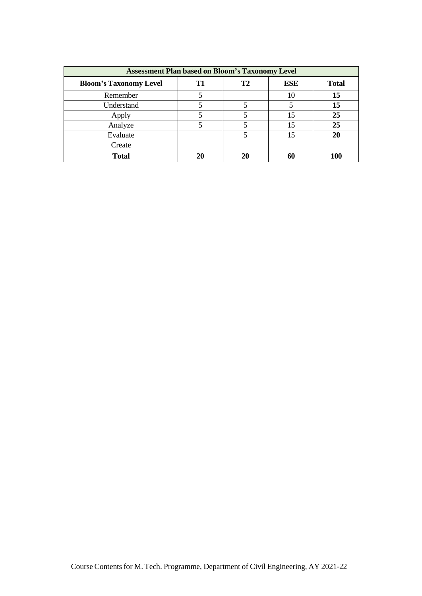| <b>Assessment Plan based on Bloom's Taxonomy Level</b> |    |    |            |              |  |  |  |
|--------------------------------------------------------|----|----|------------|--------------|--|--|--|
| <b>Bloom's Taxonomy Level</b>                          | T1 | T2 | <b>ESE</b> | <b>Total</b> |  |  |  |
| Remember                                               |    |    | 10         | 15           |  |  |  |
| Understand                                             |    |    |            | 15           |  |  |  |
| Apply                                                  |    |    | 15         | 25           |  |  |  |
| Analyze                                                |    |    | 15         | 25           |  |  |  |
| Evaluate                                               |    |    | 15         |              |  |  |  |
| Create                                                 |    |    |            |              |  |  |  |
| <b>Total</b>                                           | 20 | 20 |            |              |  |  |  |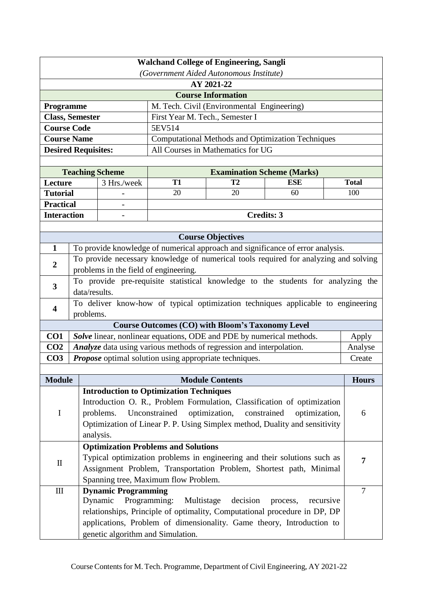| <b>Walchand College of Engineering, Sangli</b> |                            |                                                                             |                                                        |                                                                      |                                                                                      |                |  |
|------------------------------------------------|----------------------------|-----------------------------------------------------------------------------|--------------------------------------------------------|----------------------------------------------------------------------|--------------------------------------------------------------------------------------|----------------|--|
| (Government Aided Autonomous Institute)        |                            |                                                                             |                                                        |                                                                      |                                                                                      |                |  |
|                                                |                            |                                                                             |                                                        | AY 2021-22                                                           |                                                                                      |                |  |
|                                                |                            |                                                                             |                                                        | <b>Course Information</b>                                            |                                                                                      |                |  |
| <b>Programme</b>                               |                            |                                                                             |                                                        | M. Tech. Civil (Environmental Engineering)                           |                                                                                      |                |  |
|                                                | <b>Class, Semester</b>     |                                                                             | First Year M. Tech., Semester I                        |                                                                      |                                                                                      |                |  |
| <b>Course Code</b>                             |                            |                                                                             | 5EV514                                                 |                                                                      |                                                                                      |                |  |
|                                                | <b>Course Name</b>         |                                                                             |                                                        |                                                                      | <b>Computational Methods and Optimization Techniques</b>                             |                |  |
|                                                | <b>Desired Requisites:</b> |                                                                             |                                                        | All Courses in Mathematics for UG                                    |                                                                                      |                |  |
|                                                |                            |                                                                             |                                                        |                                                                      |                                                                                      |                |  |
|                                                | <b>Teaching Scheme</b>     |                                                                             |                                                        | <b>Examination Scheme (Marks)</b>                                    |                                                                                      |                |  |
| Lecture                                        |                            | 3 Hrs./week                                                                 | <b>T1</b>                                              | <b>T2</b>                                                            | <b>ESE</b>                                                                           | <b>Total</b>   |  |
| <b>Tutorial</b>                                |                            |                                                                             | 20                                                     | 20                                                                   | 60                                                                                   | 100            |  |
| <b>Practical</b>                               |                            |                                                                             |                                                        |                                                                      |                                                                                      |                |  |
| <b>Interaction</b>                             |                            |                                                                             |                                                        | <b>Credits: 3</b>                                                    |                                                                                      |                |  |
|                                                |                            |                                                                             |                                                        |                                                                      |                                                                                      |                |  |
| $\mathbf{1}$                                   |                            |                                                                             |                                                        | <b>Course Objectives</b>                                             |                                                                                      |                |  |
|                                                |                            |                                                                             |                                                        |                                                                      | To provide knowledge of numerical approach and significance of error analysis.       |                |  |
| $\boldsymbol{2}$                               |                            |                                                                             |                                                        |                                                                      | To provide necessary knowledge of numerical tools required for analyzing and solving |                |  |
|                                                |                            | problems in the field of engineering.                                       |                                                        |                                                                      | To provide pre-requisite statistical knowledge to the students for analyzing the     |                |  |
| $\overline{\mathbf{3}}$                        | data/results.              |                                                                             |                                                        |                                                                      |                                                                                      |                |  |
|                                                |                            |                                                                             |                                                        |                                                                      | To deliver know-how of typical optimization techniques applicable to engineering     |                |  |
| $\overline{\mathbf{4}}$                        | problems.                  |                                                                             |                                                        |                                                                      |                                                                                      |                |  |
|                                                |                            |                                                                             |                                                        | <b>Course Outcomes (CO) with Bloom's Taxonomy Level</b>              |                                                                                      |                |  |
| CO1                                            |                            |                                                                             |                                                        | Solve linear, nonlinear equations, ODE and PDE by numerical methods. |                                                                                      | Apply          |  |
| CO <sub>2</sub>                                |                            |                                                                             |                                                        | Analyze data using various methods of regression and interpolation.  |                                                                                      | Analyse        |  |
| CO <sub>3</sub>                                |                            |                                                                             | Propose optimal solution using appropriate techniques. |                                                                      |                                                                                      | Create         |  |
|                                                |                            |                                                                             |                                                        |                                                                      |                                                                                      |                |  |
| <b>Module</b>                                  |                            |                                                                             |                                                        | <b>Module Contents</b>                                               |                                                                                      | <b>Hours</b>   |  |
|                                                |                            |                                                                             | <b>Introduction to Optimization Techniques</b>         |                                                                      |                                                                                      |                |  |
|                                                |                            |                                                                             |                                                        |                                                                      | Introduction O. R., Problem Formulation, Classification of optimization              |                |  |
| $\mathbf I$                                    |                            | optimization,<br>Unconstrained<br>constrained<br>optimization,<br>problems. |                                                        |                                                                      |                                                                                      |                |  |
|                                                |                            | Optimization of Linear P. P. Using Simplex method, Duality and sensitivity  |                                                        |                                                                      |                                                                                      |                |  |
|                                                | analysis.                  |                                                                             |                                                        |                                                                      |                                                                                      |                |  |
|                                                |                            |                                                                             | <b>Optimization Problems and Solutions</b>             |                                                                      |                                                                                      |                |  |
| $\mathbf{I}$                                   |                            |                                                                             |                                                        |                                                                      | Typical optimization problems in engineering and their solutions such as             | 7              |  |
|                                                |                            | Assignment Problem, Transportation Problem, Shortest path, Minimal          |                                                        |                                                                      |                                                                                      |                |  |
|                                                |                            |                                                                             | Spanning tree, Maximum flow Problem.                   |                                                                      |                                                                                      |                |  |
| $\rm III$                                      |                            | <b>Dynamic Programming</b>                                                  |                                                        |                                                                      |                                                                                      | $\overline{7}$ |  |
|                                                |                            | Dynamic                                                                     | Programming:<br>Multistage                             | decision                                                             | recursive<br>process,                                                                |                |  |
|                                                |                            |                                                                             |                                                        |                                                                      | relationships, Principle of optimality, Computational procedure in DP, DP            |                |  |
|                                                |                            |                                                                             |                                                        |                                                                      | applications, Problem of dimensionality. Game theory, Introduction to                |                |  |
|                                                |                            |                                                                             | genetic algorithm and Simulation.                      |                                                                      |                                                                                      |                |  |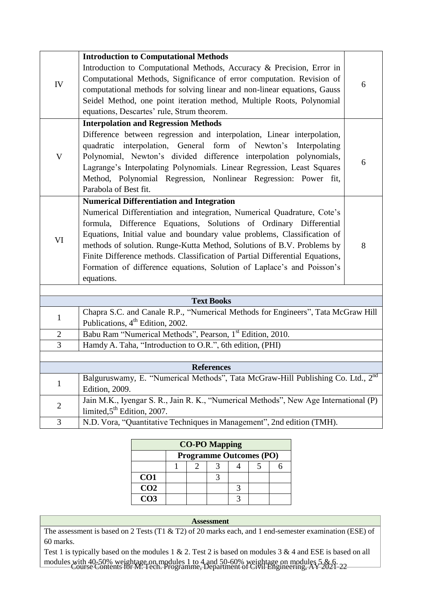|                | <b>Introduction to Computational Methods</b>                                                |   |
|----------------|---------------------------------------------------------------------------------------------|---|
| IV             | Introduction to Computational Methods, Accuracy & Precision, Error in                       |   |
|                | Computational Methods, Significance of error computation. Revision of                       | 6 |
|                | computational methods for solving linear and non-linear equations, Gauss                    |   |
|                | Seidel Method, one point iteration method, Multiple Roots, Polynomial                       |   |
|                | equations, Descartes' rule, Strum theorem.                                                  |   |
|                | <b>Interpolation and Regression Methods</b>                                                 |   |
|                | Difference between regression and interpolation, Linear interpolation,                      |   |
|                | quadratic interpolation, General form of Newton's<br>Interpolating                          |   |
| $\mathbf V$    | Polynomial, Newton's divided difference interpolation polynomials,                          |   |
|                | Lagrange's Interpolating Polynomials. Linear Regression, Least Squares                      | 6 |
|                | Method, Polynomial Regression, Nonlinear Regression: Power fit,                             |   |
|                | Parabola of Best fit.                                                                       |   |
|                | <b>Numerical Differentiation and Integration</b>                                            |   |
|                | Numerical Differentiation and integration, Numerical Quadrature, Cote's                     |   |
|                | formula, Difference Equations, Solutions of Ordinary Differential                           |   |
|                | Equations, Initial value and boundary value problems, Classification of                     |   |
| VI             | methods of solution. Runge-Kutta Method, Solutions of B.V. Problems by                      | 8 |
|                | Finite Difference methods. Classification of Partial Differential Equations,                |   |
|                | Formation of difference equations, Solution of Laplace's and Poisson's                      |   |
|                | equations.                                                                                  |   |
|                |                                                                                             |   |
|                | <b>Text Books</b>                                                                           |   |
| $\mathbf{1}$   | Chapra S.C. and Canale R.P., "Numerical Methods for Engineers", Tata McGraw Hill            |   |
|                | Publications, 4 <sup>th</sup> Edition, 2002.                                                |   |
| $\overline{2}$ | Babu Ram "Numerical Methods", Pearson, 1 <sup>st</sup> Edition, 2010.                       |   |
| $\overline{3}$ | Hamdy A. Taha, "Introduction to O.R.", 6th edition, (PHI)                                   |   |
|                |                                                                                             |   |
|                | <b>References</b>                                                                           |   |
| $\mathbf{1}$   | Balguruswamy, E. "Numerical Methods", Tata McGraw-Hill Publishing Co. Ltd., 2 <sup>nd</sup> |   |
|                | Edition, 2009.                                                                              |   |
| $\overline{2}$ | Jain M.K., Iyengar S. R., Jain R. K., "Numerical Methods", New Age International (P)        |   |
|                | limited, $5^{\text{th}}$ Edition, 2007.                                                     |   |
| 3              | N.D. Vora, "Quantitative Techniques in Management", 2nd edition (TMH).                      |   |

| <b>CO-PO Mapping</b> |  |                                |  |  |  |  |  |  |
|----------------------|--|--------------------------------|--|--|--|--|--|--|
|                      |  | <b>Programme Outcomes (PO)</b> |  |  |  |  |  |  |
|                      |  |                                |  |  |  |  |  |  |
| CO <sub>1</sub>      |  |                                |  |  |  |  |  |  |
| CO <sub>2</sub>      |  |                                |  |  |  |  |  |  |
| CO <sub>3</sub>      |  |                                |  |  |  |  |  |  |

The assessment is based on 2 Tests (T1 & T2) of 20 marks each, and 1 end-semester examination (ESE) of 60 marks.

modules with 40-50% weightage on modules 1 to 4 and 50-60% weightage on modules 5 & 6.<br>Course Contents for M. Tech. Programme, Department of Civil Engineering, AY 2021-22 Test 1 is typically based on the modules 1 & 2. Test 2 is based on modules 3 & 4 and ESE is based on all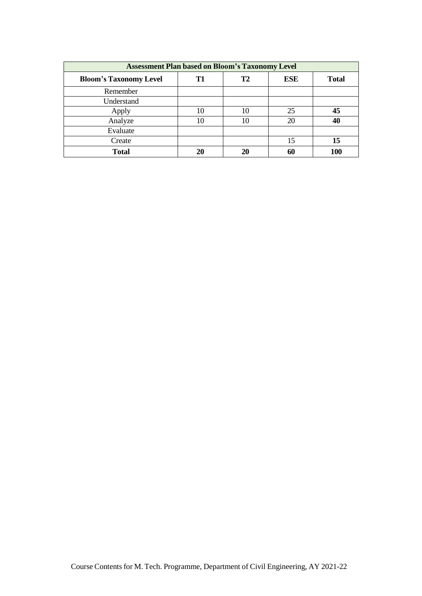| <b>Assessment Plan based on Bloom's Taxonomy Level</b> |    |                |     |              |  |  |
|--------------------------------------------------------|----|----------------|-----|--------------|--|--|
| <b>Bloom's Taxonomy Level</b>                          | T1 | T <sub>2</sub> | ESE | <b>Total</b> |  |  |
| Remember                                               |    |                |     |              |  |  |
| Understand                                             |    |                |     |              |  |  |
| Apply                                                  | 10 | 10             | 25  | 45           |  |  |
| Analyze                                                | 10 | 10             | 20  | 40           |  |  |
| Evaluate                                               |    |                |     |              |  |  |
| Create                                                 |    |                | 15  | 15           |  |  |
| <b>Total</b>                                           | 20 | 20             | 60  |              |  |  |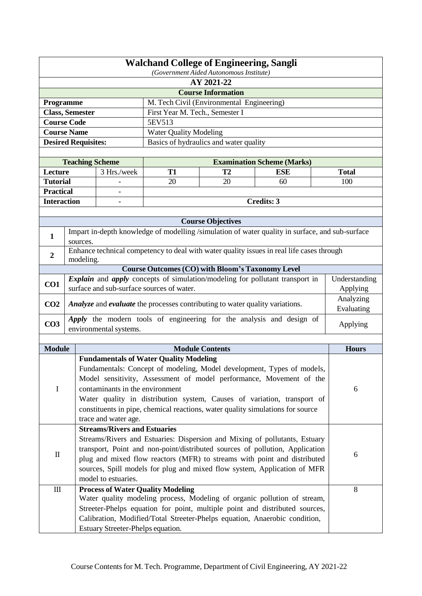|                                                                                                                                                                                                                                                                                                                                                                                                                                            | <b>Walchand College of Engineering, Sangli</b><br>(Government Aided Autonomous Institute) |                                                                                                                                                                                                                                                                            |                                 |                                                                                                                                                                                                                                                                                                                    |                                   |  |                           |
|--------------------------------------------------------------------------------------------------------------------------------------------------------------------------------------------------------------------------------------------------------------------------------------------------------------------------------------------------------------------------------------------------------------------------------------------|-------------------------------------------------------------------------------------------|----------------------------------------------------------------------------------------------------------------------------------------------------------------------------------------------------------------------------------------------------------------------------|---------------------------------|--------------------------------------------------------------------------------------------------------------------------------------------------------------------------------------------------------------------------------------------------------------------------------------------------------------------|-----------------------------------|--|---------------------------|
| AY 2021-22                                                                                                                                                                                                                                                                                                                                                                                                                                 |                                                                                           |                                                                                                                                                                                                                                                                            |                                 |                                                                                                                                                                                                                                                                                                                    |                                   |  |                           |
|                                                                                                                                                                                                                                                                                                                                                                                                                                            |                                                                                           |                                                                                                                                                                                                                                                                            |                                 | <b>Course Information</b>                                                                                                                                                                                                                                                                                          |                                   |  |                           |
| Programme                                                                                                                                                                                                                                                                                                                                                                                                                                  |                                                                                           |                                                                                                                                                                                                                                                                            |                                 | M. Tech Civil (Environmental Engineering)                                                                                                                                                                                                                                                                          |                                   |  |                           |
| <b>Class, Semester</b>                                                                                                                                                                                                                                                                                                                                                                                                                     |                                                                                           |                                                                                                                                                                                                                                                                            | First Year M. Tech., Semester I |                                                                                                                                                                                                                                                                                                                    |                                   |  |                           |
| <b>Course Code</b>                                                                                                                                                                                                                                                                                                                                                                                                                         |                                                                                           |                                                                                                                                                                                                                                                                            | 5EV513                          |                                                                                                                                                                                                                                                                                                                    |                                   |  |                           |
| <b>Course Name</b>                                                                                                                                                                                                                                                                                                                                                                                                                         |                                                                                           |                                                                                                                                                                                                                                                                            | <b>Water Quality Modeling</b>   |                                                                                                                                                                                                                                                                                                                    |                                   |  |                           |
|                                                                                                                                                                                                                                                                                                                                                                                                                                            |                                                                                           | <b>Desired Requisites:</b>                                                                                                                                                                                                                                                 |                                 | Basics of hydraulics and water quality                                                                                                                                                                                                                                                                             |                                   |  |                           |
|                                                                                                                                                                                                                                                                                                                                                                                                                                            |                                                                                           |                                                                                                                                                                                                                                                                            |                                 |                                                                                                                                                                                                                                                                                                                    |                                   |  |                           |
|                                                                                                                                                                                                                                                                                                                                                                                                                                            |                                                                                           | <b>Teaching Scheme</b>                                                                                                                                                                                                                                                     |                                 |                                                                                                                                                                                                                                                                                                                    | <b>Examination Scheme (Marks)</b> |  |                           |
| Lecture                                                                                                                                                                                                                                                                                                                                                                                                                                    |                                                                                           | 3 Hrs./week                                                                                                                                                                                                                                                                | <b>T1</b>                       | T <sub>2</sub>                                                                                                                                                                                                                                                                                                     | <b>ESE</b>                        |  | <b>Total</b>              |
| <b>Tutorial</b>                                                                                                                                                                                                                                                                                                                                                                                                                            |                                                                                           |                                                                                                                                                                                                                                                                            | 20                              | 20                                                                                                                                                                                                                                                                                                                 | 60                                |  | 100                       |
| <b>Practical</b>                                                                                                                                                                                                                                                                                                                                                                                                                           |                                                                                           |                                                                                                                                                                                                                                                                            |                                 |                                                                                                                                                                                                                                                                                                                    |                                   |  |                           |
| <b>Interaction</b>                                                                                                                                                                                                                                                                                                                                                                                                                         |                                                                                           |                                                                                                                                                                                                                                                                            |                                 |                                                                                                                                                                                                                                                                                                                    | Credits: 3                        |  |                           |
|                                                                                                                                                                                                                                                                                                                                                                                                                                            |                                                                                           |                                                                                                                                                                                                                                                                            |                                 |                                                                                                                                                                                                                                                                                                                    |                                   |  |                           |
|                                                                                                                                                                                                                                                                                                                                                                                                                                            |                                                                                           |                                                                                                                                                                                                                                                                            |                                 | <b>Course Objectives</b>                                                                                                                                                                                                                                                                                           |                                   |  |                           |
| 1                                                                                                                                                                                                                                                                                                                                                                                                                                          | sources.                                                                                  | Impart in-depth knowledge of modelling /simulation of water quality in surface, and sub-surface                                                                                                                                                                            |                                 |                                                                                                                                                                                                                                                                                                                    |                                   |  |                           |
| $\boldsymbol{2}$                                                                                                                                                                                                                                                                                                                                                                                                                           |                                                                                           | Enhance technical competency to deal with water quality issues in real life cases through<br>modeling.                                                                                                                                                                     |                                 |                                                                                                                                                                                                                                                                                                                    |                                   |  |                           |
|                                                                                                                                                                                                                                                                                                                                                                                                                                            |                                                                                           |                                                                                                                                                                                                                                                                            |                                 | <b>Course Outcomes (CO) with Bloom's Taxonomy Level</b>                                                                                                                                                                                                                                                            |                                   |  |                           |
| CO1                                                                                                                                                                                                                                                                                                                                                                                                                                        |                                                                                           | <i>Explain</i> and <i>apply</i> concepts of simulation/modeling for pollutant transport in<br>surface and sub-surface sources of water.                                                                                                                                    |                                 |                                                                                                                                                                                                                                                                                                                    |                                   |  | Understanding<br>Applying |
|                                                                                                                                                                                                                                                                                                                                                                                                                                            |                                                                                           |                                                                                                                                                                                                                                                                            |                                 |                                                                                                                                                                                                                                                                                                                    |                                   |  | Analyzing                 |
| CO <sub>2</sub>                                                                                                                                                                                                                                                                                                                                                                                                                            |                                                                                           | Analyze and evaluate the processes contributing to water quality variations.                                                                                                                                                                                               |                                 |                                                                                                                                                                                                                                                                                                                    |                                   |  | Evaluating                |
| CO <sub>3</sub>                                                                                                                                                                                                                                                                                                                                                                                                                            |                                                                                           | Apply the modern tools of engineering for the analysis and design of<br>environmental systems.                                                                                                                                                                             |                                 |                                                                                                                                                                                                                                                                                                                    |                                   |  | Applying                  |
|                                                                                                                                                                                                                                                                                                                                                                                                                                            |                                                                                           |                                                                                                                                                                                                                                                                            |                                 |                                                                                                                                                                                                                                                                                                                    |                                   |  |                           |
| <b>Module</b>                                                                                                                                                                                                                                                                                                                                                                                                                              |                                                                                           |                                                                                                                                                                                                                                                                            |                                 | <b>Module Contents</b>                                                                                                                                                                                                                                                                                             |                                   |  | <b>Hours</b>              |
| <b>Fundamentals of Water Quality Modeling</b><br>Fundamentals: Concept of modeling, Model development, Types of models,<br>Model sensitivity, Assessment of model performance, Movement of the<br>$\mathbf I$<br>contaminants in the environment<br>6<br>Water quality in distribution system, Causes of variation, transport of<br>constituents in pipe, chemical reactions, water quality simulations for source<br>trace and water age. |                                                                                           |                                                                                                                                                                                                                                                                            |                                 |                                                                                                                                                                                                                                                                                                                    |                                   |  |                           |
|                                                                                                                                                                                                                                                                                                                                                                                                                                            |                                                                                           | <b>Streams/Rivers and Estuaries</b>                                                                                                                                                                                                                                        |                                 |                                                                                                                                                                                                                                                                                                                    |                                   |  |                           |
| $\mathbf{I}$<br>model to estuaries.                                                                                                                                                                                                                                                                                                                                                                                                        |                                                                                           |                                                                                                                                                                                                                                                                            |                                 | Streams/Rivers and Estuaries: Dispersion and Mixing of pollutants, Estuary<br>transport, Point and non-point/distributed sources of pollution, Application<br>plug and mixed flow reactors (MFR) to streams with point and distributed<br>sources, Spill models for plug and mixed flow system, Application of MFR |                                   |  | 6                         |
| $\rm III$                                                                                                                                                                                                                                                                                                                                                                                                                                  |                                                                                           | <b>Process of Water Quality Modeling</b>                                                                                                                                                                                                                                   |                                 |                                                                                                                                                                                                                                                                                                                    |                                   |  | 8                         |
|                                                                                                                                                                                                                                                                                                                                                                                                                                            |                                                                                           | Water quality modeling process, Modeling of organic pollution of stream,<br>Streeter-Phelps equation for point, multiple point and distributed sources,<br>Calibration, Modified/Total Streeter-Phelps equation, Anaerobic condition,<br>Estuary Streeter-Phelps equation. |                                 |                                                                                                                                                                                                                                                                                                                    |                                   |  |                           |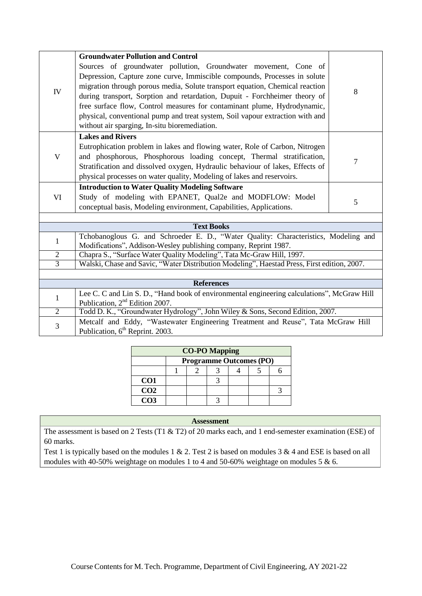|                | <b>Groundwater Pollution and Control</b>                                                                                                                             |                |  |  |  |
|----------------|----------------------------------------------------------------------------------------------------------------------------------------------------------------------|----------------|--|--|--|
|                | Sources of groundwater pollution, Groundwater movement, Cone of                                                                                                      |                |  |  |  |
|                | Depression, Capture zone curve, Immiscible compounds, Processes in solute                                                                                            |                |  |  |  |
| IV             | migration through porous media, Solute transport equation, Chemical reaction                                                                                         | 8              |  |  |  |
|                | during transport, Sorption and retardation, Dupuit - Forchheimer theory of                                                                                           |                |  |  |  |
|                | free surface flow, Control measures for contaminant plume, Hydrodynamic,                                                                                             |                |  |  |  |
|                | physical, conventional pump and treat system, Soil vapour extraction with and                                                                                        |                |  |  |  |
|                | without air sparging, In-situ bioremediation.                                                                                                                        |                |  |  |  |
|                | <b>Lakes and Rivers</b>                                                                                                                                              |                |  |  |  |
|                | Eutrophication problem in lakes and flowing water, Role of Carbon, Nitrogen                                                                                          |                |  |  |  |
| $\mathbf V$    | and phosphorous, Phosphorous loading concept, Thermal stratification,                                                                                                | $\overline{7}$ |  |  |  |
|                | Stratification and dissolved oxygen, Hydraulic behaviour of lakes, Effects of                                                                                        |                |  |  |  |
|                | physical processes on water quality, Modeling of lakes and reservoirs.                                                                                               |                |  |  |  |
|                | <b>Introduction to Water Quality Modeling Software</b>                                                                                                               |                |  |  |  |
| VI             | Study of modeling with EPANET, Qual2e and MODFLOW: Model                                                                                                             | 5              |  |  |  |
|                | conceptual basis, Modeling environment, Capabilities, Applications.                                                                                                  |                |  |  |  |
|                |                                                                                                                                                                      |                |  |  |  |
|                | <b>Text Books</b>                                                                                                                                                    |                |  |  |  |
| $\mathbf{1}$   | Tchobanoglous G. and Schroeder E. D., "Water Quality: Characteristics, Modeling and                                                                                  |                |  |  |  |
| $\overline{2}$ | Modifications", Addison-Wesley publishing company, Reprint 1987.                                                                                                     |                |  |  |  |
| $\overline{3}$ | Chapra S., "Surface Water Quality Modeling", Tata Mc-Graw Hill, 1997.<br>Walski, Chase and Savic, "Water Distribution Modeling", Haestad Press, First edition, 2007. |                |  |  |  |
|                |                                                                                                                                                                      |                |  |  |  |
|                | <b>References</b>                                                                                                                                                    |                |  |  |  |
|                | Lee C. C and Lin S. D., "Hand book of environmental engineering calculations", McGraw Hill                                                                           |                |  |  |  |
| 1              | Publication, 2 <sup>nd</sup> Edition 2007.                                                                                                                           |                |  |  |  |
| $\overline{2}$ | Todd D. K., "Groundwater Hydrology", John Wiley & Sons, Second Edition, 2007.                                                                                        |                |  |  |  |
|                | Metcalf and Eddy, "Wastewater Engineering Treatment and Reuse", Tata McGraw Hill                                                                                     |                |  |  |  |
| 3              | Publication, 6 <sup>th</sup> Reprint. 2003.                                                                                                                          |                |  |  |  |

| <b>CO-PO Mapping</b> |  |                                |  |  |  |  |  |
|----------------------|--|--------------------------------|--|--|--|--|--|
|                      |  | <b>Programme Outcomes (PO)</b> |  |  |  |  |  |
|                      |  |                                |  |  |  |  |  |
| CO <sub>1</sub>      |  |                                |  |  |  |  |  |
| CO <sub>2</sub>      |  |                                |  |  |  |  |  |
| CO <sub>3</sub>      |  |                                |  |  |  |  |  |

The assessment is based on 2 Tests (T1 & T2) of 20 marks each, and 1 end-semester examination (ESE) of 60 marks.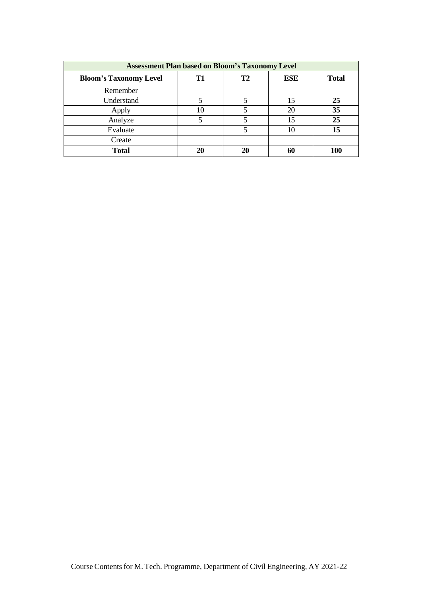| <b>Assessment Plan based on Bloom's Taxonomy Level</b> |    |    |            |              |  |  |
|--------------------------------------------------------|----|----|------------|--------------|--|--|
| <b>Bloom's Taxonomy Level</b>                          | Т1 | T2 | <b>ESE</b> | <b>Total</b> |  |  |
| Remember                                               |    |    |            |              |  |  |
| Understand                                             |    |    | 15         | 25           |  |  |
| Apply                                                  | 10 |    | 20         | 35           |  |  |
| Analyze                                                |    |    | 15         | 25           |  |  |
| Evaluate                                               |    |    | 10         | 15           |  |  |
| Create                                                 |    |    |            |              |  |  |
| <b>Total</b>                                           | 20 | 20 | 60         | 100          |  |  |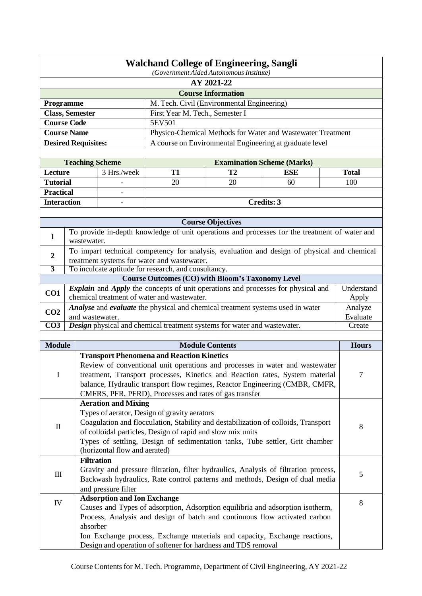| <b>Walchand College of Engineering, Sangli</b><br>(Government Aided Autonomous Institute) |                           |                                                                                                     |                                                                              |                                                         |                                                                                                |                     |  |  |
|-------------------------------------------------------------------------------------------|---------------------------|-----------------------------------------------------------------------------------------------------|------------------------------------------------------------------------------|---------------------------------------------------------|------------------------------------------------------------------------------------------------|---------------------|--|--|
|                                                                                           | AY 2021-22                |                                                                                                     |                                                                              |                                                         |                                                                                                |                     |  |  |
|                                                                                           | <b>Course Information</b> |                                                                                                     |                                                                              |                                                         |                                                                                                |                     |  |  |
| Programme                                                                                 |                           |                                                                                                     |                                                                              | M. Tech. Civil (Environmental Engineering)              |                                                                                                |                     |  |  |
| <b>Class, Semester</b>                                                                    |                           |                                                                                                     | First Year M. Tech., Semester I                                              |                                                         |                                                                                                |                     |  |  |
| <b>Course Code</b>                                                                        |                           |                                                                                                     | 5EV501                                                                       |                                                         |                                                                                                |                     |  |  |
| <b>Course Name</b>                                                                        |                           |                                                                                                     |                                                                              |                                                         | Physico-Chemical Methods for Water and Wastewater Treatment                                    |                     |  |  |
|                                                                                           |                           | <b>Desired Requisites:</b>                                                                          |                                                                              |                                                         | A course on Environmental Engineering at graduate level                                        |                     |  |  |
|                                                                                           |                           |                                                                                                     |                                                                              |                                                         |                                                                                                |                     |  |  |
|                                                                                           |                           | <b>Teaching Scheme</b>                                                                              |                                                                              |                                                         | <b>Examination Scheme (Marks)</b>                                                              |                     |  |  |
| Lecture                                                                                   |                           | 3 Hrs./week                                                                                         | <b>T1</b>                                                                    | T2                                                      | <b>ESE</b>                                                                                     | <b>Total</b>        |  |  |
| <b>Tutorial</b>                                                                           |                           |                                                                                                     | 20                                                                           | 20                                                      | 60                                                                                             | 100                 |  |  |
| <b>Practical</b>                                                                          |                           |                                                                                                     |                                                                              |                                                         |                                                                                                |                     |  |  |
| <b>Interaction</b>                                                                        |                           |                                                                                                     |                                                                              |                                                         | Credits: 3                                                                                     |                     |  |  |
|                                                                                           |                           |                                                                                                     |                                                                              |                                                         |                                                                                                |                     |  |  |
|                                                                                           |                           |                                                                                                     |                                                                              | <b>Course Objectives</b>                                |                                                                                                |                     |  |  |
| 1                                                                                         |                           | wastewater.                                                                                         |                                                                              |                                                         | To provide in-depth knowledge of unit operations and processes for the treatment of water and  |                     |  |  |
| $\boldsymbol{2}$                                                                          |                           |                                                                                                     |                                                                              |                                                         | To impart technical competency for analysis, evaluation and design of physical and chemical    |                     |  |  |
| $\overline{3}$                                                                            |                           | treatment systems for water and wastewater.<br>To inculcate aptitude for research, and consultancy. |                                                                              |                                                         |                                                                                                |                     |  |  |
|                                                                                           |                           |                                                                                                     |                                                                              | <b>Course Outcomes (CO) with Bloom's Taxonomy Level</b> |                                                                                                |                     |  |  |
| CO1                                                                                       |                           |                                                                                                     |                                                                              |                                                         | <i>Explain</i> and <i>Apply</i> the concepts of unit operations and processes for physical and | Understand          |  |  |
| chemical treatment of water and wastewater.                                               |                           |                                                                                                     |                                                                              |                                                         | Apply                                                                                          |                     |  |  |
| CO <sub>2</sub>                                                                           |                           | Analyse and evaluate the physical and chemical treatment systems used in water<br>and wastewater.   |                                                                              |                                                         |                                                                                                | Analyze<br>Evaluate |  |  |
| $\overline{CO3}$                                                                          |                           | Design physical and chemical treatment systems for water and wastewater.                            |                                                                              |                                                         |                                                                                                | Create              |  |  |
|                                                                                           |                           |                                                                                                     |                                                                              |                                                         |                                                                                                |                     |  |  |
| <b>Module</b>                                                                             |                           |                                                                                                     |                                                                              | <b>Module Contents</b>                                  |                                                                                                | <b>Hours</b>        |  |  |
|                                                                                           |                           | <b>Transport Phenomena and Reaction Kinetics</b>                                                    |                                                                              |                                                         |                                                                                                |                     |  |  |
|                                                                                           |                           |                                                                                                     | Review of conventional unit operations and processes in water and wastewater |                                                         |                                                                                                |                     |  |  |
| I                                                                                         |                           | treatment, Transport processes, Kinetics and Reaction rates, System material                        |                                                                              | 7                                                       |                                                                                                |                     |  |  |
|                                                                                           |                           |                                                                                                     |                                                                              |                                                         | balance, Hydraulic transport flow regimes, Reactor Engineering (CMBR, CMFR,                    |                     |  |  |
|                                                                                           |                           | CMFRS, PFR, PFRD), Processes and rates of gas transfer                                              |                                                                              |                                                         |                                                                                                |                     |  |  |
|                                                                                           |                           | <b>Aeration and Mixing</b>                                                                          |                                                                              |                                                         |                                                                                                |                     |  |  |
|                                                                                           |                           | Types of aerator, Design of gravity aerators                                                        |                                                                              |                                                         |                                                                                                |                     |  |  |
| $\mathop{\mathrm{II}}\nolimits$                                                           |                           |                                                                                                     |                                                                              |                                                         | Coagulation and flocculation, Stability and destabilization of colloids, Transport             | 8                   |  |  |
|                                                                                           |                           | of colloidal particles, Design of rapid and slow mix units                                          |                                                                              |                                                         |                                                                                                |                     |  |  |
|                                                                                           |                           |                                                                                                     |                                                                              |                                                         | Types of settling, Design of sedimentation tanks, Tube settler, Grit chamber                   |                     |  |  |
|                                                                                           |                           | (horizontal flow and aerated)                                                                       |                                                                              |                                                         |                                                                                                |                     |  |  |
|                                                                                           |                           | <b>Filtration</b>                                                                                   |                                                                              |                                                         |                                                                                                |                     |  |  |
| $\mathop{\mathrm{III}}\nolimits$                                                          |                           |                                                                                                     |                                                                              |                                                         | Gravity and pressure filtration, filter hydraulics, Analysis of filtration process,            | 5                   |  |  |
|                                                                                           |                           | Backwash hydraulics, Rate control patterns and methods, Design of dual media<br>and pressure filter |                                                                              |                                                         |                                                                                                |                     |  |  |
|                                                                                           |                           | <b>Adsorption and Ion Exchange</b>                                                                  |                                                                              |                                                         |                                                                                                |                     |  |  |
| IV                                                                                        |                           |                                                                                                     |                                                                              |                                                         | Causes and Types of adsorption, Adsorption equilibria and adsorption isotherm,                 | 8                   |  |  |
|                                                                                           |                           |                                                                                                     |                                                                              |                                                         | Process, Analysis and design of batch and continuous flow activated carbon                     |                     |  |  |
|                                                                                           |                           | absorber                                                                                            |                                                                              |                                                         |                                                                                                |                     |  |  |
|                                                                                           |                           |                                                                                                     |                                                                              |                                                         | Ion Exchange process, Exchange materials and capacity, Exchange reactions,                     |                     |  |  |
|                                                                                           |                           | Design and operation of softener for hardness and TDS removal                                       |                                                                              |                                                         |                                                                                                |                     |  |  |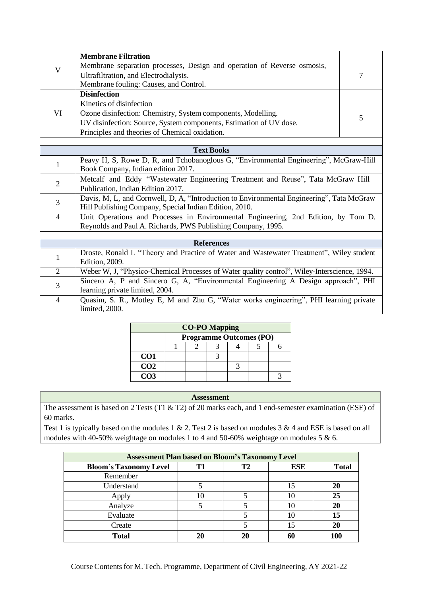|                | <b>Membrane Filtration</b>                                                                                           |   |  |  |  |
|----------------|----------------------------------------------------------------------------------------------------------------------|---|--|--|--|
| $\mathbf V$    | Membrane separation processes, Design and operation of Reverse osmosis,                                              |   |  |  |  |
|                | Ultrafiltration, and Electrodialysis.                                                                                | 7 |  |  |  |
|                | Membrane fouling: Causes, and Control.                                                                               |   |  |  |  |
|                | <b>Disinfection</b>                                                                                                  |   |  |  |  |
|                | Kinetics of disinfection                                                                                             |   |  |  |  |
| VI             | Ozone disinfection: Chemistry, System components, Modelling.                                                         | 5 |  |  |  |
|                | UV disinfection: Source, System components, Estimation of UV dose.                                                   |   |  |  |  |
|                | Principles and theories of Chemical oxidation.                                                                       |   |  |  |  |
|                |                                                                                                                      |   |  |  |  |
|                | <b>Text Books</b>                                                                                                    |   |  |  |  |
| 1              | Peavy H, S, Rowe D, R, and Tchobanoglous G, "Environmental Engineering", McGraw-Hill                                 |   |  |  |  |
|                | Book Company, Indian edition 2017.                                                                                   |   |  |  |  |
| $\overline{2}$ | Metcalf and Eddy "Wastewater Engineering Treatment and Reuse", Tata McGraw Hill                                      |   |  |  |  |
|                | Publication, Indian Edition 2017.                                                                                    |   |  |  |  |
| 3              | Davis, M, L, and Cornwell, D, A, "Introduction to Environmental Engineering", Tata McGraw                            |   |  |  |  |
|                | Hill Publishing Company, Special Indian Edition, 2010.                                                               |   |  |  |  |
| $\overline{4}$ | Unit Operations and Processes in Environmental Engineering, 2nd Edition, by Tom D.                                   |   |  |  |  |
|                | Reynolds and Paul A. Richards, PWS Publishing Company, 1995.                                                         |   |  |  |  |
|                | <b>References</b>                                                                                                    |   |  |  |  |
|                |                                                                                                                      |   |  |  |  |
| $\mathbf 1$    | Droste, Ronald L "Theory and Practice of Water and Wastewater Treatment", Wiley student<br>Edition, 2009.            |   |  |  |  |
| $\overline{2}$ | Weber W, J, "Physico-Chemical Processes of Water quality control", Wiley-Interscience, 1994.                         |   |  |  |  |
|                |                                                                                                                      |   |  |  |  |
| 3              | Sincero A, P and Sincero G, A, "Environmental Engineering A Design approach", PHI<br>learning private limited, 2004. |   |  |  |  |
|                |                                                                                                                      |   |  |  |  |
| $\overline{4}$ | Quasim, S. R., Motley E, M and Zhu G, "Water works engineering", PHI learning private<br>limited, 2000.              |   |  |  |  |
|                |                                                                                                                      |   |  |  |  |

| <b>CO-PO Mapping</b> |                                |  |  |  |  |  |
|----------------------|--------------------------------|--|--|--|--|--|
|                      | <b>Programme Outcomes (PO)</b> |  |  |  |  |  |
|                      |                                |  |  |  |  |  |
| CO <sub>1</sub>      |                                |  |  |  |  |  |
| $\overline{CO2}$     |                                |  |  |  |  |  |
| $\overline{CO3}$     |                                |  |  |  |  |  |

The assessment is based on 2 Tests (T1 & T2) of 20 marks each, and 1 end-semester examination (ESE) of 60 marks.

| <b>Assessment Plan based on Bloom's Taxonomy Level</b> |    |           |            |              |  |  |
|--------------------------------------------------------|----|-----------|------------|--------------|--|--|
| <b>Bloom's Taxonomy Level</b>                          | Т1 | <b>T2</b> | <b>ESE</b> | <b>Total</b> |  |  |
| Remember                                               |    |           |            |              |  |  |
| Understand                                             |    |           | 15         | 20           |  |  |
| Apply                                                  | 10 |           | 10         | 25           |  |  |
| Analyze                                                |    |           | 10         | 20           |  |  |
| Evaluate                                               |    |           |            | 15           |  |  |
| Create                                                 |    |           | 15         | 20           |  |  |
| <b>Total</b>                                           | 21 | 20        |            |              |  |  |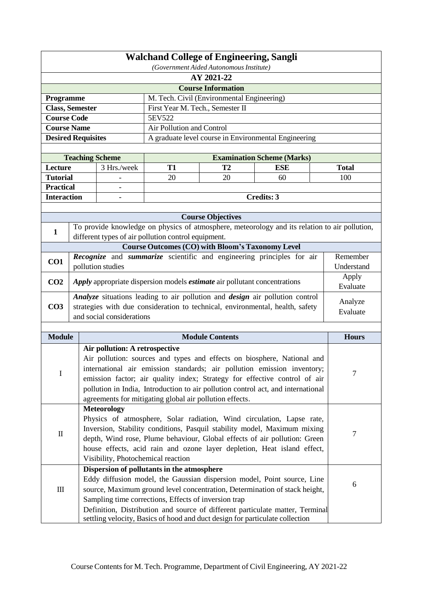| <b>Walchand College of Engineering, Sangli</b>                          |                                                                                              |                                                                                                                                                               |                                                                               |                                            |                                                                                               |                |  |  |
|-------------------------------------------------------------------------|----------------------------------------------------------------------------------------------|---------------------------------------------------------------------------------------------------------------------------------------------------------------|-------------------------------------------------------------------------------|--------------------------------------------|-----------------------------------------------------------------------------------------------|----------------|--|--|
| (Government Aided Autonomous Institute)                                 |                                                                                              |                                                                                                                                                               |                                                                               |                                            |                                                                                               |                |  |  |
| AY 2021-22                                                              |                                                                                              |                                                                                                                                                               |                                                                               |                                            |                                                                                               |                |  |  |
|                                                                         |                                                                                              |                                                                                                                                                               |                                                                               | <b>Course Information</b>                  |                                                                                               |                |  |  |
| Programme                                                               |                                                                                              |                                                                                                                                                               |                                                                               | M. Tech. Civil (Environmental Engineering) |                                                                                               |                |  |  |
|                                                                         | <b>Class, Semester</b>                                                                       |                                                                                                                                                               | First Year M. Tech., Semester II                                              |                                            |                                                                                               |                |  |  |
| <b>Course Code</b>                                                      |                                                                                              |                                                                                                                                                               | 5EV522                                                                        |                                            |                                                                                               |                |  |  |
| <b>Course Name</b>                                                      |                                                                                              |                                                                                                                                                               | Air Pollution and Control                                                     |                                            |                                                                                               |                |  |  |
| <b>Desired Requisites</b>                                               |                                                                                              |                                                                                                                                                               |                                                                               |                                            | A graduate level course in Environmental Engineering                                          |                |  |  |
|                                                                         |                                                                                              | <b>Teaching Scheme</b>                                                                                                                                        |                                                                               |                                            | <b>Examination Scheme (Marks)</b>                                                             |                |  |  |
| Lecture                                                                 |                                                                                              | 3 Hrs./week                                                                                                                                                   | <b>T1</b>                                                                     | T <sub>2</sub>                             | <b>ESE</b>                                                                                    | <b>Total</b>   |  |  |
| <b>Tutorial</b>                                                         |                                                                                              |                                                                                                                                                               | 20                                                                            | 20                                         | 60                                                                                            | 100            |  |  |
| <b>Practical</b>                                                        |                                                                                              |                                                                                                                                                               |                                                                               |                                            |                                                                                               |                |  |  |
| <b>Interaction</b>                                                      |                                                                                              |                                                                                                                                                               |                                                                               |                                            | <b>Credits: 3</b>                                                                             |                |  |  |
|                                                                         |                                                                                              |                                                                                                                                                               |                                                                               |                                            |                                                                                               |                |  |  |
|                                                                         |                                                                                              |                                                                                                                                                               |                                                                               | <b>Course Objectives</b>                   |                                                                                               |                |  |  |
| $\mathbf{1}$                                                            |                                                                                              |                                                                                                                                                               |                                                                               |                                            | To provide knowledge on physics of atmosphere, meteorology and its relation to air pollution, |                |  |  |
|                                                                         |                                                                                              |                                                                                                                                                               | different types of air pollution control equipment.                           |                                            |                                                                                               |                |  |  |
|                                                                         |                                                                                              |                                                                                                                                                               | <b>Course Outcomes (CO) with Bloom's Taxonomy Level</b>                       |                                            |                                                                                               |                |  |  |
| CO1                                                                     |                                                                                              |                                                                                                                                                               |                                                                               |                                            | Recognize and summarize scientific and engineering principles for air                         | Remember       |  |  |
|                                                                         |                                                                                              | pollution studies                                                                                                                                             |                                                                               |                                            |                                                                                               | Understand     |  |  |
| CO <sub>2</sub>                                                         |                                                                                              |                                                                                                                                                               |                                                                               |                                            |                                                                                               | Apply          |  |  |
|                                                                         | Apply appropriate dispersion models <i>estimate</i> air pollutant concentrations<br>Evaluate |                                                                                                                                                               |                                                                               |                                            |                                                                                               |                |  |  |
|                                                                         |                                                                                              |                                                                                                                                                               | Analyze situations leading to air pollution and design air pollution control  |                                            |                                                                                               | Analyze        |  |  |
| CO <sub>3</sub>                                                         |                                                                                              |                                                                                                                                                               | strategies with due consideration to technical, environmental, health, safety | Evaluate                                   |                                                                                               |                |  |  |
|                                                                         |                                                                                              | and social considerations                                                                                                                                     |                                                                               |                                            |                                                                                               |                |  |  |
| <b>Module</b>                                                           |                                                                                              |                                                                                                                                                               |                                                                               | <b>Module Contents</b>                     |                                                                                               | <b>Hours</b>   |  |  |
|                                                                         |                                                                                              | Air pollution: A retrospective                                                                                                                                |                                                                               |                                            |                                                                                               |                |  |  |
|                                                                         |                                                                                              |                                                                                                                                                               |                                                                               |                                            |                                                                                               |                |  |  |
|                                                                         |                                                                                              | Air pollution: sources and types and effects on biosphere, National and<br>international air emission standards; air pollution emission inventory;            |                                                                               |                                            |                                                                                               |                |  |  |
| I                                                                       |                                                                                              |                                                                                                                                                               |                                                                               |                                            |                                                                                               | $\overline{7}$ |  |  |
|                                                                         |                                                                                              | emission factor; air quality index; Strategy for effective control of air<br>pollution in India, Introduction to air pollution control act, and international |                                                                               |                                            |                                                                                               |                |  |  |
|                                                                         |                                                                                              |                                                                                                                                                               | agreements for mitigating global air pollution effects.                       |                                            |                                                                                               |                |  |  |
|                                                                         |                                                                                              | <b>Meteorology</b>                                                                                                                                            |                                                                               |                                            |                                                                                               |                |  |  |
|                                                                         |                                                                                              |                                                                                                                                                               |                                                                               |                                            | Physics of atmosphere, Solar radiation, Wind circulation, Lapse rate,                         |                |  |  |
|                                                                         |                                                                                              |                                                                                                                                                               |                                                                               |                                            | Inversion, Stability conditions, Pasquil stability model, Maximum mixing                      |                |  |  |
| $\rm II$                                                                |                                                                                              |                                                                                                                                                               |                                                                               |                                            | depth, Wind rose, Plume behaviour, Global effects of air pollution: Green                     | $\overline{7}$ |  |  |
| house effects, acid rain and ozone layer depletion, Heat island effect, |                                                                                              |                                                                                                                                                               |                                                                               |                                            |                                                                                               |                |  |  |
| Visibility, Photochemical reaction                                      |                                                                                              |                                                                                                                                                               |                                                                               |                                            |                                                                                               |                |  |  |
|                                                                         |                                                                                              |                                                                                                                                                               | Dispersion of pollutants in the atmosphere                                    |                                            |                                                                                               |                |  |  |
|                                                                         |                                                                                              |                                                                                                                                                               |                                                                               |                                            | Eddy diffusion model, the Gaussian dispersion model, Point source, Line                       | 6              |  |  |
| Ш                                                                       |                                                                                              |                                                                                                                                                               |                                                                               |                                            | source, Maximum ground level concentration, Determination of stack height,                    |                |  |  |
|                                                                         |                                                                                              |                                                                                                                                                               | Sampling time corrections, Effects of inversion trap                          |                                            |                                                                                               |                |  |  |
|                                                                         |                                                                                              |                                                                                                                                                               |                                                                               |                                            | Definition, Distribution and source of different particulate matter, Terminal                 |                |  |  |
|                                                                         |                                                                                              |                                                                                                                                                               |                                                                               |                                            | settling velocity, Basics of hood and duct design for particulate collection                  |                |  |  |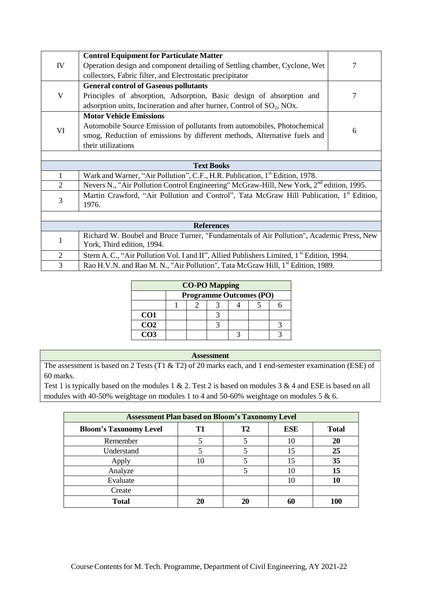|                   | <b>Control Equipment for Particulate Matter</b>                                                       |   |  |  |  |
|-------------------|-------------------------------------------------------------------------------------------------------|---|--|--|--|
| IV                | Operation design and component detailing of Settling chamber, Cyclone, Wet                            | 7 |  |  |  |
|                   | collectors, Fabric filter, and Electrostatic precipitator                                             |   |  |  |  |
|                   | <b>General control of Gaseous pollutants</b>                                                          |   |  |  |  |
| V                 | Principles of absorption, Adsorption, Basic design of absorption and                                  | 7 |  |  |  |
|                   | adsorption units, Incineration and after burner, Control of $SO_2$ , NOx.                             |   |  |  |  |
|                   | <b>Motor Vehicle Emissions</b>                                                                        |   |  |  |  |
|                   | Automobile Source Emission of pollutants from automobiles, Photochemical                              |   |  |  |  |
| VI                | smog, Reduction of emissions by different methods, Alternative fuels and                              | 6 |  |  |  |
|                   | their utilizations                                                                                    |   |  |  |  |
|                   |                                                                                                       |   |  |  |  |
| <b>Text Books</b> |                                                                                                       |   |  |  |  |
| 1                 | Wark and Warner, "Air Pollution", C.F., H.R. Publication, 1 <sup>st</sup> Edition, 1978.              |   |  |  |  |
| $\overline{2}$    | Nevers N., "Air Pollution Control Engineering" McGraw-Hill, New York, 2 <sup>nd</sup> edition, 1995.  |   |  |  |  |
| $\mathfrak{Z}$    | Martin Crawford, "Air Pollution and Control", Tata McGraw Hill Publication, 1 <sup>st</sup> Edition,  |   |  |  |  |
|                   | 1976.                                                                                                 |   |  |  |  |
|                   |                                                                                                       |   |  |  |  |
| <b>References</b> |                                                                                                       |   |  |  |  |
| $\mathbf{1}$      | Richard W. Boubel and Bruce Turner, "Fundamentals of Air Pollution", Academic Press, New              |   |  |  |  |
|                   | York, Third edition, 1994.                                                                            |   |  |  |  |
| $\mathfrak{2}$    | Stern A. C., "Air Pollution Vol. I and II", Allied Publishers Limited, 1 <sup>st</sup> Edition, 1994. |   |  |  |  |
| 3                 | Rao H.V.N. and Rao M. N., "Air Pollution", Tata McGraw Hill, 1 <sup>st</sup> Edition, 1989.           |   |  |  |  |

| <b>CO-PO Mapping</b> |                                |  |  |  |  |  |  |  |
|----------------------|--------------------------------|--|--|--|--|--|--|--|
|                      | <b>Programme Outcomes (PO)</b> |  |  |  |  |  |  |  |
|                      |                                |  |  |  |  |  |  |  |
| CO <sub>1</sub>      |                                |  |  |  |  |  |  |  |
| CO <sub>2</sub>      |                                |  |  |  |  |  |  |  |
| CO3                  |                                |  |  |  |  |  |  |  |

The assessment is based on 2 Tests (T1 & T2) of 20 marks each, and 1 end-semester examination (ESE) of 60 marks.

| <b>Assessment Plan based on Bloom's Taxonomy Level</b> |                |                |     |              |  |  |
|--------------------------------------------------------|----------------|----------------|-----|--------------|--|--|
| <b>Bloom's Taxonomy Level</b>                          | T <sub>1</sub> | T <sub>2</sub> | ESE | <b>Total</b> |  |  |
| Remember                                               |                |                | 10  | 20           |  |  |
| Understand                                             | 5              |                | 15  | 25           |  |  |
| Apply                                                  | 10             |                | 15  | 35           |  |  |
| Analyze                                                |                |                | 10  | 15           |  |  |
| Evaluate                                               |                |                | 10  |              |  |  |
| Create                                                 |                |                |     |              |  |  |
| <b>Total</b>                                           | 20             | 20             | 60  | 100          |  |  |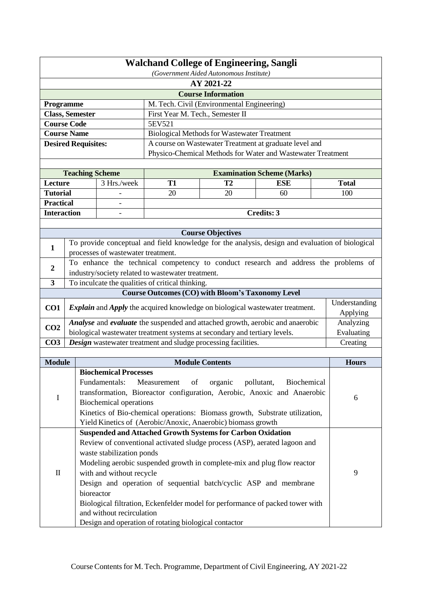|                                                       | <b>Walchand College of Engineering, Sangli</b> |                                                                                                 |                                  |                                                             |                                   |  |                           |  |
|-------------------------------------------------------|------------------------------------------------|-------------------------------------------------------------------------------------------------|----------------------------------|-------------------------------------------------------------|-----------------------------------|--|---------------------------|--|
| (Government Aided Autonomous Institute)<br>AY 2021-22 |                                                |                                                                                                 |                                  |                                                             |                                   |  |                           |  |
|                                                       |                                                |                                                                                                 |                                  | <b>Course Information</b>                                   |                                   |  |                           |  |
| Programme                                             |                                                |                                                                                                 |                                  | M. Tech. Civil (Environmental Engineering)                  |                                   |  |                           |  |
| <b>Class, Semester</b>                                |                                                |                                                                                                 | First Year M. Tech., Semester II |                                                             |                                   |  |                           |  |
| <b>Course Code</b>                                    |                                                |                                                                                                 | 5EV521                           |                                                             |                                   |  |                           |  |
| <b>Course Name</b>                                    |                                                |                                                                                                 |                                  | <b>Biological Methods for Wastewater Treatment</b>          |                                   |  |                           |  |
|                                                       |                                                | <b>Desired Requisites:</b>                                                                      |                                  | A course on Wastewater Treatment at graduate level and      |                                   |  |                           |  |
|                                                       |                                                |                                                                                                 |                                  | Physico-Chemical Methods for Water and Wastewater Treatment |                                   |  |                           |  |
|                                                       |                                                |                                                                                                 |                                  |                                                             |                                   |  |                           |  |
|                                                       |                                                | <b>Teaching Scheme</b>                                                                          |                                  |                                                             | <b>Examination Scheme (Marks)</b> |  |                           |  |
| Lecture                                               |                                                | 3 Hrs./week                                                                                     | <b>T1</b>                        | T2                                                          | <b>ESE</b>                        |  | <b>Total</b>              |  |
| <b>Tutorial</b>                                       |                                                |                                                                                                 | 20                               | 20                                                          | 60                                |  | 100                       |  |
| <b>Practical</b><br><b>Interaction</b>                |                                                |                                                                                                 |                                  |                                                             | Credits: 3                        |  |                           |  |
|                                                       |                                                |                                                                                                 |                                  |                                                             |                                   |  |                           |  |
|                                                       |                                                |                                                                                                 |                                  | <b>Course Objectives</b>                                    |                                   |  |                           |  |
|                                                       |                                                | To provide conceptual and field knowledge for the analysis, design and evaluation of biological |                                  |                                                             |                                   |  |                           |  |
| $\mathbf{1}$                                          |                                                | processes of wastewater treatment.                                                              |                                  |                                                             |                                   |  |                           |  |
|                                                       |                                                | To enhance the technical competency to conduct research and address the problems of             |                                  |                                                             |                                   |  |                           |  |
| $\boldsymbol{2}$                                      |                                                | industry/society related to wastewater treatment.                                               |                                  |                                                             |                                   |  |                           |  |
| $\mathbf{3}$                                          |                                                | To inculcate the qualities of critical thinking.                                                |                                  |                                                             |                                   |  |                           |  |
|                                                       |                                                |                                                                                                 |                                  | <b>Course Outcomes (CO) with Bloom's Taxonomy Level</b>     |                                   |  |                           |  |
| CO1                                                   |                                                | <b>Explain</b> and <b>Apply</b> the acquired knowledge on biological wastewater treatment.      |                                  |                                                             |                                   |  | Understanding<br>Applying |  |
| CO <sub>2</sub>                                       |                                                | Analyse and evaluate the suspended and attached growth, aerobic and anaerobic                   |                                  |                                                             |                                   |  | Analyzing                 |  |
|                                                       |                                                | biological wastewater treatment systems at secondary and tertiary levels.                       |                                  |                                                             |                                   |  | Evaluating                |  |
| CO <sub>3</sub>                                       |                                                | Design wastewater treatment and sludge processing facilities.                                   |                                  |                                                             |                                   |  | Creating                  |  |
| <b>Module</b>                                         |                                                |                                                                                                 |                                  | <b>Module Contents</b>                                      |                                   |  | <b>Hours</b>              |  |
|                                                       |                                                | <b>Biochemical Processes</b>                                                                    |                                  |                                                             |                                   |  |                           |  |
|                                                       |                                                | Fundamentals:                                                                                   | Measurement<br>of                | organic                                                     | pollutant,<br>Biochemical         |  |                           |  |
|                                                       |                                                | transformation, Bioreactor configuration, Aerobic, Anoxic and Anaerobic                         |                                  |                                                             |                                   |  |                           |  |
| I                                                     |                                                | <b>Biochemical operations</b>                                                                   |                                  |                                                             |                                   |  | 6                         |  |
|                                                       |                                                | Kinetics of Bio-chemical operations: Biomass growth, Substrate utilization,                     |                                  |                                                             |                                   |  |                           |  |
|                                                       |                                                | Yield Kinetics of (Aerobic/Anoxic, Anaerobic) biomass growth                                    |                                  |                                                             |                                   |  |                           |  |
|                                                       |                                                | <b>Suspended and Attached Growth Systems for Carbon Oxidation</b>                               |                                  |                                                             |                                   |  |                           |  |
|                                                       |                                                | Review of conventional activated sludge process (ASP), aerated lagoon and                       |                                  |                                                             |                                   |  |                           |  |
|                                                       |                                                | waste stabilization ponds                                                                       |                                  |                                                             |                                   |  |                           |  |
|                                                       |                                                | Modeling aerobic suspended growth in complete-mix and plug flow reactor                         |                                  |                                                             |                                   |  |                           |  |
| $\mathbf I$                                           |                                                | with and without recycle                                                                        |                                  |                                                             |                                   |  | 9                         |  |
|                                                       |                                                | Design and operation of sequential batch/cyclic ASP and membrane                                |                                  |                                                             |                                   |  |                           |  |
|                                                       |                                                | bioreactor                                                                                      |                                  |                                                             |                                   |  |                           |  |
|                                                       |                                                | Biological filtration, Eckenfelder model for performance of packed tower with                   |                                  |                                                             |                                   |  |                           |  |
|                                                       |                                                | and without recirculation                                                                       |                                  |                                                             |                                   |  |                           |  |
|                                                       |                                                | Design and operation of rotating biological contactor                                           |                                  |                                                             |                                   |  |                           |  |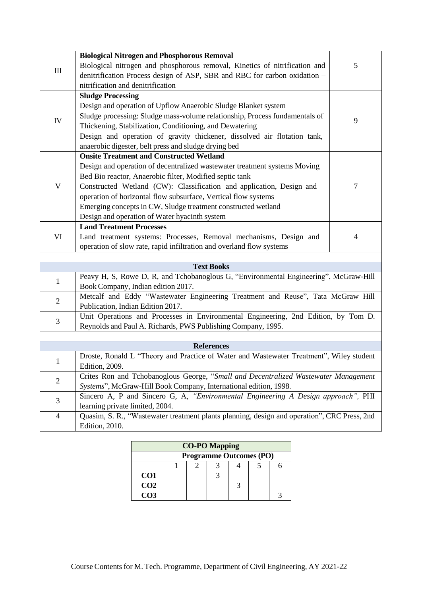|                                  | <b>Biological Nitrogen and Phosphorous Removal</b>                                          |   |
|----------------------------------|---------------------------------------------------------------------------------------------|---|
|                                  | Biological nitrogen and phosphorous removal, Kinetics of nitrification and                  | 5 |
| $\mathop{\mathrm{III}}\nolimits$ | denitrification Process design of ASP, SBR and RBC for carbon oxidation -                   |   |
|                                  | nitrification and denitrification                                                           |   |
|                                  | <b>Sludge Processing</b>                                                                    |   |
|                                  | Design and operation of Upflow Anaerobic Sludge Blanket system                              |   |
|                                  | Sludge processing: Sludge mass-volume relationship, Process fundamentals of                 |   |
| IV                               | Thickening, Stabilization, Conditioning, and Dewatering                                     | 9 |
|                                  | Design and operation of gravity thickener, dissolved air flotation tank,                    |   |
|                                  | anaerobic digester, belt press and sludge drying bed                                        |   |
|                                  | <b>Onsite Treatment and Constructed Wetland</b>                                             |   |
|                                  | Design and operation of decentralized wastewater treatment systems Moving                   |   |
|                                  | Bed Bio reactor, Anaerobic filter, Modified septic tank                                     |   |
| $\mathbf V$                      | Constructed Wetland (CW): Classification and application, Design and                        | 7 |
|                                  | operation of horizontal flow subsurface, Vertical flow systems                              |   |
|                                  | Emerging concepts in CW, Sludge treatment constructed wetland                               |   |
|                                  | Design and operation of Water hyacinth system                                               |   |
|                                  | <b>Land Treatment Processes</b>                                                             |   |
| VI                               | Land treatment systems: Processes, Removal mechanisms, Design and                           | 4 |
|                                  | operation of slow rate, rapid infiltration and overland flow systems                        |   |
|                                  |                                                                                             |   |
|                                  | <b>Text Books</b>                                                                           |   |
| 1                                | Peavy H, S, Rowe D, R, and Tchobanoglous G, "Environmental Engineering", McGraw-Hill        |   |
|                                  | Book Company, Indian edition 2017.                                                          |   |
| $\overline{2}$                   | Metcalf and Eddy "Wastewater Engineering Treatment and Reuse", Tata McGraw Hill             |   |
|                                  | Publication, Indian Edition 2017.                                                           |   |
| 3                                | Unit Operations and Processes in Environmental Engineering, 2nd Edition, by Tom D.          |   |
|                                  | Reynolds and Paul A. Richards, PWS Publishing Company, 1995.                                |   |
|                                  |                                                                                             |   |
|                                  | <b>References</b>                                                                           |   |
| 1                                | Droste, Ronald L "Theory and Practice of Water and Wastewater Treatment", Wiley student     |   |
|                                  | Edition, 2009.                                                                              |   |
| $\overline{2}$                   | Crites Ron and Tchobanoglous George, "Small and Decentralized Wastewater Management         |   |
|                                  | Systems", McGraw-Hill Book Company, International edition, 1998.                            |   |
| 3                                | Sincero A, P and Sincero G, A, "Environmental Engineering A Design approach", PHI           |   |
|                                  | learning private limited, 2004.                                                             |   |
| $\overline{4}$                   | Quasim, S. R., "Wastewater treatment plants planning, design and operation", CRC Press, 2nd |   |
|                                  | <b>Edition</b> , 2010.                                                                      |   |

| <b>CO-PO Mapping</b> |                                |  |  |  |  |  |  |  |
|----------------------|--------------------------------|--|--|--|--|--|--|--|
|                      | <b>Programme Outcomes (PO)</b> |  |  |  |  |  |  |  |
|                      |                                |  |  |  |  |  |  |  |
| CO <sub>1</sub>      |                                |  |  |  |  |  |  |  |
| CO <sub>2</sub>      |                                |  |  |  |  |  |  |  |
| CO3                  |                                |  |  |  |  |  |  |  |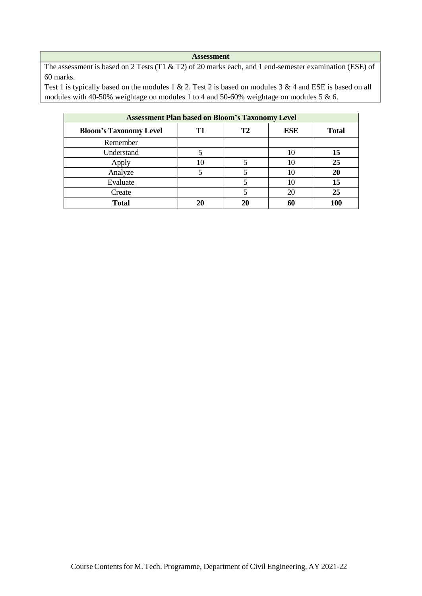The assessment is based on 2 Tests (T1 & T2) of 20 marks each, and 1 end-semester examination (ESE) of 60 marks.

| <b>Assessment Plan based on Bloom's Taxonomy Level</b> |    |           |            |              |  |  |
|--------------------------------------------------------|----|-----------|------------|--------------|--|--|
| <b>Bloom's Taxonomy Level</b>                          | T1 | <b>T2</b> | <b>ESE</b> | <b>Total</b> |  |  |
| Remember                                               |    |           |            |              |  |  |
| Understand                                             | 5  |           | 10         | 15           |  |  |
| Apply                                                  | 10 |           | 10         | 25           |  |  |
| Analyze                                                |    |           | 10         | 20           |  |  |
| Evaluate                                               |    |           | 10         | 15           |  |  |
| Create                                                 |    |           | 20         | 25           |  |  |
| <b>Total</b>                                           | 20 | 20        | 60         | 100          |  |  |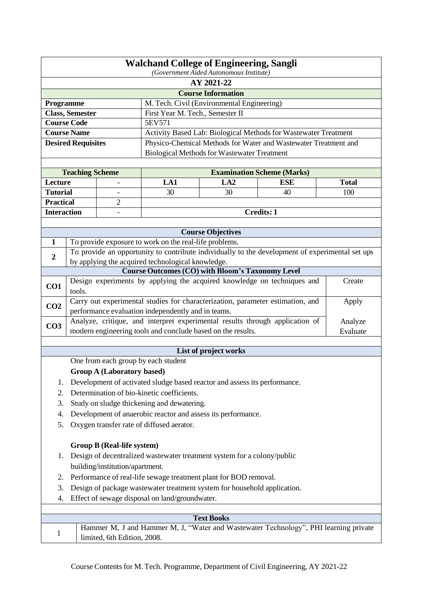| <b>Walchand College of Engineering, Sangli</b><br>(Government Aided Autonomous Institute) |                                                                                                                                                    |                                   |                                                             |                                                                           |                                                                                                 |              |  |  |
|-------------------------------------------------------------------------------------------|----------------------------------------------------------------------------------------------------------------------------------------------------|-----------------------------------|-------------------------------------------------------------|---------------------------------------------------------------------------|-------------------------------------------------------------------------------------------------|--------------|--|--|
| AY 2021-22                                                                                |                                                                                                                                                    |                                   |                                                             |                                                                           |                                                                                                 |              |  |  |
|                                                                                           |                                                                                                                                                    |                                   |                                                             | <b>Course Information</b>                                                 |                                                                                                 |              |  |  |
| Programme                                                                                 |                                                                                                                                                    |                                   |                                                             | M. Tech. Civil (Environmental Engineering)                                |                                                                                                 |              |  |  |
|                                                                                           | <b>Class, Semester</b>                                                                                                                             |                                   | First Year M. Tech., Semester II                            |                                                                           |                                                                                                 |              |  |  |
|                                                                                           | <b>Course Code</b>                                                                                                                                 |                                   | 5EV571                                                      |                                                                           |                                                                                                 |              |  |  |
|                                                                                           | <b>Course Name</b>                                                                                                                                 |                                   |                                                             |                                                                           | Activity Based Lab: Biological Methods for Wastewater Treatment                                 |              |  |  |
|                                                                                           | <b>Desired Requisites</b>                                                                                                                          |                                   |                                                             |                                                                           | Physico-Chemical Methods for Water and Wastewater Treatment and                                 |              |  |  |
|                                                                                           |                                                                                                                                                    |                                   |                                                             | <b>Biological Methods for Wastewater Treatment</b>                        |                                                                                                 |              |  |  |
|                                                                                           |                                                                                                                                                    |                                   |                                                             |                                                                           |                                                                                                 |              |  |  |
|                                                                                           | <b>Teaching Scheme</b>                                                                                                                             |                                   |                                                             |                                                                           | <b>Examination Scheme (Marks)</b>                                                               |              |  |  |
| Lecture                                                                                   |                                                                                                                                                    |                                   | LA1                                                         | LA <sub>2</sub>                                                           | <b>ESE</b>                                                                                      | <b>Total</b> |  |  |
| <b>Tutorial</b>                                                                           |                                                                                                                                                    |                                   | 30                                                          | 30                                                                        | 40                                                                                              | 100          |  |  |
| <b>Practical</b>                                                                          |                                                                                                                                                    | $\overline{2}$                    |                                                             |                                                                           |                                                                                                 |              |  |  |
| <b>Interaction</b>                                                                        |                                                                                                                                                    |                                   |                                                             |                                                                           | <b>Credits: 1</b>                                                                               |              |  |  |
|                                                                                           |                                                                                                                                                    |                                   |                                                             |                                                                           |                                                                                                 |              |  |  |
|                                                                                           |                                                                                                                                                    |                                   |                                                             | <b>Course Objectives</b>                                                  |                                                                                                 |              |  |  |
| 1                                                                                         |                                                                                                                                                    |                                   | To provide exposure to work on the real-life problems.      |                                                                           |                                                                                                 |              |  |  |
| $\boldsymbol{2}$                                                                          |                                                                                                                                                    |                                   |                                                             |                                                                           | To provide an opportunity to contribute individually to the development of experimental set ups |              |  |  |
|                                                                                           |                                                                                                                                                    |                                   | by applying the acquired technological knowledge.           | <b>Course Outcomes (CO) with Bloom's Taxonomy Level</b>                   |                                                                                                 |              |  |  |
|                                                                                           |                                                                                                                                                    |                                   |                                                             |                                                                           | Design experiments by applying the acquired knowledge on techniques and                         | Create       |  |  |
| CO1                                                                                       | tools.                                                                                                                                             |                                   |                                                             |                                                                           |                                                                                                 |              |  |  |
| CO <sub>2</sub>                                                                           |                                                                                                                                                    |                                   |                                                             |                                                                           | Carry out experimental studies for characterization, parameter estimation, and                  | Apply        |  |  |
|                                                                                           |                                                                                                                                                    |                                   | performance evaluation independently and in teams.          |                                                                           |                                                                                                 |              |  |  |
| CO <sub>3</sub>                                                                           |                                                                                                                                                    |                                   |                                                             |                                                                           | Analyze, critique, and interpret experimental results through application of                    | Analyze      |  |  |
|                                                                                           |                                                                                                                                                    |                                   | modern engineering tools and conclude based on the results. |                                                                           |                                                                                                 | Evaluate     |  |  |
|                                                                                           |                                                                                                                                                    |                                   |                                                             | List of project works                                                     |                                                                                                 |              |  |  |
|                                                                                           |                                                                                                                                                    |                                   | One from each group by each student                         |                                                                           |                                                                                                 |              |  |  |
|                                                                                           |                                                                                                                                                    | <b>Group A (Laboratory based)</b> |                                                             |                                                                           |                                                                                                 |              |  |  |
| 1.                                                                                        |                                                                                                                                                    |                                   |                                                             | Development of activated sludge based reactor and assess its performance. |                                                                                                 |              |  |  |
| 2.                                                                                        |                                                                                                                                                    |                                   | Determination of bio-kinetic coefficients.                  |                                                                           |                                                                                                 |              |  |  |
| 3.                                                                                        |                                                                                                                                                    |                                   | Study on sludge thickening and dewatering.                  |                                                                           |                                                                                                 |              |  |  |
| 4.                                                                                        |                                                                                                                                                    |                                   |                                                             | Development of anaerobic reactor and assess its performance.              |                                                                                                 |              |  |  |
| 5.                                                                                        |                                                                                                                                                    |                                   | Oxygen transfer rate of diffused aerator.                   |                                                                           |                                                                                                 |              |  |  |
|                                                                                           |                                                                                                                                                    |                                   |                                                             |                                                                           |                                                                                                 |              |  |  |
|                                                                                           |                                                                                                                                                    | <b>Group B (Real-life system)</b> |                                                             |                                                                           |                                                                                                 |              |  |  |
| 1.                                                                                        |                                                                                                                                                    |                                   |                                                             | Design of decentralized wastewater treatment system for a colony/public   |                                                                                                 |              |  |  |
|                                                                                           |                                                                                                                                                    | building/institution/apartment.   |                                                             |                                                                           |                                                                                                 |              |  |  |
|                                                                                           |                                                                                                                                                    |                                   |                                                             |                                                                           |                                                                                                 |              |  |  |
|                                                                                           | Performance of real-life sewage treatment plant for BOD removal.<br>2.<br>Design of package wastewater treatment system for household application. |                                   |                                                             |                                                                           |                                                                                                 |              |  |  |
| 3.                                                                                        |                                                                                                                                                    |                                   |                                                             |                                                                           |                                                                                                 |              |  |  |
|                                                                                           | Effect of sewage disposal on land/groundwater.<br>4.                                                                                               |                                   |                                                             |                                                                           |                                                                                                 |              |  |  |
|                                                                                           |                                                                                                                                                    |                                   |                                                             | <b>Text Books</b>                                                         |                                                                                                 |              |  |  |
|                                                                                           |                                                                                                                                                    |                                   |                                                             |                                                                           | Hammer M, J and Hammer M, J, "Water and Wastewater Technology", PHI learning private            |              |  |  |
| 1                                                                                         |                                                                                                                                                    | limited, 6th Edition, 2008.       |                                                             |                                                                           |                                                                                                 |              |  |  |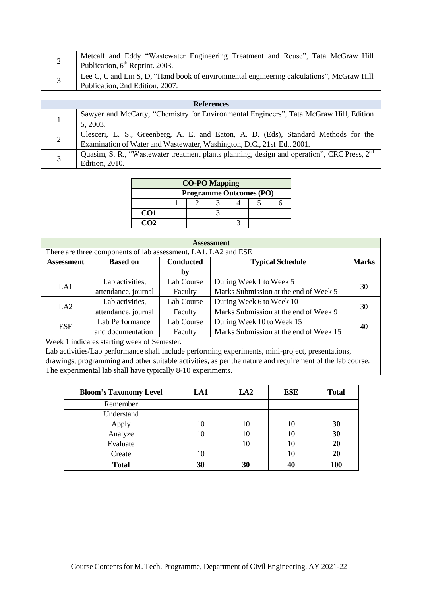|   | Metcalf and Eddy "Wastewater Engineering Treatment and Reuse", Tata McGraw Hill<br>Publication, 6 <sup>th</sup> Reprint. 2003. |
|---|--------------------------------------------------------------------------------------------------------------------------------|
| 3 | Lee C, C and Lin S, D, "Hand book of environmental engineering calculations", McGraw Hill<br>Publication, 2nd Edition. 2007.   |
|   |                                                                                                                                |
|   | <b>References</b>                                                                                                              |
|   | Sawyer and McCarty, "Chemistry for Environmental Engineers", Tata McGraw Hill, Edition                                         |
|   | 5, 2003.                                                                                                                       |
| 2 | Clesceri, L. S., Greenberg, A. E. and Eaton, A. D. (Eds), Standard Methods for the                                             |
|   | Examination of Water and Wastewater, Washington, D.C., 21st Ed., 2001.                                                         |
|   | Quasim, S. R., "Wastewater treatment plants planning, design and operation", CRC Press, 2 <sup>nd</sup>                        |
|   | <b>Edition</b> , 2010.                                                                                                         |

| <b>CO-PO Mapping</b> |                                |  |  |  |  |  |  |  |
|----------------------|--------------------------------|--|--|--|--|--|--|--|
|                      | <b>Programme Outcomes (PO)</b> |  |  |  |  |  |  |  |
|                      |                                |  |  |  |  |  |  |  |
| CO <sub>1</sub>      |                                |  |  |  |  |  |  |  |
| CO <sub>2</sub>      |                                |  |  |  |  |  |  |  |

| <b>Assessment</b>                                                                   |                                                                |            |                                        |              |  |  |
|-------------------------------------------------------------------------------------|----------------------------------------------------------------|------------|----------------------------------------|--------------|--|--|
|                                                                                     | There are three components of lab assessment, LA1, LA2 and ESE |            |                                        |              |  |  |
| <b>Conducted</b><br><b>Typical Schedule</b><br><b>Based on</b><br><b>Assessment</b> |                                                                |            |                                        | <b>Marks</b> |  |  |
|                                                                                     |                                                                | by         |                                        |              |  |  |
| LA1                                                                                 | Lab activities,                                                | Lab Course | During Week 1 to Week 5                |              |  |  |
|                                                                                     | attendance, journal                                            | Faculty    | Marks Submission at the end of Week 5  | 30           |  |  |
| LA2                                                                                 | Lab activities,                                                | Lab Course | During Week 6 to Week 10               | 30           |  |  |
|                                                                                     | attendance, journal                                            | Faculty    | Marks Submission at the end of Week 9  |              |  |  |
| <b>ESE</b>                                                                          | Lab Performance                                                | Lab Course | During Week 10 to Week 15              | 40           |  |  |
|                                                                                     | and documentation                                              | Faculty    | Marks Submission at the end of Week 15 |              |  |  |

| <b>Bloom's Taxonomy Level</b> | LA1 | LA2 | <b>ESE</b> | <b>Total</b> |
|-------------------------------|-----|-----|------------|--------------|
| Remember                      |     |     |            |              |
| Understand                    |     |     |            |              |
| Apply                         | 10  | 10  |            | 30           |
| Analyze                       | 10  | 10  | 10         | 30           |
| Evaluate                      |     | 10  | 10         | 20           |
| Create                        | 10  |     | 10         | 20           |
| <b>Total</b>                  | 30  | 30  |            | 100          |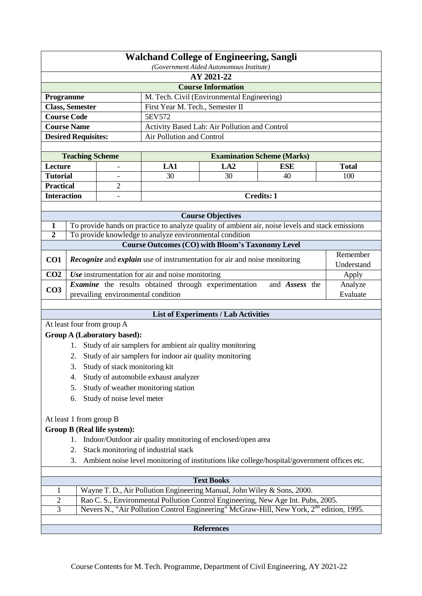|                            | <b>Walchand College of Engineering, Sangli</b> |  |  |  |  |  |
|----------------------------|------------------------------------------------|--|--|--|--|--|
|                            | (Government Aided Autonomous Institute)        |  |  |  |  |  |
| AY 2021-22                 |                                                |  |  |  |  |  |
| <b>Course Information</b>  |                                                |  |  |  |  |  |
| <b>Programme</b>           | M. Tech. Civil (Environmental Engineering)     |  |  |  |  |  |
| <b>Class, Semester</b>     | First Year M. Tech., Semester II               |  |  |  |  |  |
| <b>Course Code</b>         | 5EV572                                         |  |  |  |  |  |
| <b>Course Name</b>         | Activity Based Lab: Air Pollution and Control  |  |  |  |  |  |
| <b>Desired Requisites:</b> | Air Pollution and Control                      |  |  |  |  |  |
|                            |                                                |  |  |  |  |  |

| <b>Teaching Scheme</b> |   |            |      | <b>Examination Scheme (Marks)</b> |       |  |
|------------------------|---|------------|------|-----------------------------------|-------|--|
| Lecture                |   | LA1        | LA 2 | <b>ESE</b>                        | Total |  |
| <b>Tutorial</b>        | - | 30         | 30   | 40                                | 100   |  |
| <b>Practical</b>       |   |            |      |                                   |       |  |
| <b>Interaction</b>     | - | Credits: 1 |      |                                   |       |  |

|                 | <b>Course Objectives</b>                                                                         |            |  |  |  |  |
|-----------------|--------------------------------------------------------------------------------------------------|------------|--|--|--|--|
|                 | To provide hands on practice to analyze quality of ambient air, noise levels and stack emissions |            |  |  |  |  |
|                 | To provide knowledge to analyze environmental condition                                          |            |  |  |  |  |
|                 | <b>Course Outcomes (CO) with Bloom's Taxonomy Level</b>                                          |            |  |  |  |  |
| CO <sub>1</sub> | <b>Recognize</b> and <i>explain</i> use of instrumentation for air and noise monitoring          | Remember   |  |  |  |  |
|                 |                                                                                                  | Understand |  |  |  |  |
| CO <sub>2</sub> | Use instrumentation for air and noise monitoring                                                 | Apply      |  |  |  |  |
| CO <sub>3</sub> | Examine the results obtained through experimentation<br>and <i>Assess</i> the                    | Analyze    |  |  |  |  |
|                 | prevailing environmental condition                                                               | Evaluate   |  |  |  |  |

## **List of Experiments / Lab Activities**

At least four from group A

# **Group A (Laboratory based):**

- 1. Study of air samplers for ambient air quality monitoring
- 2. Study of air samplers for indoor air quality monitoring
- 3. Study of stack monitoring kit
- 4. Study of automobile exhaust analyzer
- 5. Study of weather monitoring station
- 6. Study of noise level meter

## At least 1 from group B

# **Group B (Real life system):**

- 1. Indoor/Outdoor air quality monitoring of enclosed/open area
- 2. Stack monitoring of industrial stack
- 3. Ambient noise level monitoring of institutions like college/hospital/government offices etc.

|                   | <b>Text Books</b>                                                                                    |  |  |  |  |  |
|-------------------|------------------------------------------------------------------------------------------------------|--|--|--|--|--|
|                   | Wayne T. D., Air Pollution Engineering Manual, John Wiley & Sons, 2000.                              |  |  |  |  |  |
|                   | Rao C. S., Environmental Pollution Control Engineering, New Age Int. Pubs, 2005.                     |  |  |  |  |  |
|                   | Nevers N., "Air Pollution Control Engineering" McGraw-Hill, New York, 2 <sup>nd</sup> edition, 1995. |  |  |  |  |  |
|                   |                                                                                                      |  |  |  |  |  |
| <b>References</b> |                                                                                                      |  |  |  |  |  |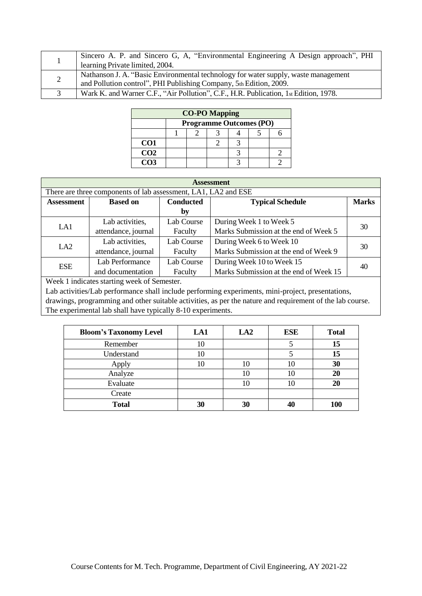|                      | Sincero A. P. and Sincero G, A. "Environmental Engineering A Design approach", PHI<br>learning Private limited, 2004.                                    |
|----------------------|----------------------------------------------------------------------------------------------------------------------------------------------------------|
|                      | Nathanson J. A. "Basic Environmental technology for water supply, waste management<br>and Pollution control", PHI Publishing Company, 5th Edition, 2009. |
| $\blacktriangleleft$ | Wark K. and Warner C.F., "Air Pollution", C.F., H.R. Publication, 1st Edition, 1978.                                                                     |

| <b>CO-PO Mapping</b> |  |                                |  |  |  |  |  |  |
|----------------------|--|--------------------------------|--|--|--|--|--|--|
|                      |  | <b>Programme Outcomes (PO)</b> |  |  |  |  |  |  |
|                      |  |                                |  |  |  |  |  |  |
| CO <sub>1</sub>      |  |                                |  |  |  |  |  |  |
| CO <sub>2</sub>      |  |                                |  |  |  |  |  |  |
| CO <sub>3</sub>      |  |                                |  |  |  |  |  |  |

| <b>Assessment</b> |                                                                |                  |                                        |              |  |  |  |
|-------------------|----------------------------------------------------------------|------------------|----------------------------------------|--------------|--|--|--|
|                   | There are three components of lab assessment, LA1, LA2 and ESE |                  |                                        |              |  |  |  |
| <b>Assessment</b> | <b>Based on</b>                                                | <b>Conducted</b> | <b>Typical Schedule</b>                | <b>Marks</b> |  |  |  |
|                   |                                                                | by               |                                        |              |  |  |  |
| LA1               | Lab activities,                                                | Lab Course       | During Week 1 to Week 5                | 30           |  |  |  |
|                   | attendance, journal                                            | Faculty          | Marks Submission at the end of Week 5  |              |  |  |  |
| LA2               | Lab activities,                                                | Lab Course       | During Week 6 to Week 10               |              |  |  |  |
|                   | attendance, journal                                            | Faculty          | Marks Submission at the end of Week 9  | 30           |  |  |  |
| <b>ESE</b>        | Lab Performance                                                | Lab Course       | During Week 10 to Week 15              | 40           |  |  |  |
|                   | and documentation                                              | Faculty          | Marks Submission at the end of Week 15 |              |  |  |  |

| <b>Bloom's Taxonomy Level</b> | LA1 | LA2 | ESE | <b>Total</b> |
|-------------------------------|-----|-----|-----|--------------|
| Remember                      | 10  |     |     | 15           |
| Understand                    | 10  |     |     | 15           |
| Apply                         | 10  | 10  | 10  | 30           |
| Analyze                       |     | 10  | 10  | 20           |
| Evaluate                      |     | 10  | 10  | 20           |
| Create                        |     |     |     |              |
| <b>Total</b>                  | 30  | 30  | 40  | 100          |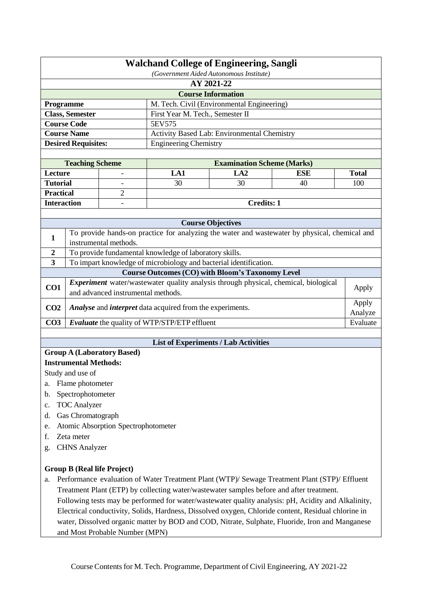| <b>Walchand College of Engineering, Sangli</b><br>(Government Aided Autonomous Institute) |                                                         |                                     |                                                                         |                                                                                          |                                                                                                     |                  |  |  |
|-------------------------------------------------------------------------------------------|---------------------------------------------------------|-------------------------------------|-------------------------------------------------------------------------|------------------------------------------------------------------------------------------|-----------------------------------------------------------------------------------------------------|------------------|--|--|
|                                                                                           | AY 2021-22                                              |                                     |                                                                         |                                                                                          |                                                                                                     |                  |  |  |
|                                                                                           |                                                         |                                     |                                                                         | <b>Course Information</b>                                                                |                                                                                                     |                  |  |  |
|                                                                                           | M. Tech. Civil (Environmental Engineering)<br>Programme |                                     |                                                                         |                                                                                          |                                                                                                     |                  |  |  |
|                                                                                           | <b>Class, Semester</b>                                  |                                     | First Year M. Tech., Semester II                                        |                                                                                          |                                                                                                     |                  |  |  |
|                                                                                           | <b>Course Code</b>                                      |                                     | 5EV575                                                                  |                                                                                          |                                                                                                     |                  |  |  |
|                                                                                           | <b>Course Name</b>                                      |                                     |                                                                         | Activity Based Lab: Environmental Chemistry                                              |                                                                                                     |                  |  |  |
|                                                                                           | <b>Desired Requisites:</b>                              |                                     | <b>Engineering Chemistry</b>                                            |                                                                                          |                                                                                                     |                  |  |  |
|                                                                                           | <b>Teaching Scheme</b>                                  |                                     |                                                                         | <b>Examination Scheme (Marks)</b>                                                        |                                                                                                     |                  |  |  |
| Lecture                                                                                   |                                                         |                                     | LA1                                                                     | LA2                                                                                      | <b>ESE</b>                                                                                          | <b>Total</b>     |  |  |
| <b>Tutorial</b>                                                                           |                                                         |                                     | 30                                                                      | 30                                                                                       | 40                                                                                                  | 100              |  |  |
| <b>Practical</b>                                                                          |                                                         | $\overline{2}$                      |                                                                         |                                                                                          |                                                                                                     |                  |  |  |
| <b>Interaction</b>                                                                        |                                                         |                                     |                                                                         | <b>Credits: 1</b>                                                                        |                                                                                                     |                  |  |  |
|                                                                                           |                                                         |                                     |                                                                         |                                                                                          |                                                                                                     |                  |  |  |
|                                                                                           |                                                         |                                     |                                                                         | <b>Course Objectives</b>                                                                 |                                                                                                     |                  |  |  |
|                                                                                           |                                                         |                                     |                                                                         |                                                                                          | To provide hands-on practice for analyzing the water and wastewater by physical, chemical and       |                  |  |  |
| 1                                                                                         |                                                         | instrumental methods.               |                                                                         |                                                                                          |                                                                                                     |                  |  |  |
| $\boldsymbol{2}$                                                                          |                                                         |                                     | To provide fundamental knowledge of laboratory skills.                  |                                                                                          |                                                                                                     |                  |  |  |
| $\overline{\mathbf{3}}$                                                                   |                                                         |                                     |                                                                         | To impart knowledge of microbiology and bacterial identification.                        |                                                                                                     |                  |  |  |
|                                                                                           |                                                         |                                     |                                                                         | <b>Course Outcomes (CO) with Bloom's Taxonomy Level</b>                                  |                                                                                                     |                  |  |  |
| CO1                                                                                       |                                                         | and advanced instrumental methods.  |                                                                         | Experiment water/wastewater quality analysis through physical, chemical, biological      |                                                                                                     | Apply            |  |  |
| CO <sub>2</sub>                                                                           |                                                         |                                     | <b>Analyse</b> and <i>interpret</i> data acquired from the experiments. |                                                                                          |                                                                                                     | Apply<br>Analyze |  |  |
| CO <sub>3</sub>                                                                           |                                                         |                                     | <b>Evaluate</b> the quality of WTP/STP/ETP effluent                     |                                                                                          |                                                                                                     | Evaluate         |  |  |
|                                                                                           |                                                         |                                     |                                                                         |                                                                                          |                                                                                                     |                  |  |  |
|                                                                                           |                                                         |                                     |                                                                         | <b>List of Experiments / Lab Activities</b>                                              |                                                                                                     |                  |  |  |
|                                                                                           |                                                         | <b>Group A (Laboratory Based)</b>   |                                                                         |                                                                                          |                                                                                                     |                  |  |  |
|                                                                                           | <b>Instrumental Methods:</b>                            |                                     |                                                                         |                                                                                          |                                                                                                     |                  |  |  |
|                                                                                           | Study and use of                                        |                                     |                                                                         |                                                                                          |                                                                                                     |                  |  |  |
| a.                                                                                        | Flame photometer                                        |                                     |                                                                         |                                                                                          |                                                                                                     |                  |  |  |
| b.                                                                                        | Spectrophotometer                                       |                                     |                                                                         |                                                                                          |                                                                                                     |                  |  |  |
| c.                                                                                        | <b>TOC</b> Analyzer                                     |                                     |                                                                         |                                                                                          |                                                                                                     |                  |  |  |
| d.                                                                                        | Gas Chromatograph                                       |                                     |                                                                         |                                                                                          |                                                                                                     |                  |  |  |
| e.                                                                                        |                                                         | Atomic Absorption Spectrophotometer |                                                                         |                                                                                          |                                                                                                     |                  |  |  |
| f.                                                                                        | Zeta meter                                              |                                     |                                                                         |                                                                                          |                                                                                                     |                  |  |  |
| g.                                                                                        | <b>CHNS</b> Analyzer                                    |                                     |                                                                         |                                                                                          |                                                                                                     |                  |  |  |
|                                                                                           |                                                         | <b>Group B (Real life Project)</b>  |                                                                         |                                                                                          |                                                                                                     |                  |  |  |
| a.                                                                                        |                                                         |                                     |                                                                         |                                                                                          | Performance evaluation of Water Treatment Plant (WTP)/ Sewage Treatment Plant (STP)/ Effluent       |                  |  |  |
|                                                                                           |                                                         |                                     |                                                                         | Treatment Plant (ETP) by collecting water/wastewater samples before and after treatment. |                                                                                                     |                  |  |  |
|                                                                                           |                                                         |                                     |                                                                         |                                                                                          | Following tests may be performed for water/wastewater quality analysis: pH, Acidity and Alkalinity, |                  |  |  |
|                                                                                           |                                                         |                                     |                                                                         |                                                                                          | Electrical conductivity, Solids, Hardness, Dissolved oxygen, Chloride content, Residual chlorine in |                  |  |  |
|                                                                                           |                                                         |                                     |                                                                         |                                                                                          | water, Dissolved organic matter by BOD and COD, Nitrate, Sulphate, Fluoride, Iron and Manganese     |                  |  |  |
|                                                                                           |                                                         | and Most Probable Number (MPN)      |                                                                         |                                                                                          |                                                                                                     |                  |  |  |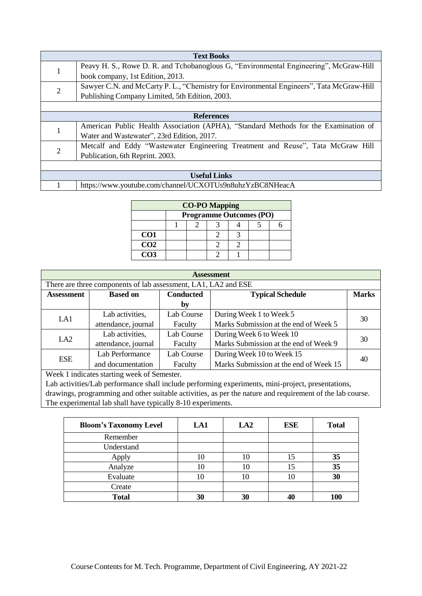|                | <b>Text Books</b>                                                                       |  |  |  |  |
|----------------|-----------------------------------------------------------------------------------------|--|--|--|--|
|                | Peavy H. S., Rowe D. R. and Tchobanoglous G, "Environmental Engineering", McGraw-Hill   |  |  |  |  |
| $\bf{I}$       | book company, 1st Edition, 2013.                                                        |  |  |  |  |
| $\overline{2}$ | Sawyer C.N. and McCarty P.L., "Chemistry for Environmental Engineers", Tata McGraw-Hill |  |  |  |  |
|                | Publishing Company Limited, 5th Edition, 2003.                                          |  |  |  |  |
|                |                                                                                         |  |  |  |  |
|                | <b>References</b>                                                                       |  |  |  |  |
|                | American Public Health Association (APHA), "Standard Methods for the Examination of     |  |  |  |  |
|                | Water and Wastewater", 23rd Edition, 2017.                                              |  |  |  |  |
| $\overline{2}$ | Metcalf and Eddy "Wastewater Engineering Treatment and Reuse", Tata McGraw Hill         |  |  |  |  |
|                | Publication, 6th Reprint. 2003.                                                         |  |  |  |  |
|                |                                                                                         |  |  |  |  |
|                | <b>Useful Links</b>                                                                     |  |  |  |  |
|                | https://www.youtube.com/channel/UCXOTUs9n8uhzYzBC8NHeacA                                |  |  |  |  |

| <b>CO-PO Mapping</b> |  |                                |  |  |  |  |  |  |
|----------------------|--|--------------------------------|--|--|--|--|--|--|
|                      |  | <b>Programme Outcomes (PO)</b> |  |  |  |  |  |  |
|                      |  |                                |  |  |  |  |  |  |
| CO <sub>1</sub>      |  |                                |  |  |  |  |  |  |
| $\overline{CO2}$     |  |                                |  |  |  |  |  |  |
| $\overline{CO3}$     |  |                                |  |  |  |  |  |  |

| <b>Assessment</b> |                                                                |                  |                                        |              |  |  |  |
|-------------------|----------------------------------------------------------------|------------------|----------------------------------------|--------------|--|--|--|
|                   | There are three components of lab assessment, LA1, LA2 and ESE |                  |                                        |              |  |  |  |
| <b>Assessment</b> | <b>Based on</b>                                                | <b>Conducted</b> | <b>Typical Schedule</b>                | <b>Marks</b> |  |  |  |
|                   |                                                                | by               |                                        |              |  |  |  |
| LA1               | Lab activities,                                                | Lab Course       | During Week 1 to Week 5                | 30           |  |  |  |
|                   | attendance, journal                                            | Faculty          | Marks Submission at the end of Week 5  |              |  |  |  |
| LA2               | Lab activities,                                                | Lab Course       | During Week 6 to Week 10               |              |  |  |  |
|                   | attendance, journal                                            | Faculty          | Marks Submission at the end of Week 9  | 30           |  |  |  |
| <b>ESE</b>        | Lab Performance                                                | Lab Course       | During Week 10 to Week 15              |              |  |  |  |
|                   | and documentation                                              | Faculty          | Marks Submission at the end of Week 15 | 40           |  |  |  |

| <b>Bloom's Taxonomy Level</b> | LA1 | LA2 | <b>ESE</b> | <b>Total</b> |
|-------------------------------|-----|-----|------------|--------------|
| Remember                      |     |     |            |              |
| Understand                    |     |     |            |              |
| Apply                         | 10  | 10  | 15         | 35           |
| Analyze                       | 10  | 10  | 15         | 35           |
| Evaluate                      | 10  | 10  | 10         | 30           |
| Create                        |     |     |            |              |
| <b>Total</b>                  | 30  | 30  |            | <b>100</b>   |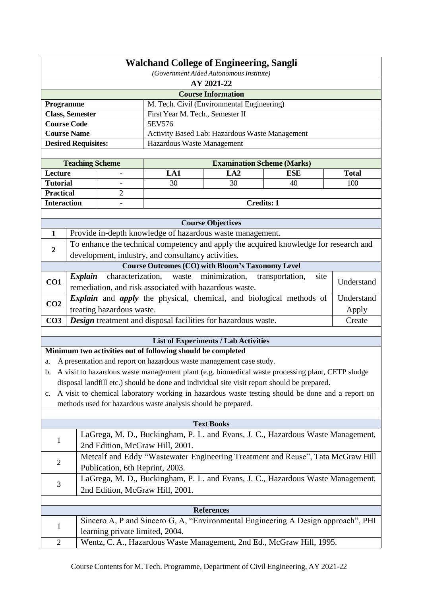| <b>Walchand College of Engineering, Sangli</b><br>(Government Aided Autonomous Institute) |                            |                                 |                                                               |                                                                     |                                                                                                     |              |  |
|-------------------------------------------------------------------------------------------|----------------------------|---------------------------------|---------------------------------------------------------------|---------------------------------------------------------------------|-----------------------------------------------------------------------------------------------------|--------------|--|
| AY 2021-22                                                                                |                            |                                 |                                                               |                                                                     |                                                                                                     |              |  |
|                                                                                           |                            |                                 |                                                               | <b>Course Information</b>                                           |                                                                                                     |              |  |
| M. Tech. Civil (Environmental Engineering)<br>Programme                                   |                            |                                 |                                                               |                                                                     |                                                                                                     |              |  |
|                                                                                           | <b>Class, Semester</b>     |                                 | First Year M. Tech., Semester II                              |                                                                     |                                                                                                     |              |  |
|                                                                                           | <b>Course Code</b>         |                                 | 5EV576                                                        |                                                                     |                                                                                                     |              |  |
|                                                                                           | <b>Course Name</b>         |                                 |                                                               | Activity Based Lab: Hazardous Waste Management                      |                                                                                                     |              |  |
|                                                                                           | <b>Desired Requisites:</b> |                                 | Hazardous Waste Management                                    |                                                                     |                                                                                                     |              |  |
|                                                                                           | <b>Teaching Scheme</b>     |                                 |                                                               | <b>Examination Scheme (Marks)</b>                                   |                                                                                                     |              |  |
| Lecture                                                                                   |                            |                                 | LA1                                                           | LA2                                                                 | <b>ESE</b>                                                                                          | <b>Total</b> |  |
| <b>Tutorial</b>                                                                           |                            |                                 | 30                                                            | 30                                                                  | 40                                                                                                  | 100          |  |
| <b>Practical</b>                                                                          |                            | 2                               |                                                               |                                                                     |                                                                                                     |              |  |
| <b>Interaction</b>                                                                        |                            |                                 |                                                               | <b>Credits: 1</b>                                                   |                                                                                                     |              |  |
|                                                                                           |                            |                                 |                                                               |                                                                     |                                                                                                     |              |  |
|                                                                                           |                            |                                 |                                                               | <b>Course Objectives</b>                                            |                                                                                                     |              |  |
| 1                                                                                         |                            |                                 |                                                               | Provide in-depth knowledge of hazardous waste management.           |                                                                                                     |              |  |
|                                                                                           |                            |                                 |                                                               |                                                                     | To enhance the technical competency and apply the acquired knowledge for research and               |              |  |
| $\boldsymbol{2}$                                                                          |                            |                                 | development, industry, and consultancy activities.            |                                                                     |                                                                                                     |              |  |
|                                                                                           |                            |                                 |                                                               | <b>Course Outcomes (CO) with Bloom's Taxonomy Level</b>             |                                                                                                     |              |  |
|                                                                                           | <b>Explain</b>             | characterization,               | waste                                                         | minimization,                                                       | site<br>transportation,                                                                             |              |  |
| CO1                                                                                       |                            |                                 | remediation, and risk associated with hazardous waste.        |                                                                     |                                                                                                     | Understand   |  |
|                                                                                           |                            |                                 |                                                               |                                                                     | <i>Explain</i> and <i>apply</i> the physical, chemical, and biological methods of                   | Understand   |  |
| CO <sub>2</sub>                                                                           |                            | treating hazardous waste.       |                                                               |                                                                     |                                                                                                     | Apply        |  |
| CO <sub>3</sub>                                                                           |                            |                                 |                                                               | Design treatment and disposal facilities for hazardous waste.       |                                                                                                     | Create       |  |
|                                                                                           |                            |                                 |                                                               |                                                                     |                                                                                                     |              |  |
|                                                                                           |                            |                                 |                                                               | <b>List of Experiments / Lab Activities</b>                         |                                                                                                     |              |  |
|                                                                                           |                            |                                 | Minimum two activities out of following should be completed   |                                                                     |                                                                                                     |              |  |
| a.                                                                                        |                            |                                 |                                                               | A presentation and report on hazardous waste management case study. |                                                                                                     |              |  |
|                                                                                           |                            |                                 |                                                               |                                                                     | b. A visit to hazardous waste management plant (e.g. biomedical waste processing plant, CETP sludge |              |  |
|                                                                                           |                            |                                 |                                                               |                                                                     | disposal landfill etc.) should be done and individual site visit report should be prepared.         |              |  |
| $\mathbf{c}$ .                                                                            |                            |                                 |                                                               |                                                                     | A visit to chemical laboratory working in hazardous waste testing should be done and a report on    |              |  |
|                                                                                           |                            |                                 | methods used for hazardous waste analysis should be prepared. |                                                                     |                                                                                                     |              |  |
|                                                                                           |                            |                                 |                                                               |                                                                     |                                                                                                     |              |  |
|                                                                                           |                            |                                 |                                                               | <b>Text Books</b>                                                   |                                                                                                     |              |  |
|                                                                                           |                            |                                 |                                                               |                                                                     | LaGrega, M. D., Buckingham, P. L. and Evans, J. C., Hazardous Waste Management,                     |              |  |
| 1                                                                                         |                            |                                 | 2nd Edition, McGraw Hill, 2001.                               |                                                                     |                                                                                                     |              |  |
|                                                                                           |                            |                                 |                                                               |                                                                     | Metcalf and Eddy "Wastewater Engineering Treatment and Reuse", Tata McGraw Hill                     |              |  |
| $\overline{c}$                                                                            |                            | Publication, 6th Reprint, 2003. |                                                               |                                                                     |                                                                                                     |              |  |
|                                                                                           |                            |                                 |                                                               |                                                                     | LaGrega, M. D., Buckingham, P. L. and Evans, J. C., Hazardous Waste Management,                     |              |  |
| 3                                                                                         |                            |                                 |                                                               |                                                                     |                                                                                                     |              |  |
|                                                                                           |                            |                                 | 2nd Edition, McGraw Hill, 2001.                               |                                                                     |                                                                                                     |              |  |
|                                                                                           |                            |                                 |                                                               | <b>References</b>                                                   |                                                                                                     |              |  |
|                                                                                           |                            |                                 |                                                               |                                                                     | Sincero A, P and Sincero G, A, "Environmental Engineering A Design approach", PHI                   |              |  |
| 1                                                                                         |                            | learning private limited, 2004. |                                                               |                                                                     |                                                                                                     |              |  |
| $\overline{c}$                                                                            |                            |                                 |                                                               |                                                                     | Wentz, C. A., Hazardous Waste Management, 2nd Ed., McGraw Hill, 1995.                               |              |  |
|                                                                                           |                            |                                 |                                                               |                                                                     |                                                                                                     |              |  |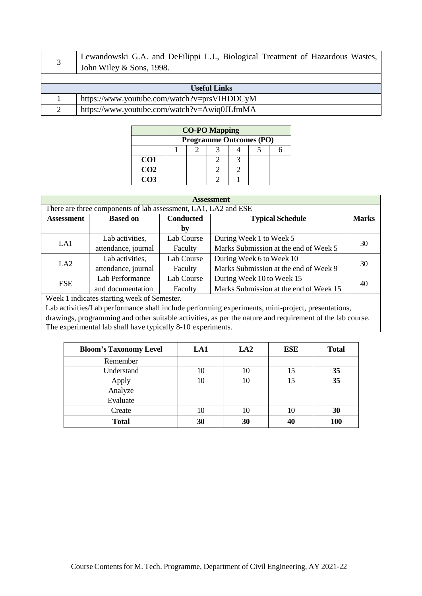|                     | Lewandowski G.A. and DeFilippi L.J., Biological Treatment of Hazardous Wastes,<br>John Wiley & Sons, 1998. |  |  |  |  |
|---------------------|------------------------------------------------------------------------------------------------------------|--|--|--|--|
|                     |                                                                                                            |  |  |  |  |
| <b>Useful Links</b> |                                                                                                            |  |  |  |  |
|                     | https://www.youtube.com/watch?v=prsVIHDDCyM                                                                |  |  |  |  |
| $\gamma$            | https://www.youtube.com/watch?v=Awiq0JLfmMA                                                                |  |  |  |  |

| <b>CO-PO Mapping</b> |  |                                |  |  |  |  |  |
|----------------------|--|--------------------------------|--|--|--|--|--|
|                      |  | <b>Programme Outcomes (PO)</b> |  |  |  |  |  |
|                      |  |                                |  |  |  |  |  |
| CO <sub>1</sub>      |  |                                |  |  |  |  |  |
| $\overline{CO2}$     |  |                                |  |  |  |  |  |
| $\overline{CO3}$     |  |                                |  |  |  |  |  |

| <b>Assessment</b>                                                                   |                                                                |            |                                        |    |  |  |  |  |  |
|-------------------------------------------------------------------------------------|----------------------------------------------------------------|------------|----------------------------------------|----|--|--|--|--|--|
|                                                                                     | There are three components of lab assessment, LA1, LA2 and ESE |            |                                        |    |  |  |  |  |  |
| <b>Conducted</b><br><b>Typical Schedule</b><br><b>Based on</b><br><b>Assessment</b> |                                                                |            | <b>Marks</b>                           |    |  |  |  |  |  |
|                                                                                     |                                                                | by         |                                        |    |  |  |  |  |  |
|                                                                                     | Lab activities,                                                | Lab Course | During Week 1 to Week 5                |    |  |  |  |  |  |
| LA1                                                                                 | attendance, journal                                            | Faculty    | Marks Submission at the end of Week 5  | 30 |  |  |  |  |  |
|                                                                                     | Lab activities,                                                | Lab Course | During Week 6 to Week 10               | 30 |  |  |  |  |  |
| LA <sub>2</sub>                                                                     | attendance, journal                                            | Faculty    | Marks Submission at the end of Week 9  |    |  |  |  |  |  |
| <b>ESE</b>                                                                          | Lab Performance                                                | Lab Course | During Week 10 to Week 15              | 40 |  |  |  |  |  |
|                                                                                     | and documentation                                              | Faculty    | Marks Submission at the end of Week 15 |    |  |  |  |  |  |
|                                                                                     | $W_{\alpha\alpha}$ . 1 indicates starting woods of Camastan    |            |                                        |    |  |  |  |  |  |

| <b>Bloom's Taxonomy Level</b> | LA1 | LA2 | <b>ESE</b> | <b>Total</b> |
|-------------------------------|-----|-----|------------|--------------|
| Remember                      |     |     |            |              |
| Understand                    | 10  | 10  | 15         | 35           |
| Apply                         | 10  | 10  | 15         | 35           |
| Analyze                       |     |     |            |              |
| Evaluate                      |     |     |            |              |
| Create                        | 10  | 10  | 10         | 30           |
| <b>Total</b>                  | 30  | 30  |            | 100          |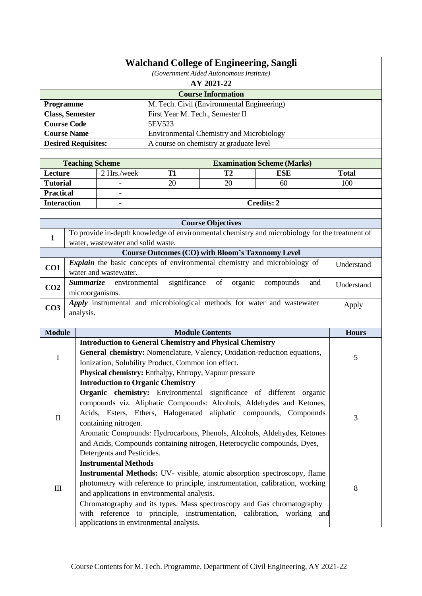|                                                                         | <b>Walchand College of Engineering, Sangli</b><br>(Government Aided Autonomous Institute)         |                                    |                                                                 |                                            |                                                                                                |              |  |
|-------------------------------------------------------------------------|---------------------------------------------------------------------------------------------------|------------------------------------|-----------------------------------------------------------------|--------------------------------------------|------------------------------------------------------------------------------------------------|--------------|--|
| AY 2021-22                                                              |                                                                                                   |                                    |                                                                 |                                            |                                                                                                |              |  |
|                                                                         |                                                                                                   |                                    |                                                                 | <b>Course Information</b>                  |                                                                                                |              |  |
| Programme                                                               |                                                                                                   |                                    |                                                                 | M. Tech. Civil (Environmental Engineering) |                                                                                                |              |  |
|                                                                         | <b>Class, Semester</b>                                                                            |                                    | First Year M. Tech., Semester II                                |                                            |                                                                                                |              |  |
|                                                                         | <b>Course Code</b>                                                                                |                                    | 5EV523                                                          |                                            |                                                                                                |              |  |
|                                                                         | <b>Course Name</b>                                                                                |                                    | <b>Environmental Chemistry and Microbiology</b>                 |                                            |                                                                                                |              |  |
|                                                                         | <b>Desired Requisites:</b>                                                                        |                                    |                                                                 | A course on chemistry at graduate level    |                                                                                                |              |  |
|                                                                         |                                                                                                   |                                    |                                                                 |                                            |                                                                                                |              |  |
|                                                                         | <b>Teaching Scheme</b>                                                                            |                                    |                                                                 |                                            | <b>Examination Scheme (Marks)</b>                                                              |              |  |
| Lecture                                                                 |                                                                                                   | 2 Hrs./week                        | <b>T1</b>                                                       | T <sub>2</sub>                             | <b>ESE</b>                                                                                     | <b>Total</b> |  |
| <b>Tutorial</b>                                                         |                                                                                                   |                                    | 20                                                              | 20                                         | 60                                                                                             | 100          |  |
| <b>Practical</b>                                                        |                                                                                                   |                                    |                                                                 |                                            |                                                                                                |              |  |
| <b>Interaction</b>                                                      |                                                                                                   | $\overline{a}$                     |                                                                 |                                            | <b>Credits: 2</b>                                                                              |              |  |
|                                                                         |                                                                                                   |                                    |                                                                 |                                            |                                                                                                |              |  |
|                                                                         |                                                                                                   |                                    |                                                                 | <b>Course Objectives</b>                   |                                                                                                |              |  |
| 1                                                                       |                                                                                                   |                                    |                                                                 |                                            | To provide in-depth knowledge of environmental chemistry and microbiology for the treatment of |              |  |
|                                                                         |                                                                                                   | water, wastewater and solid waste. | <b>Course Outcomes (CO) with Bloom's Taxonomy Level</b>         |                                            |                                                                                                |              |  |
|                                                                         |                                                                                                   |                                    |                                                                 |                                            | Explain the basic concepts of environmental chemistry and microbiology of                      |              |  |
| CO1                                                                     |                                                                                                   | water and wastewater.              |                                                                 |                                            |                                                                                                | Understand   |  |
| CO <sub>2</sub>                                                         | significance of<br>environmental<br>organic<br><b>Summarize</b><br>compounds<br>and<br>Understand |                                    |                                                                 |                                            |                                                                                                |              |  |
|                                                                         | microorganisms.<br>Apply instrumental and microbiological methods for water and wastewater        |                                    |                                                                 |                                            |                                                                                                |              |  |
| CO <sub>3</sub>                                                         | analysis.                                                                                         |                                    |                                                                 |                                            |                                                                                                | Apply        |  |
|                                                                         |                                                                                                   |                                    |                                                                 |                                            |                                                                                                |              |  |
| <b>Module</b>                                                           |                                                                                                   |                                    |                                                                 | <b>Module Contents</b>                     |                                                                                                | <b>Hours</b> |  |
|                                                                         |                                                                                                   |                                    | <b>Introduction to General Chemistry and Physical Chemistry</b> |                                            |                                                                                                |              |  |
| $\bf{I}$                                                                |                                                                                                   |                                    |                                                                 |                                            | General chemistry: Nomenclature, Valency, Oxidation-reduction equations,                       | 5            |  |
|                                                                         |                                                                                                   |                                    | Ionization, Solubility Product, Common ion effect.              |                                            |                                                                                                |              |  |
|                                                                         |                                                                                                   |                                    | Physical chemistry: Enthalpy, Entropy, Vapour pressure          |                                            |                                                                                                |              |  |
|                                                                         |                                                                                                   |                                    | <b>Introduction to Organic Chemistry</b>                        |                                            |                                                                                                |              |  |
|                                                                         |                                                                                                   |                                    |                                                                 |                                            | Organic chemistry: Environmental significance of different organic                             |              |  |
|                                                                         |                                                                                                   |                                    |                                                                 |                                            | compounds viz. Aliphatic Compounds: Alcohols, Aldehydes and Ketones,                           |              |  |
| $\mathbf{I}$                                                            |                                                                                                   |                                    |                                                                 |                                            | Acids, Esters, Ethers, Halogenated aliphatic compounds, Compounds                              | 3            |  |
|                                                                         |                                                                                                   | containing nitrogen.               |                                                                 |                                            |                                                                                                |              |  |
|                                                                         | Aromatic Compounds: Hydrocarbons, Phenols, Alcohols, Aldehydes, Ketones                           |                                    |                                                                 |                                            |                                                                                                |              |  |
| and Acids, Compounds containing nitrogen, Heterocyclic compounds, Dyes, |                                                                                                   |                                    |                                                                 |                                            |                                                                                                |              |  |
|                                                                         |                                                                                                   | Detergents and Pesticides.         |                                                                 |                                            |                                                                                                |              |  |
|                                                                         |                                                                                                   | <b>Instrumental Methods</b>        |                                                                 |                                            |                                                                                                |              |  |
|                                                                         |                                                                                                   |                                    |                                                                 |                                            | Instrumental Methods: UV- visible, atomic absorption spectroscopy, flame                       |              |  |
| $\rm III$                                                               |                                                                                                   |                                    |                                                                 |                                            | photometry with reference to principle, instrumentation, calibration, working                  | 8            |  |
|                                                                         |                                                                                                   |                                    | and applications in environmental analysis.                     |                                            |                                                                                                |              |  |
|                                                                         |                                                                                                   |                                    |                                                                 |                                            | Chromatography and its types. Mass spectroscopy and Gas chromatography                         |              |  |
|                                                                         |                                                                                                   |                                    | with reference to principle, instrumentation, calibration,      |                                            | working and                                                                                    |              |  |
|                                                                         |                                                                                                   |                                    | applications in environmental analysis.                         |                                            |                                                                                                |              |  |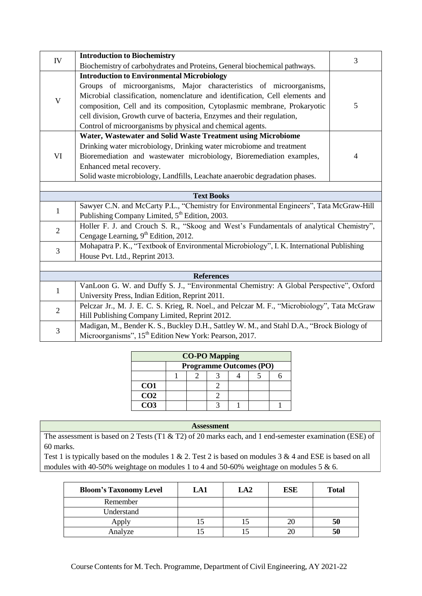| IV                | <b>Introduction to Biochemistry</b>                                                         | 3              |  |  |  |  |
|-------------------|---------------------------------------------------------------------------------------------|----------------|--|--|--|--|
|                   | Biochemistry of carbohydrates and Proteins, General biochemical pathways.                   |                |  |  |  |  |
|                   | <b>Introduction to Environmental Microbiology</b>                                           |                |  |  |  |  |
|                   | Groups of microorganisms, Major characteristics of microorganisms,                          |                |  |  |  |  |
| $\mathbf{V}$      | Microbial classification, nomenclature and identification, Cell elements and                |                |  |  |  |  |
|                   | composition, Cell and its composition, Cytoplasmic membrane, Prokaryotic                    | 5              |  |  |  |  |
|                   | cell division, Growth curve of bacteria, Enzymes and their regulation,                      |                |  |  |  |  |
|                   | Control of microorganisms by physical and chemical agents.                                  |                |  |  |  |  |
|                   | Water, Wastewater and Solid Waste Treatment using Microbiome                                |                |  |  |  |  |
|                   | Drinking water microbiology, Drinking water microbiome and treatment                        |                |  |  |  |  |
| VI                | Bioremediation and wastewater microbiology, Bioremediation examples,                        | $\overline{4}$ |  |  |  |  |
|                   | Enhanced metal recovery.                                                                    |                |  |  |  |  |
|                   | Solid waste microbiology, Landfills, Leachate anaerobic degradation phases.                 |                |  |  |  |  |
|                   |                                                                                             |                |  |  |  |  |
| <b>Text Books</b> |                                                                                             |                |  |  |  |  |
| $\mathbf{1}$      | Sawyer C.N. and McCarty P.L., "Chemistry for Environmental Engineers", Tata McGraw-Hill     |                |  |  |  |  |
|                   | Publishing Company Limited, 5 <sup>th</sup> Edition, 2003.                                  |                |  |  |  |  |
| $\overline{2}$    | Holler F. J. and Crouch S. R., "Skoog and West's Fundamentals of analytical Chemistry",     |                |  |  |  |  |
|                   | Cengage Learning, 9 <sup>th</sup> Edition, 2012.                                            |                |  |  |  |  |
| 3                 | Mohapatra P. K., "Textbook of Environmental Microbiology", I. K. International Publishing   |                |  |  |  |  |
|                   | House Pvt. Ltd., Reprint 2013.                                                              |                |  |  |  |  |
|                   |                                                                                             |                |  |  |  |  |
|                   | <b>References</b>                                                                           |                |  |  |  |  |
| $\mathbf{1}$      | VanLoon G. W. and Duffy S. J., "Environmental Chemistry: A Global Perspective", Oxford      |                |  |  |  |  |
|                   | University Press, Indian Edition, Reprint 2011.                                             |                |  |  |  |  |
| $\overline{2}$    | Pelczar Jr., M. J. E. C. S. Krieg, R. Noel., and Pelczar M. F., "Microbiology", Tata McGraw |                |  |  |  |  |
|                   | Hill Publishing Company Limited, Reprint 2012.                                              |                |  |  |  |  |
| 3                 | Madigan, M., Bender K. S., Buckley D.H., Sattley W. M., and Stahl D.A., "Brock Biology of   |                |  |  |  |  |
|                   | Microorganisms", 15 <sup>th</sup> Edition New York: Pearson, 2017.                          |                |  |  |  |  |

| <b>CO-PO Mapping</b> |                                |  |  |  |  |  |  |
|----------------------|--------------------------------|--|--|--|--|--|--|
|                      | <b>Programme Outcomes (PO)</b> |  |  |  |  |  |  |
|                      |                                |  |  |  |  |  |  |
| CO <sub>1</sub>      |                                |  |  |  |  |  |  |
| CO <sub>2</sub>      |                                |  |  |  |  |  |  |
| CO3                  |                                |  |  |  |  |  |  |

The assessment is based on 2 Tests (T1 & T2) of 20 marks each, and 1 end-semester examination (ESE) of 60 marks.

| <b>Bloom's Taxonomy Level</b> | LA1 | LA <sub>2</sub> | <b>ESE</b> | <b>Total</b> |
|-------------------------------|-----|-----------------|------------|--------------|
| Remember                      |     |                 |            |              |
| Understand                    |     |                 |            |              |
| Apply                         |     |                 |            | 50           |
| Analyze                       |     |                 |            |              |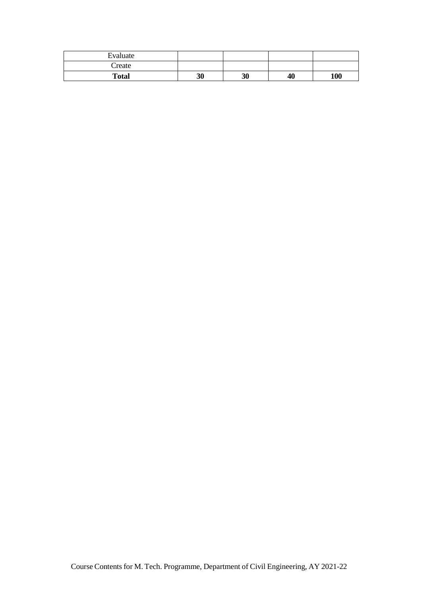| Evaluate     |    |    |    |     |
|--------------|----|----|----|-----|
| Create       |    |    |    |     |
| <b>Total</b> | 30 | 30 | 40 | 100 |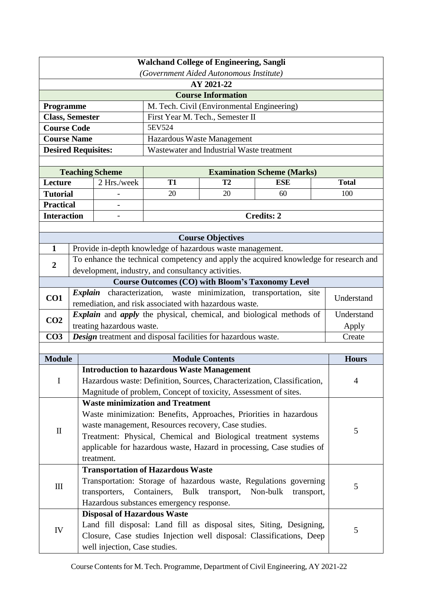|                              |                                                                                                                                                                                                                                                                                                                                                                                                 | (Government Aided Autonomous Institute)                                                               |                                                                 |                                            |                                                                                       |                |  |  |  |
|------------------------------|-------------------------------------------------------------------------------------------------------------------------------------------------------------------------------------------------------------------------------------------------------------------------------------------------------------------------------------------------------------------------------------------------|-------------------------------------------------------------------------------------------------------|-----------------------------------------------------------------|--------------------------------------------|---------------------------------------------------------------------------------------|----------------|--|--|--|
|                              | AY 2021-22                                                                                                                                                                                                                                                                                                                                                                                      |                                                                                                       |                                                                 |                                            |                                                                                       |                |  |  |  |
|                              |                                                                                                                                                                                                                                                                                                                                                                                                 |                                                                                                       |                                                                 | <b>Course Information</b>                  |                                                                                       |                |  |  |  |
| <b>Programme</b>             |                                                                                                                                                                                                                                                                                                                                                                                                 |                                                                                                       |                                                                 | M. Tech. Civil (Environmental Engineering) |                                                                                       |                |  |  |  |
|                              | First Year M. Tech., Semester II<br><b>Class, Semester</b>                                                                                                                                                                                                                                                                                                                                      |                                                                                                       |                                                                 |                                            |                                                                                       |                |  |  |  |
| <b>Course Code</b><br>5EV524 |                                                                                                                                                                                                                                                                                                                                                                                                 |                                                                                                       |                                                                 |                                            |                                                                                       |                |  |  |  |
| <b>Course Name</b>           |                                                                                                                                                                                                                                                                                                                                                                                                 |                                                                                                       |                                                                 | Hazardous Waste Management                 |                                                                                       |                |  |  |  |
| <b>Desired Requisites:</b>   |                                                                                                                                                                                                                                                                                                                                                                                                 |                                                                                                       |                                                                 | Wastewater and Industrial Waste treatment  |                                                                                       |                |  |  |  |
|                              |                                                                                                                                                                                                                                                                                                                                                                                                 |                                                                                                       |                                                                 |                                            |                                                                                       |                |  |  |  |
|                              |                                                                                                                                                                                                                                                                                                                                                                                                 | <b>Teaching Scheme</b>                                                                                |                                                                 |                                            | <b>Examination Scheme (Marks)</b>                                                     |                |  |  |  |
| Lecture                      |                                                                                                                                                                                                                                                                                                                                                                                                 | 2 Hrs./week                                                                                           | <b>T1</b>                                                       | T <sub>2</sub>                             | <b>ESE</b>                                                                            | <b>Total</b>   |  |  |  |
| <b>Tutorial</b>              |                                                                                                                                                                                                                                                                                                                                                                                                 |                                                                                                       | 20                                                              | 20                                         | 60                                                                                    | 100            |  |  |  |
| <b>Practical</b>             |                                                                                                                                                                                                                                                                                                                                                                                                 |                                                                                                       |                                                                 |                                            |                                                                                       |                |  |  |  |
| <b>Interaction</b>           |                                                                                                                                                                                                                                                                                                                                                                                                 | $\overline{\phantom{a}}$                                                                              |                                                                 |                                            | <b>Credits: 2</b>                                                                     |                |  |  |  |
|                              |                                                                                                                                                                                                                                                                                                                                                                                                 |                                                                                                       |                                                                 |                                            |                                                                                       |                |  |  |  |
| $\mathbf{1}$                 |                                                                                                                                                                                                                                                                                                                                                                                                 |                                                                                                       | Provide in-depth knowledge of hazardous waste management.       | <b>Course Objectives</b>                   |                                                                                       |                |  |  |  |
|                              |                                                                                                                                                                                                                                                                                                                                                                                                 |                                                                                                       |                                                                 |                                            | To enhance the technical competency and apply the acquired knowledge for research and |                |  |  |  |
| $\boldsymbol{2}$             |                                                                                                                                                                                                                                                                                                                                                                                                 |                                                                                                       | development, industry, and consultancy activities.              |                                            |                                                                                       |                |  |  |  |
|                              |                                                                                                                                                                                                                                                                                                                                                                                                 |                                                                                                       |                                                                 |                                            | <b>Course Outcomes (CO) with Bloom's Taxonomy Level</b>                               |                |  |  |  |
|                              |                                                                                                                                                                                                                                                                                                                                                                                                 |                                                                                                       |                                                                 |                                            |                                                                                       |                |  |  |  |
| CO1                          | <i>Explain</i> characterization, waste minimization, transportation, site<br>remediation, and risk associated with hazardous waste.                                                                                                                                                                                                                                                             |                                                                                                       |                                                                 |                                            |                                                                                       | Understand     |  |  |  |
| CO <sub>2</sub>              | <i>Explain</i> and <i>apply</i> the physical, chemical, and biological methods of                                                                                                                                                                                                                                                                                                               |                                                                                                       |                                                                 |                                            |                                                                                       | Understand     |  |  |  |
|                              |                                                                                                                                                                                                                                                                                                                                                                                                 | treating hazardous waste.                                                                             |                                                                 |                                            |                                                                                       | Apply          |  |  |  |
| CO <sub>3</sub>              |                                                                                                                                                                                                                                                                                                                                                                                                 |                                                                                                       | Design treatment and disposal facilities for hazardous waste.   |                                            |                                                                                       | Create         |  |  |  |
|                              |                                                                                                                                                                                                                                                                                                                                                                                                 |                                                                                                       |                                                                 |                                            |                                                                                       |                |  |  |  |
| <b>Module</b>                |                                                                                                                                                                                                                                                                                                                                                                                                 |                                                                                                       |                                                                 | <b>Module Contents</b>                     |                                                                                       | <b>Hours</b>   |  |  |  |
|                              |                                                                                                                                                                                                                                                                                                                                                                                                 |                                                                                                       | <b>Introduction to hazardous Waste Management</b>               |                                            |                                                                                       | $\overline{4}$ |  |  |  |
| I                            |                                                                                                                                                                                                                                                                                                                                                                                                 | Hazardous waste: Definition, Sources, Characterization, Classification,                               |                                                                 |                                            |                                                                                       |                |  |  |  |
|                              |                                                                                                                                                                                                                                                                                                                                                                                                 |                                                                                                       | Magnitude of problem, Concept of toxicity, Assessment of sites. |                                            |                                                                                       |                |  |  |  |
|                              |                                                                                                                                                                                                                                                                                                                                                                                                 |                                                                                                       | <b>Waste minimization and Treatment</b>                         |                                            |                                                                                       |                |  |  |  |
|                              |                                                                                                                                                                                                                                                                                                                                                                                                 | Waste minimization: Benefits, Approaches, Priorities in hazardous                                     |                                                                 |                                            |                                                                                       |                |  |  |  |
| $\mathbf{I}$                 |                                                                                                                                                                                                                                                                                                                                                                                                 | waste management, Resources recovery, Case studies.                                                   |                                                                 |                                            |                                                                                       |                |  |  |  |
|                              |                                                                                                                                                                                                                                                                                                                                                                                                 |                                                                                                       |                                                                 |                                            |                                                                                       |                |  |  |  |
|                              |                                                                                                                                                                                                                                                                                                                                                                                                 |                                                                                                       |                                                                 |                                            |                                                                                       |                |  |  |  |
|                              |                                                                                                                                                                                                                                                                                                                                                                                                 |                                                                                                       |                                                                 |                                            |                                                                                       |                |  |  |  |
|                              |                                                                                                                                                                                                                                                                                                                                                                                                 |                                                                                                       |                                                                 |                                            |                                                                                       |                |  |  |  |
| $\rm III$                    |                                                                                                                                                                                                                                                                                                                                                                                                 |                                                                                                       |                                                                 |                                            |                                                                                       | 5              |  |  |  |
|                              |                                                                                                                                                                                                                                                                                                                                                                                                 |                                                                                                       |                                                                 |                                            |                                                                                       |                |  |  |  |
|                              |                                                                                                                                                                                                                                                                                                                                                                                                 | <b>Disposal of Hazardous Waste</b>                                                                    |                                                                 |                                            |                                                                                       |                |  |  |  |
|                              |                                                                                                                                                                                                                                                                                                                                                                                                 |                                                                                                       |                                                                 |                                            | Land fill disposal: Land fill as disposal sites, Siting, Designing,                   |                |  |  |  |
| IV                           |                                                                                                                                                                                                                                                                                                                                                                                                 |                                                                                                       |                                                                 |                                            |                                                                                       | 5              |  |  |  |
|                              |                                                                                                                                                                                                                                                                                                                                                                                                 | Closure, Case studies Injection well disposal: Classifications, Deep<br>well injection, Case studies. |                                                                 |                                            |                                                                                       |                |  |  |  |
|                              | Treatment: Physical, Chemical and Biological treatment systems<br>applicable for hazardous waste, Hazard in processing, Case studies of<br>treatment.<br><b>Transportation of Hazardous Waste</b><br>Transportation: Storage of hazardous waste, Regulations governing<br>Containers, Bulk<br>transporters,<br>transport,<br>Non-bulk<br>transport,<br>Hazardous substances emergency response. |                                                                                                       |                                                                 |                                            |                                                                                       |                |  |  |  |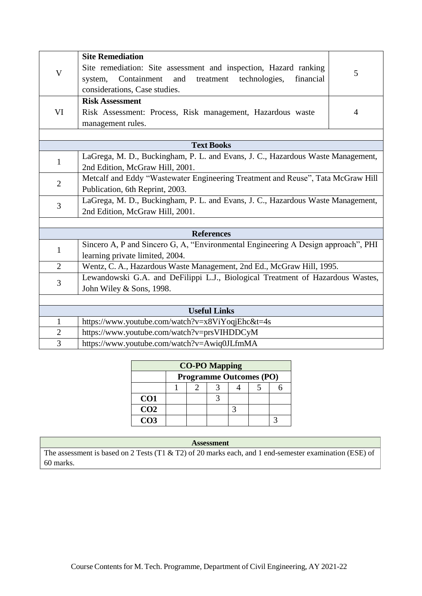| $\boldsymbol{\mathrm{V}}$ | <b>Site Remediation</b><br>Site remediation: Site assessment and inspection, Hazard ranking<br>Containment<br>and<br>treatment<br>technologies,<br>financial<br>system,<br>considerations, Case studies. | 5 |  |  |  |  |  |
|---------------------------|----------------------------------------------------------------------------------------------------------------------------------------------------------------------------------------------------------|---|--|--|--|--|--|
| VI                        | <b>Risk Assessment</b><br>Risk Assessment: Process, Risk management, Hazardous waste<br>management rules.                                                                                                | 4 |  |  |  |  |  |
|                           |                                                                                                                                                                                                          |   |  |  |  |  |  |
|                           | <b>Text Books</b>                                                                                                                                                                                        |   |  |  |  |  |  |
| $\mathbf{1}$              | LaGrega, M. D., Buckingham, P. L. and Evans, J. C., Hazardous Waste Management,<br>2nd Edition, McGraw Hill, 2001.                                                                                       |   |  |  |  |  |  |
|                           | Metcalf and Eddy "Wastewater Engineering Treatment and Reuse", Tata McGraw Hill                                                                                                                          |   |  |  |  |  |  |
|                           | $\overline{2}$<br>Publication, 6th Reprint, 2003.                                                                                                                                                        |   |  |  |  |  |  |
| 3                         | LaGrega, M. D., Buckingham, P. L. and Evans, J. C., Hazardous Waste Management,                                                                                                                          |   |  |  |  |  |  |
|                           | 2nd Edition, McGraw Hill, 2001.                                                                                                                                                                          |   |  |  |  |  |  |
|                           |                                                                                                                                                                                                          |   |  |  |  |  |  |
|                           | <b>References</b>                                                                                                                                                                                        |   |  |  |  |  |  |
| $\mathbf{1}$              | Sincero A, P and Sincero G, A, "Environmental Engineering A Design approach", PHI                                                                                                                        |   |  |  |  |  |  |
|                           | learning private limited, 2004.                                                                                                                                                                          |   |  |  |  |  |  |
| $\overline{2}$            | Wentz, C. A., Hazardous Waste Management, 2nd Ed., McGraw Hill, 1995.                                                                                                                                    |   |  |  |  |  |  |
| 3                         | Lewandowski G.A. and DeFilippi L.J., Biological Treatment of Hazardous Wastes,                                                                                                                           |   |  |  |  |  |  |
|                           | John Wiley & Sons, 1998.                                                                                                                                                                                 |   |  |  |  |  |  |
|                           |                                                                                                                                                                                                          |   |  |  |  |  |  |
|                           | <b>Useful Links</b>                                                                                                                                                                                      |   |  |  |  |  |  |
| $\mathbf{1}$              | https://www.youtube.com/watch?v=x8ViYoqjEhc&t=4s                                                                                                                                                         |   |  |  |  |  |  |
| $\mathbf{2}$              | https://www.youtube.com/watch?v=prsVIHDDCyM                                                                                                                                                              |   |  |  |  |  |  |
| 3                         | https://www.youtube.com/watch?v=Awiq0JLfmMA                                                                                                                                                              |   |  |  |  |  |  |

| <b>CO-PO Mapping</b> |                                |  |  |  |  |  |  |
|----------------------|--------------------------------|--|--|--|--|--|--|
|                      | <b>Programme Outcomes (PO)</b> |  |  |  |  |  |  |
|                      |                                |  |  |  |  |  |  |
| CO <sub>1</sub>      |                                |  |  |  |  |  |  |
| CO <sub>2</sub>      |                                |  |  |  |  |  |  |
| CO <sub>3</sub>      |                                |  |  |  |  |  |  |

The assessment is based on 2 Tests (T1 & T2) of 20 marks each, and 1 end-semester examination (ESE) of 60 marks.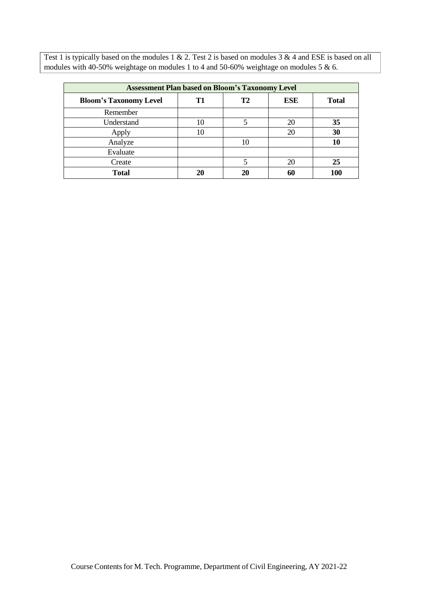| <b>Assessment Plan based on Bloom's Taxonomy Level</b> |    |                |            |              |  |  |  |  |
|--------------------------------------------------------|----|----------------|------------|--------------|--|--|--|--|
| <b>Bloom's Taxonomy Level</b>                          | T1 | T <sub>2</sub> | <b>ESE</b> | <b>Total</b> |  |  |  |  |
| Remember                                               |    |                |            |              |  |  |  |  |
| Understand                                             | 10 | 5              | 20         | 35           |  |  |  |  |
| Apply                                                  | 10 |                | 20         | 30           |  |  |  |  |
| Analyze                                                |    | 10             |            | 10           |  |  |  |  |
| Evaluate                                               |    |                |            |              |  |  |  |  |
| Create                                                 |    | 5              | 20         | 25           |  |  |  |  |
| Total                                                  | 20 | 20             | 60         | 100          |  |  |  |  |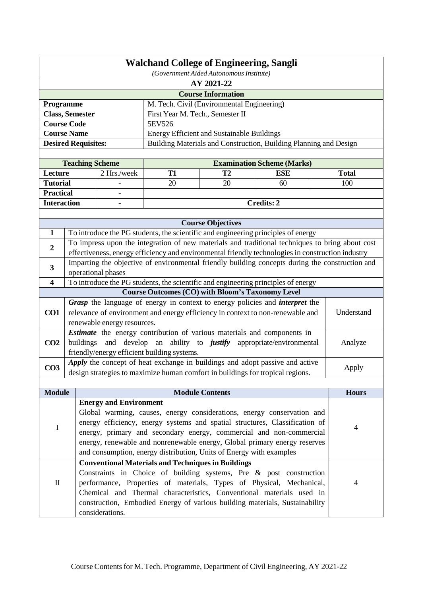| <b>Walchand College of Engineering, Sangli</b><br>(Government Aided Autonomous Institute) |                            |                                                                             |                                                                                     |                                                   |                                                                                                                                                                |                     |  |  |
|-------------------------------------------------------------------------------------------|----------------------------|-----------------------------------------------------------------------------|-------------------------------------------------------------------------------------|---------------------------------------------------|----------------------------------------------------------------------------------------------------------------------------------------------------------------|---------------------|--|--|
| AY 2021-22                                                                                |                            |                                                                             |                                                                                     |                                                   |                                                                                                                                                                |                     |  |  |
|                                                                                           |                            |                                                                             |                                                                                     | <b>Course Information</b>                         |                                                                                                                                                                |                     |  |  |
| Programme                                                                                 |                            |                                                                             |                                                                                     | M. Tech. Civil (Environmental Engineering)        |                                                                                                                                                                |                     |  |  |
|                                                                                           | <b>Class, Semester</b>     |                                                                             | First Year M. Tech., Semester II                                                    |                                                   |                                                                                                                                                                |                     |  |  |
|                                                                                           | <b>Course Code</b>         |                                                                             | 5EV526                                                                              |                                                   |                                                                                                                                                                |                     |  |  |
|                                                                                           | <b>Course Name</b>         |                                                                             |                                                                                     | <b>Energy Efficient and Sustainable Buildings</b> |                                                                                                                                                                |                     |  |  |
|                                                                                           | <b>Desired Requisites:</b> |                                                                             |                                                                                     |                                                   | Building Materials and Construction, Building Planning and Design                                                                                              |                     |  |  |
|                                                                                           |                            |                                                                             |                                                                                     |                                                   |                                                                                                                                                                |                     |  |  |
|                                                                                           | <b>Teaching Scheme</b>     |                                                                             |                                                                                     |                                                   | <b>Examination Scheme (Marks)</b>                                                                                                                              |                     |  |  |
| Lecture<br><b>Tutorial</b>                                                                |                            | 2 Hrs./week                                                                 | <b>T1</b><br>20                                                                     | T <sub>2</sub><br>20                              | <b>ESE</b><br>60                                                                                                                                               | <b>Total</b><br>100 |  |  |
| <b>Practical</b>                                                                          |                            |                                                                             |                                                                                     |                                                   |                                                                                                                                                                |                     |  |  |
| <b>Interaction</b>                                                                        |                            | $\overline{\phantom{0}}$                                                    |                                                                                     |                                                   | <b>Credits: 2</b>                                                                                                                                              |                     |  |  |
|                                                                                           |                            |                                                                             |                                                                                     |                                                   |                                                                                                                                                                |                     |  |  |
|                                                                                           |                            |                                                                             |                                                                                     | <b>Course Objectives</b>                          |                                                                                                                                                                |                     |  |  |
| $\mathbf{1}$                                                                              |                            |                                                                             |                                                                                     |                                                   | To introduce the PG students, the scientific and engineering principles of energy                                                                              |                     |  |  |
|                                                                                           |                            |                                                                             |                                                                                     |                                                   | To impress upon the integration of new materials and traditional techniques to bring about cost                                                                |                     |  |  |
| $\boldsymbol{2}$                                                                          |                            |                                                                             |                                                                                     |                                                   | effectiveness, energy efficiency and environmental friendly technologies in construction industry                                                              |                     |  |  |
| $\mathbf{3}$                                                                              |                            |                                                                             |                                                                                     |                                                   | Imparting the objective of environmental friendly building concepts during the construction and                                                                |                     |  |  |
|                                                                                           |                            | operational phases                                                          |                                                                                     |                                                   |                                                                                                                                                                |                     |  |  |
| $\overline{\mathbf{4}}$                                                                   |                            |                                                                             |                                                                                     |                                                   | To introduce the PG students, the scientific and engineering principles of energy                                                                              |                     |  |  |
|                                                                                           |                            |                                                                             | <b>Course Outcomes (CO) with Bloom's Taxonomy Level</b>                             |                                                   |                                                                                                                                                                |                     |  |  |
|                                                                                           |                            |                                                                             | Grasp the language of energy in context to energy policies and <i>interpret</i> the |                                                   |                                                                                                                                                                |                     |  |  |
| CO <sub>1</sub>                                                                           |                            |                                                                             | relevance of environment and energy efficiency in context to non-renewable and      |                                                   |                                                                                                                                                                | Understand          |  |  |
|                                                                                           |                            | renewable energy resources.                                                 |                                                                                     |                                                   |                                                                                                                                                                |                     |  |  |
|                                                                                           |                            |                                                                             | Estimate the energy contribution of various materials and components in             |                                                   |                                                                                                                                                                |                     |  |  |
| CO <sub>2</sub>                                                                           | buildings                  | develop<br>and                                                              | an ability to <i>justify</i><br>appropriate/environmental                           |                                                   |                                                                                                                                                                | Analyze             |  |  |
|                                                                                           |                            |                                                                             | friendly/energy efficient building systems.                                         |                                                   |                                                                                                                                                                |                     |  |  |
| CO <sub>3</sub>                                                                           |                            |                                                                             |                                                                                     |                                                   | Apply the concept of heat exchange in buildings and adopt passive and active<br>design strategies to maximize human comfort in buildings for tropical regions. | Apply               |  |  |
|                                                                                           |                            |                                                                             |                                                                                     |                                                   |                                                                                                                                                                |                     |  |  |
| <b>Module</b>                                                                             |                            |                                                                             |                                                                                     | <b>Module Contents</b>                            |                                                                                                                                                                | <b>Hours</b>        |  |  |
|                                                                                           |                            | <b>Energy and Environment</b>                                               |                                                                                     |                                                   |                                                                                                                                                                |                     |  |  |
|                                                                                           |                            |                                                                             |                                                                                     |                                                   | Global warming, causes, energy considerations, energy conservation and                                                                                         |                     |  |  |
|                                                                                           |                            | energy efficiency, energy systems and spatial structures, Classification of |                                                                                     |                                                   |                                                                                                                                                                |                     |  |  |
| I                                                                                         |                            |                                                                             |                                                                                     |                                                   | energy, primary and secondary energy, commercial and non-commercial                                                                                            | $\overline{4}$      |  |  |
|                                                                                           |                            | energy, renewable and nonrenewable energy, Global primary energy reserves   |                                                                                     |                                                   |                                                                                                                                                                |                     |  |  |
|                                                                                           |                            |                                                                             | and consumption, energy distribution, Units of Energy with examples                 |                                                   |                                                                                                                                                                |                     |  |  |
|                                                                                           |                            |                                                                             | <b>Conventional Materials and Techniques in Buildings</b>                           |                                                   |                                                                                                                                                                |                     |  |  |
|                                                                                           |                            |                                                                             |                                                                                     |                                                   | Constraints in Choice of building systems, Pre & post construction                                                                                             |                     |  |  |
| $\mathbf I$                                                                               |                            |                                                                             |                                                                                     |                                                   | performance, Properties of materials, Types of Physical, Mechanical,                                                                                           | 4                   |  |  |
|                                                                                           |                            |                                                                             |                                                                                     |                                                   | Chemical and Thermal characteristics, Conventional materials used in                                                                                           |                     |  |  |
|                                                                                           |                            |                                                                             |                                                                                     |                                                   | construction, Embodied Energy of various building materials, Sustainability                                                                                    |                     |  |  |
|                                                                                           |                            | considerations.                                                             |                                                                                     |                                                   |                                                                                                                                                                |                     |  |  |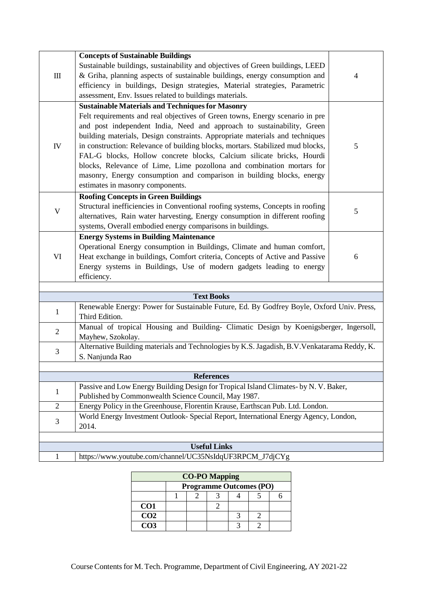|                                                                                                                                                              | <b>Concepts of Sustainable Buildings</b>                                                                                                                                                                                                                                                                                                                                                                                                                                                                                                                                                                                                           |                |  |  |  |  |  |
|--------------------------------------------------------------------------------------------------------------------------------------------------------------|----------------------------------------------------------------------------------------------------------------------------------------------------------------------------------------------------------------------------------------------------------------------------------------------------------------------------------------------------------------------------------------------------------------------------------------------------------------------------------------------------------------------------------------------------------------------------------------------------------------------------------------------------|----------------|--|--|--|--|--|
| $\mathbf{m}$                                                                                                                                                 | Sustainable buildings, sustainability and objectives of Green buildings, LEED<br>& Griha, planning aspects of sustainable buildings, energy consumption and<br>efficiency in buildings, Design strategies, Material strategies, Parametric<br>assessment, Env. Issues related to buildings materials.                                                                                                                                                                                                                                                                                                                                              | 4              |  |  |  |  |  |
| IV                                                                                                                                                           | <b>Sustainable Materials and Techniques for Masonry</b><br>Felt requirements and real objectives of Green towns, Energy scenario in pre<br>and post independent India, Need and approach to sustainability, Green<br>building materials, Design constraints. Appropriate materials and techniques<br>in construction: Relevance of building blocks, mortars. Stabilized mud blocks,<br>FAL-G blocks, Hollow concrete blocks, Calcium silicate bricks, Hourdi<br>blocks, Relevance of Lime, Lime pozollona and combination mortars for<br>masonry, Energy consumption and comparison in building blocks, energy<br>estimates in masonry components. | $\mathfrak{S}$ |  |  |  |  |  |
| V                                                                                                                                                            | <b>Roofing Concepts in Green Buildings</b><br>Structural inefficiencies in Conventional roofing systems, Concepts in roofing<br>alternatives, Rain water harvesting, Energy consumption in different roofing<br>systems, Overall embodied energy comparisons in buildings.                                                                                                                                                                                                                                                                                                                                                                         | 5              |  |  |  |  |  |
| VI                                                                                                                                                           | <b>Energy Systems in Building Maintenance</b><br>Operational Energy consumption in Buildings, Climate and human comfort,<br>Heat exchange in buildings, Comfort criteria, Concepts of Active and Passive<br>Energy systems in Buildings, Use of modern gadgets leading to energy<br>efficiency.                                                                                                                                                                                                                                                                                                                                                    | 6              |  |  |  |  |  |
|                                                                                                                                                              |                                                                                                                                                                                                                                                                                                                                                                                                                                                                                                                                                                                                                                                    |                |  |  |  |  |  |
|                                                                                                                                                              | <b>Text Books</b>                                                                                                                                                                                                                                                                                                                                                                                                                                                                                                                                                                                                                                  |                |  |  |  |  |  |
| $\mathbf{1}$                                                                                                                                                 | Renewable Energy: Power for Sustainable Future, Ed. By Godfrey Boyle, Oxford Univ. Press,<br>Third Edition.                                                                                                                                                                                                                                                                                                                                                                                                                                                                                                                                        |                |  |  |  |  |  |
| $\overline{2}$                                                                                                                                               | Manual of tropical Housing and Building- Climatic Design by Koenigsberger, Ingersoll,<br>Mayhew, Szokolay.                                                                                                                                                                                                                                                                                                                                                                                                                                                                                                                                         |                |  |  |  |  |  |
| 3                                                                                                                                                            | Alternative Building materials and Technologies by K.S. Jagadish, B.V. Venkatarama Reddy, K.<br>S. Nanjunda Rao                                                                                                                                                                                                                                                                                                                                                                                                                                                                                                                                    |                |  |  |  |  |  |
|                                                                                                                                                              |                                                                                                                                                                                                                                                                                                                                                                                                                                                                                                                                                                                                                                                    |                |  |  |  |  |  |
| <b>References</b>                                                                                                                                            |                                                                                                                                                                                                                                                                                                                                                                                                                                                                                                                                                                                                                                                    |                |  |  |  |  |  |
| Passive and Low Energy Building Design for Tropical Island Climates- by N. V. Baker,<br>$\mathbf{1}$<br>Published by Commonwealth Science Council, May 1987. |                                                                                                                                                                                                                                                                                                                                                                                                                                                                                                                                                                                                                                                    |                |  |  |  |  |  |
| $\overline{2}$                                                                                                                                               | Energy Policy in the Greenhouse, Florentin Krause, Earthscan Pub. Ltd. London.                                                                                                                                                                                                                                                                                                                                                                                                                                                                                                                                                                     |                |  |  |  |  |  |
| 3                                                                                                                                                            | World Energy Investment Outlook- Special Report, International Energy Agency, London,<br>2014.                                                                                                                                                                                                                                                                                                                                                                                                                                                                                                                                                     |                |  |  |  |  |  |
|                                                                                                                                                              |                                                                                                                                                                                                                                                                                                                                                                                                                                                                                                                                                                                                                                                    |                |  |  |  |  |  |
|                                                                                                                                                              | <b>Useful Links</b>                                                                                                                                                                                                                                                                                                                                                                                                                                                                                                                                                                                                                                |                |  |  |  |  |  |
| $\mathbf{1}$                                                                                                                                                 | https://www.youtube.com/channel/UC35NsIdqUF3RPCM_J7djCYg                                                                                                                                                                                                                                                                                                                                                                                                                                                                                                                                                                                           |                |  |  |  |  |  |

| <b>CO-PO Mapping</b> |  |                                |  |  |  |  |  |  |
|----------------------|--|--------------------------------|--|--|--|--|--|--|
|                      |  | <b>Programme Outcomes (PO)</b> |  |  |  |  |  |  |
|                      |  |                                |  |  |  |  |  |  |
| CO1                  |  |                                |  |  |  |  |  |  |
| CO <sub>2</sub>      |  |                                |  |  |  |  |  |  |
| CO <sub>3</sub>      |  |                                |  |  |  |  |  |  |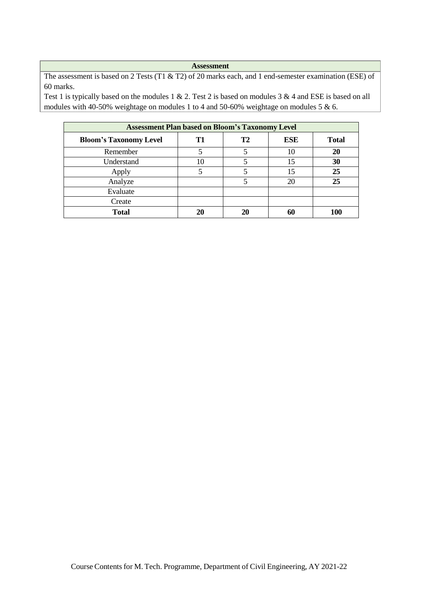The assessment is based on 2 Tests (T1 & T2) of 20 marks each, and 1 end-semester examination (ESE) of 60 marks.

| <b>Assessment Plan based on Bloom's Taxonomy Level</b> |    |    |            |              |  |  |  |
|--------------------------------------------------------|----|----|------------|--------------|--|--|--|
| <b>Bloom's Taxonomy Level</b>                          | Т1 | T2 | <b>ESE</b> | <b>Total</b> |  |  |  |
| Remember                                               |    |    | 10         | 20           |  |  |  |
| Understand                                             | 10 |    | 15         | 30           |  |  |  |
| Apply                                                  |    |    | 15         | 25           |  |  |  |
| Analyze                                                |    |    | 20         | 25           |  |  |  |
| Evaluate                                               |    |    |            |              |  |  |  |
| Create                                                 |    |    |            |              |  |  |  |
| <b>Total</b>                                           | 20 | 20 |            | 100          |  |  |  |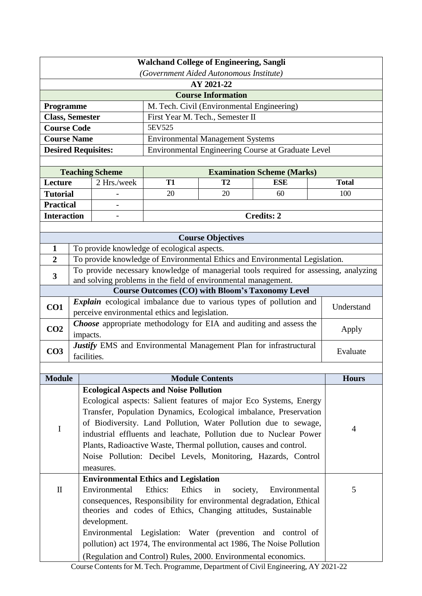|                                                                     | <b>Walchand College of Engineering, Sangli</b>                |                                                                   |                                                                   |                                                                |                                                                                      |              |  |
|---------------------------------------------------------------------|---------------------------------------------------------------|-------------------------------------------------------------------|-------------------------------------------------------------------|----------------------------------------------------------------|--------------------------------------------------------------------------------------|--------------|--|
| (Government Aided Autonomous Institute)<br>AY 2021-22               |                                                               |                                                                   |                                                                   |                                                                |                                                                                      |              |  |
| <b>Course Information</b>                                           |                                                               |                                                                   |                                                                   |                                                                |                                                                                      |              |  |
| Programme                                                           |                                                               |                                                                   |                                                                   | M. Tech. Civil (Environmental Engineering)                     |                                                                                      |              |  |
| <b>Class, Semester</b>                                              |                                                               |                                                                   |                                                                   | First Year M. Tech., Semester II                               |                                                                                      |              |  |
| <b>Course Code</b>                                                  |                                                               |                                                                   | 5EV525                                                            |                                                                |                                                                                      |              |  |
| <b>Course Name</b>                                                  |                                                               |                                                                   |                                                                   | <b>Environmental Management Systems</b>                        |                                                                                      |              |  |
| <b>Desired Requisites:</b>                                          |                                                               |                                                                   |                                                                   |                                                                | Environmental Engineering Course at Graduate Level                                   |              |  |
|                                                                     |                                                               |                                                                   |                                                                   |                                                                |                                                                                      |              |  |
|                                                                     |                                                               | <b>Teaching Scheme</b>                                            |                                                                   |                                                                | <b>Examination Scheme (Marks)</b>                                                    |              |  |
| Lecture                                                             |                                                               | 2 Hrs./week                                                       | <b>T1</b>                                                         | T2                                                             | <b>ESE</b>                                                                           | <b>Total</b> |  |
| <b>Tutorial</b>                                                     |                                                               |                                                                   | 20                                                                | 20                                                             | 60                                                                                   | 100          |  |
| <b>Practical</b>                                                    |                                                               |                                                                   |                                                                   |                                                                |                                                                                      |              |  |
| <b>Interaction</b>                                                  |                                                               |                                                                   |                                                                   |                                                                | <b>Credits: 2</b>                                                                    |              |  |
|                                                                     |                                                               |                                                                   |                                                                   |                                                                |                                                                                      |              |  |
| $\mathbf{1}$                                                        |                                                               |                                                                   | To provide knowledge of ecological aspects.                       | <b>Course Objectives</b>                                       |                                                                                      |              |  |
| $\overline{2}$                                                      |                                                               |                                                                   |                                                                   |                                                                | To provide knowledge of Environmental Ethics and Environmental Legislation.          |              |  |
|                                                                     |                                                               |                                                                   |                                                                   |                                                                | To provide necessary knowledge of managerial tools required for assessing, analyzing |              |  |
| 3                                                                   |                                                               |                                                                   |                                                                   | and solving problems in the field of environmental management. |                                                                                      |              |  |
|                                                                     |                                                               |                                                                   |                                                                   |                                                                | <b>Course Outcomes (CO) with Bloom's Taxonomy Level</b>                              |              |  |
| CO1                                                                 |                                                               |                                                                   |                                                                   |                                                                | Explain ecological imbalance due to various types of pollution and                   | Understand   |  |
| perceive environmental ethics and legislation.                      |                                                               |                                                                   |                                                                   |                                                                |                                                                                      |              |  |
| CO <sub>2</sub>                                                     | impacts.                                                      |                                                                   |                                                                   |                                                                | Choose appropriate methodology for EIA and auditing and assess the                   | Apply        |  |
| CO <sub>3</sub>                                                     | facilities.                                                   |                                                                   | Justify EMS and Environmental Management Plan for infrastructural |                                                                |                                                                                      | Evaluate     |  |
|                                                                     |                                                               |                                                                   |                                                                   |                                                                |                                                                                      |              |  |
| <b>Module</b>                                                       |                                                               |                                                                   |                                                                   | <b>Module Contents</b>                                         |                                                                                      | <b>Hours</b> |  |
|                                                                     |                                                               |                                                                   | <b>Ecological Aspects and Noise Pollution</b>                     |                                                                |                                                                                      |              |  |
|                                                                     |                                                               |                                                                   |                                                                   |                                                                | Ecological aspects: Salient features of major Eco Systems, Energy                    |              |  |
|                                                                     |                                                               | Transfer, Population Dynamics, Ecological imbalance, Preservation |                                                                   |                                                                |                                                                                      |              |  |
|                                                                     |                                                               | of Biodiversity. Land Pollution, Water Pollution due to sewage,   |                                                                   |                                                                |                                                                                      |              |  |
| $\mathbf I$                                                         |                                                               | industrial effluents and leachate, Pollution due to Nuclear Power |                                                                   |                                                                |                                                                                      |              |  |
|                                                                     |                                                               | Plants, Radioactive Waste, Thermal pollution, causes and control. |                                                                   |                                                                |                                                                                      |              |  |
|                                                                     |                                                               | Noise Pollution: Decibel Levels, Monitoring, Hazards, Control     |                                                                   |                                                                |                                                                                      |              |  |
|                                                                     | measures.                                                     |                                                                   |                                                                   |                                                                |                                                                                      |              |  |
|                                                                     |                                                               |                                                                   | <b>Environmental Ethics and Legislation</b>                       |                                                                |                                                                                      |              |  |
| $\mathbf{I}$<br>Environmental                                       |                                                               |                                                                   | Ethics:<br>Ethics                                                 | in<br>society,                                                 | Environmental                                                                        | 5            |  |
| consequences, Responsibility for environmental degradation, Ethical |                                                               |                                                                   |                                                                   |                                                                |                                                                                      |              |  |
|                                                                     | theories and codes of Ethics, Changing attitudes, Sustainable |                                                                   |                                                                   |                                                                |                                                                                      |              |  |
|                                                                     |                                                               | development.                                                      |                                                                   |                                                                |                                                                                      |              |  |
|                                                                     |                                                               |                                                                   |                                                                   |                                                                | Environmental Legislation: Water (prevention and control of                          |              |  |
|                                                                     |                                                               |                                                                   |                                                                   |                                                                | pollution) act 1974, The environmental act 1986, The Noise Pollution                 |              |  |
|                                                                     |                                                               |                                                                   |                                                                   | (Regulation and Control) Rules, 2000. Environmental economics. | Course Contents for M. Tech. Programme, Department of Civil Engineering, AY 2021-22  |              |  |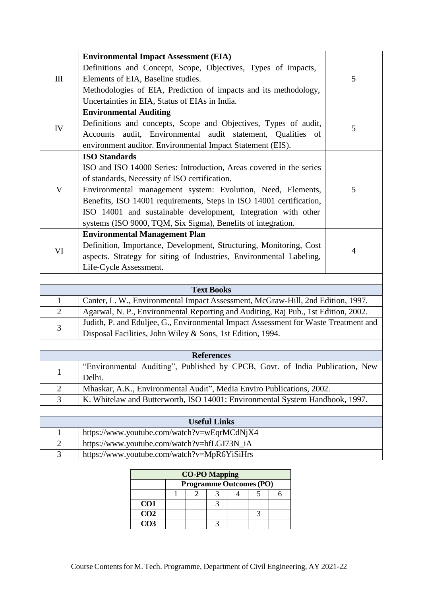|                                                                                   | <b>Environmental Impact Assessment (EIA)</b>                                            |                |  |  |  |  |
|-----------------------------------------------------------------------------------|-----------------------------------------------------------------------------------------|----------------|--|--|--|--|
|                                                                                   | Definitions and Concept, Scope, Objectives, Types of impacts,                           |                |  |  |  |  |
| III                                                                               | Elements of EIA, Baseline studies.                                                      | 5              |  |  |  |  |
|                                                                                   | Methodologies of EIA, Prediction of impacts and its methodology,                        |                |  |  |  |  |
|                                                                                   | Uncertainties in EIA, Status of EIAs in India.                                          |                |  |  |  |  |
|                                                                                   | <b>Environmental Auditing</b>                                                           |                |  |  |  |  |
|                                                                                   | Definitions and concepts, Scope and Objectives, Types of audit,                         |                |  |  |  |  |
| IV                                                                                | audit, Environmental audit statement, Qualities of<br>Accounts                          | 5              |  |  |  |  |
|                                                                                   | environment auditor. Environmental Impact Statement (EIS).                              |                |  |  |  |  |
|                                                                                   | <b>ISO Standards</b>                                                                    |                |  |  |  |  |
|                                                                                   | ISO and ISO 14000 Series: Introduction, Areas covered in the series                     |                |  |  |  |  |
|                                                                                   | of standards, Necessity of ISO certification.                                           |                |  |  |  |  |
| $\mathbf V$                                                                       | Environmental management system: Evolution, Need, Elements,                             | 5              |  |  |  |  |
|                                                                                   | Benefits, ISO 14001 requirements, Steps in ISO 14001 certification,                     |                |  |  |  |  |
|                                                                                   | ISO 14001 and sustainable development, Integration with other                           |                |  |  |  |  |
|                                                                                   | systems (ISO 9000, TQM, Six Sigma), Benefits of integration.                            |                |  |  |  |  |
|                                                                                   | <b>Environmental Management Plan</b>                                                    |                |  |  |  |  |
|                                                                                   | Definition, Importance, Development, Structuring, Monitoring, Cost                      |                |  |  |  |  |
| VI                                                                                | aspects. Strategy for siting of Industries, Environmental Labeling,                     | $\overline{4}$ |  |  |  |  |
|                                                                                   | Life-Cycle Assessment.                                                                  |                |  |  |  |  |
|                                                                                   |                                                                                         |                |  |  |  |  |
|                                                                                   | <b>Text Books</b>                                                                       |                |  |  |  |  |
| $\mathbf{1}$                                                                      | Canter, L. W., Environmental Impact Assessment, McGraw-Hill, 2nd Edition, 1997.         |                |  |  |  |  |
| $\overline{2}$                                                                    | Agarwal, N. P., Environmental Reporting and Auditing, Raj Pub., 1st Edition, 2002.      |                |  |  |  |  |
| 3                                                                                 | Judith, P. and Eduljee, G., Environmental Impact Assessment for Waste Treatment and     |                |  |  |  |  |
|                                                                                   | Disposal Facilities, John Wiley & Sons, 1st Edition, 1994.                              |                |  |  |  |  |
|                                                                                   |                                                                                         |                |  |  |  |  |
|                                                                                   | <b>References</b>                                                                       |                |  |  |  |  |
| $\mathbf{1}$                                                                      | "Environmental Auditing", Published by CPCB, Govt. of India Publication, New            |                |  |  |  |  |
|                                                                                   | Delhi.                                                                                  |                |  |  |  |  |
|                                                                                   | Mhaskar, A.K., Environmental Audit", Media Enviro Publications, 2002.<br>$\overline{2}$ |                |  |  |  |  |
| 3<br>K. Whitelaw and Butterworth, ISO 14001: Environmental System Handbook, 1997. |                                                                                         |                |  |  |  |  |
| <b>Useful Links</b>                                                               |                                                                                         |                |  |  |  |  |
| $\mathbf{1}$                                                                      | https://www.youtube.com/watch?v=wEqrMCdNjX4                                             |                |  |  |  |  |
| $\overline{c}$                                                                    | https://www.youtube.com/watch?v=hfLGI73N_iA                                             |                |  |  |  |  |
| $\overline{3}$                                                                    | https://www.youtube.com/watch?v=MpR6YiSiHrs                                             |                |  |  |  |  |

| <b>CO-PO Mapping</b> |                                |  |  |  |  |  |  |
|----------------------|--------------------------------|--|--|--|--|--|--|
|                      | <b>Programme Outcomes (PO)</b> |  |  |  |  |  |  |
|                      |                                |  |  |  |  |  |  |
| CO <sub>1</sub>      |                                |  |  |  |  |  |  |
| CO <sub>2</sub>      |                                |  |  |  |  |  |  |
| CO <sub>3</sub>      |                                |  |  |  |  |  |  |